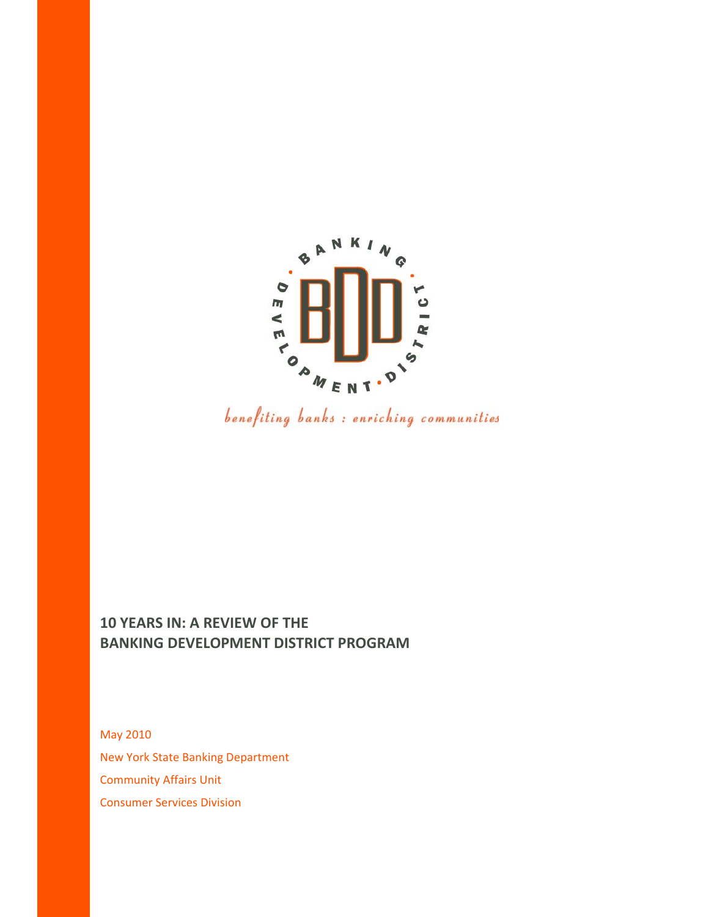

benefiting banks : enriching communities

# **10 YEARS IN: A REVIEW OF THE BANKING DEVELOPMENT DISTRICT PROGRAM**

May 2010 New York State Banking Department Community Affairs Unit Consumer Services Division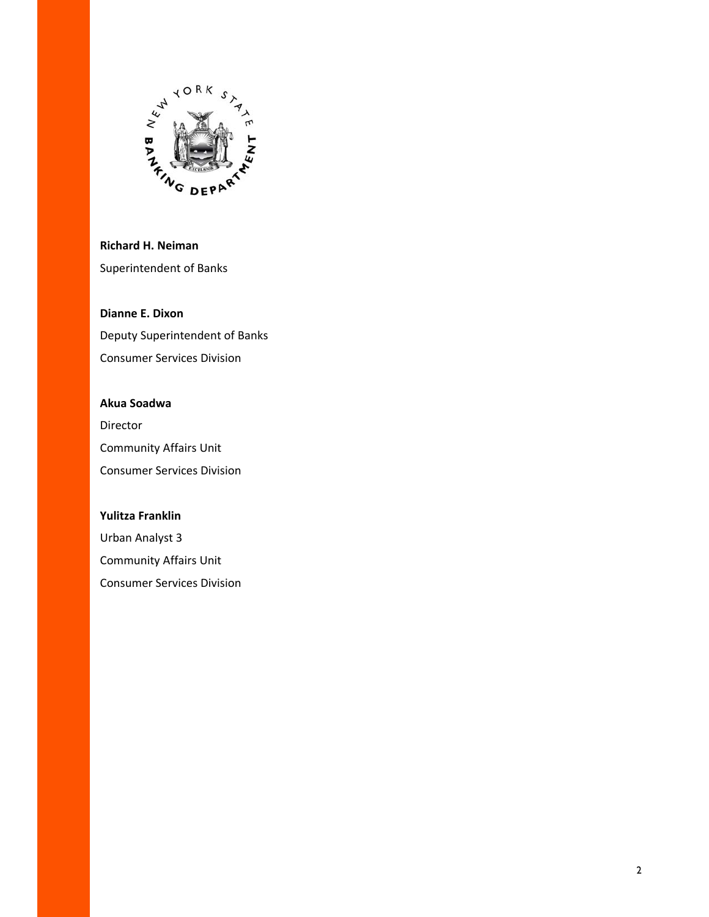

# **Richard H. Neiman** Superintendent of Banks

# **Dianne E. Dixon**

Deputy Superintendent of Banks Consumer Services Division

# **Akua Soadwa**

Director Community Affairs Unit Consumer Services Division

# **Yulitza Franklin**

Urban Analyst 3 Community Affairs Unit Consumer Services Division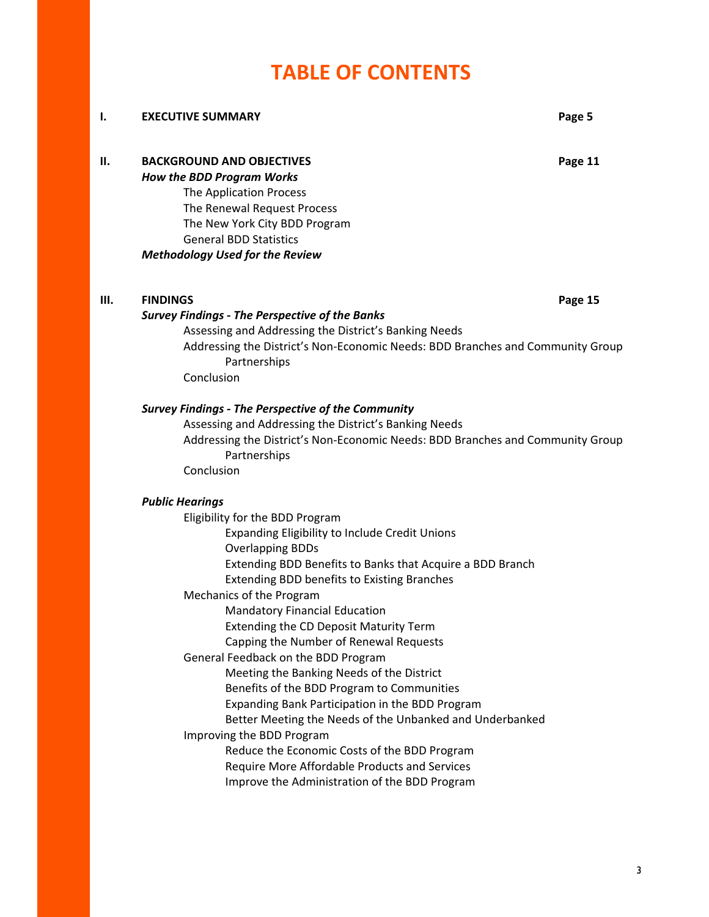# **TABLE OF CONTENTS**

#### **I. EXECUTIVE SUMMARY Page 5**

# **II. BACKGROUND AND OBJECTIVES Page 11**

*How the BDD Program Works*

 The Application Process The Renewal Request Process The New York City BDD Program General BDD Statistics *Methodology Used for the Review* 

### **III. FINDINGS Page 15**

### *Survey Findings ‐ The Perspective of the Banks*

 Assessing and Addressing the District's Banking Needs Addressing the District's Non‐Economic Needs: BDD Branches and Community Group Partnerships Conclusion

#### *Survey Findings ‐ The Perspective of the Community*

 Assessing and Addressing the District's Banking Needs Addressing the District's Non‐Economic Needs: BDD Branches and Community Group Partnerships Conclusion

#### *Public Hearings*

Eligibility for the BDD Program

Expanding Eligibility to Include Credit Unions

Overlapping BDDs

Extending BDD Benefits to Banks that Acquire a BDD Branch

Extending BDD benefits to Existing Branches

#### Mechanics of the Program

Mandatory Financial Education

Extending the CD Deposit Maturity Term

Capping the Number of Renewal Requests

#### General Feedback on the BDD Program

Meeting the Banking Needs of the District

Benefits of the BDD Program to Communities

Expanding Bank Participation in the BDD Program

Better Meeting the Needs of the Unbanked and Underbanked

### Improving the BDD Program

Reduce the Economic Costs of the BDD Program

Require More Affordable Products and Services

Improve the Administration of the BDD Program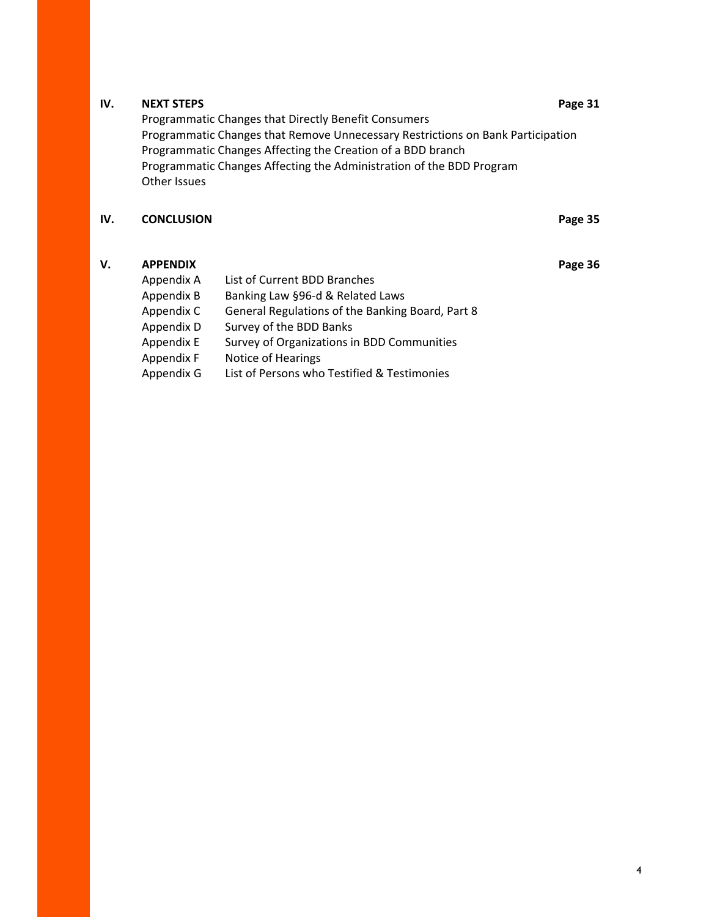# **IV. NEXT STEPS Page 31**

Programmatic Changes that Directly Benefit Consumers Programmatic Changes that Remove Unnecessary Restrictions on Bank Participation Programmatic Changes Affecting the Creation of a BDD branch Programmatic Changes Affecting the Administration of the BDD Program Other Issues

# **IV. CONCLUSION Page 35**

# **V. APPENDIX Page 36**

| Appendix A | List of Current BDD Branches                     |
|------------|--------------------------------------------------|
| Appendix B | Banking Law §96-d & Related Laws                 |
| Appendix C | General Regulations of the Banking Board, Part 8 |
| Appendix D | Survey of the BDD Banks                          |
| Appendix E | Survey of Organizations in BDD Communities       |
| Appendix F | Notice of Hearings                               |
| Appendix G | List of Persons who Testified & Testimonies      |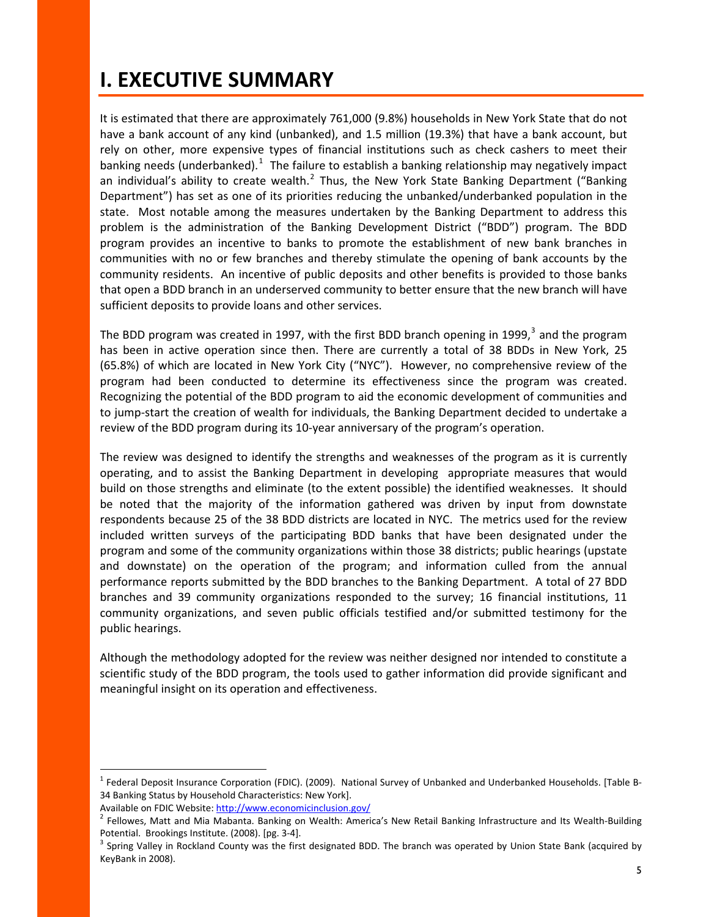# **I. EXECUTIVE SUMMARY**

It is estimated that there are approximately 761,000 (9.8%) households in New York State that do not have a bank account of any kind (unbanked), and 1.5 million (19.3%) that have a bank account, but rely on other, more expensive types of financial institutions such as check cashers to meet their banking needs (underbanked).<sup>[1](#page-4-0)</sup> The failure to establish a banking relationship may negatively impact an individual's ability to create wealth.<sup>[2](#page-4-1)</sup> Thus, the New York State Banking Department ("Banking Department") has set as one of its priorities reducing the unbanked/underbanked population in the state. Most notable among the measures undertaken by the Banking Department to address this problem is the administration of the Banking Development District ("BDD") program. The BDD program provides an incentive to banks to promote the establishment of new bank branches in communities with no or few branches and thereby stimulate the opening of bank accounts by the community residents. An incentive of public deposits and other benefits is provided to those banks that open a BDD branch in an underserved community to better ensure that the new branch will have sufficient deposits to provide loans and other services.

The BDD program was created in 1997, with the first BDD branch opening in 1999, $3$  and the program has been in active operation since then. There are currently a total of 38 BDDs in New York, 25 (65.8%) of which are located in New York City ("NYC"). However, no comprehensive review of the program had been conducted to determine its effectiveness since the program was created. Recognizing the potential of the BDD program to aid the economic development of communities and to jump‐start the creation of wealth for individuals, the Banking Department decided to undertake a review of the BDD program during its 10‐year anniversary of the program's operation.

The review was designed to identify the strengths and weaknesses of the program as it is currently operating, and to assist the Banking Department in developing appropriate measures that would build on those strengths and eliminate (to the extent possible) the identified weaknesses. It should be noted that the majority of the information gathered was driven by input from downstate respondents because 25 of the 38 BDD districts are located in NYC. The metrics used for the review included written surveys of the participating BDD banks that have been designated under the program and some of the community organizations within those 38 districts; public hearings (upstate and downstate) on the operation of the program; and information culled from the annual performance reports submitted by the BDD branches to the Banking Department. A total of 27 BDD branches and 39 community organizations responded to the survey; 16 financial institutions, 11 community organizations, and seven public officials testified and/or submitted testimony for the public hearings.

Although the methodology adopted for the review was neither designed nor intended to constitute a scientific study of the BDD program, the tools used to gather information did provide significant and meaningful insight on its operation and effectiveness.

 $\overline{a}$ 

<span id="page-4-0"></span><sup>&</sup>lt;sup>1</sup> Federal Deposit Insurance Corporation (FDIC). (2009). National Survey of Unbanked and Underbanked Households. [Table B-34 Banking Status by Household Characteristics: New York].

<span id="page-4-1"></span>Available on FDIC Website: <http://www.economicinclusion.gov/><br><sup>2</sup> Fellowes, Matt and Mia Mabanta. Banking on Wealth: America's New Retail Banking Infrastructure and Its Wealth-Building Potential. Brookings Institute. (2008). [pg. 3-4].<br><sup>3</sup> Spring Valley in Rockland County was the first designated BDD. The branch was operated by Union State Bank (acquired by

<span id="page-4-2"></span>KeyBank in 2008).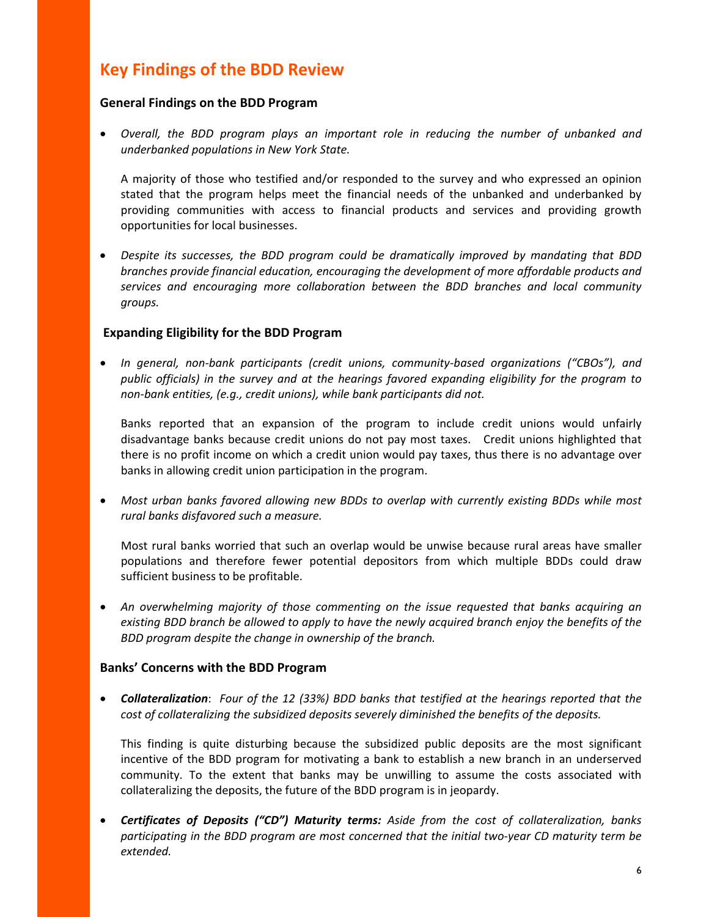# **Key Findings of the BDD Review**

# **General Findings on the BDD Program**

• *Overall, the BDD program plays an important role in reducing the number of unbanked and underbanked populations in New York State.*

A majority of those who testified and/or responded to the survey and who expressed an opinion stated that the program helps meet the financial needs of the unbanked and underbanked by providing communities with access to financial products and services and providing growth opportunities for local businesses.

• *Despite its successes, the BDD program could be dramatically improved by mandating that BDD branches provide financial education, encouraging the development of more affordable products and services and encouraging more collaboration between the BDD branches and local community groups.*

# **Expanding Eligibility for the BDD Program**

• *In general, non‐bank participants (credit unions, community‐based organizations ("CBOs"), and public officials) in the survey and at the hearings favored expanding eligibility for the program to non‐bank entities, (e.g., credit unions), while bank participants did not.* 

Banks reported that an expansion of the program to include credit unions would unfairly disadvantage banks because credit unions do not pay most taxes. Credit unions highlighted that there is no profit income on which a credit union would pay taxes, thus there is no advantage over banks in allowing credit union participation in the program.

• *Most urban banks favored allowing new BDDs to overlap with currently existing BDDs while most rural banks disfavored such a measure.* 

Most rural banks worried that such an overlap would be unwise because rural areas have smaller populations and therefore fewer potential depositors from which multiple BDDs could draw sufficient business to be profitable.

• *An overwhelming majority of those commenting on the issue requested that banks acquiring an* existing BDD branch be allowed to apply to have the newly acquired branch enjoy the benefits of the *BDD program despite the change in ownership of the branch.*

# **Banks' Concerns with the BDD Program**

• *Collateralization*: *Four of the 12 (33%) BDD banks that testified at the hearings reported that the cost of collateralizing the subsidized deposits severely diminished the benefits of the deposits.*

This finding is quite disturbing because the subsidized public deposits are the most significant incentive of the BDD program for motivating a bank to establish a new branch in an underserved community. To the extent that banks may be unwilling to assume the costs associated with collateralizing the deposits, the future of the BDD program is in jeopardy.

• *Certificates of Deposits ("CD") Maturity terms: Aside from the cost of collateralization, banks participating in the BDD program are most concerned that the initial two‐year CD maturity term be extended.*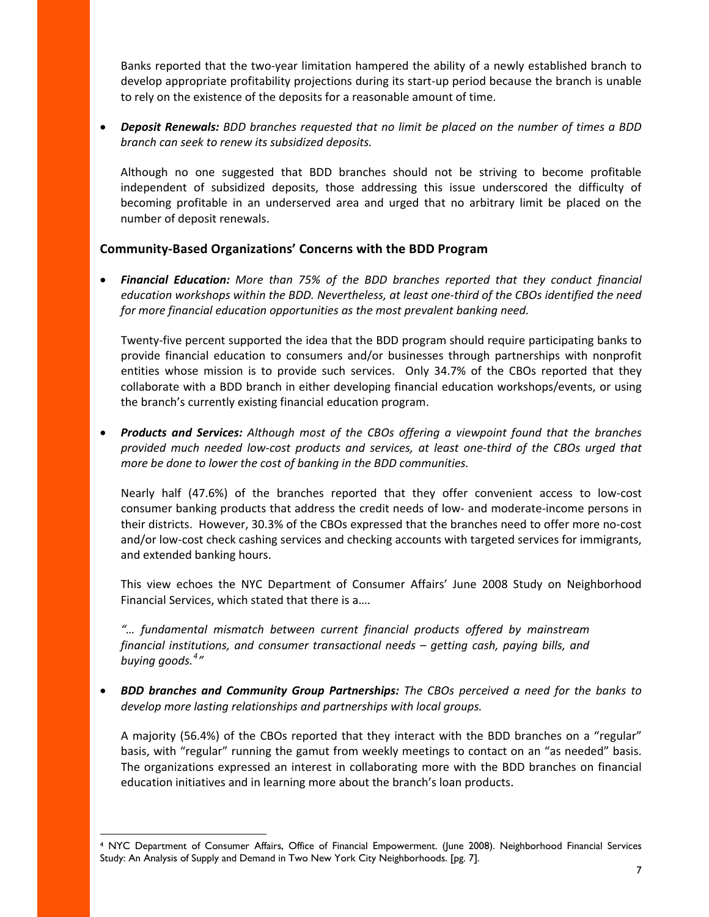Banks reported that the two‐year limitation hampered the ability of a newly established branch to develop appropriate profitability projections during its start-up period because the branch is unable to rely on the existence of the deposits for a reasonable amount of time.

• *Deposit Renewals: BDD branches requested that no limit be placed on the number of times a BDD branch can seek to renew its subsidized deposits.*

Although no one suggested that BDD branches should not be striving to become profitable independent of subsidized deposits, those addressing this issue underscored the difficulty of becoming profitable in an underserved area and urged that no arbitrary limit be placed on the number of deposit renewals.

# **Community‐Based Organizations' Concerns with the BDD Program**

• *Financial Education: More than 75% of the BDD branches reported that they conduct financial education workshops within the BDD. Nevertheless, at least one‐third of the CBOs identified the need for more financial education opportunities as the most prevalent banking need.*

Twenty‐five percent supported the idea that the BDD program should require participating banks to provide financial education to consumers and/or businesses through partnerships with nonprofit entities whose mission is to provide such services. Only 34.7% of the CBOs reported that they collaborate with a BDD branch in either developing financial education workshops/events, or using the branch's currently existing financial education program.

• *Products and Services: Although most of the CBOs offering a viewpoint found that the branches* provided much needed low-cost products and services, at least one-third of the CBOs urged that *more be done to lower the cost of banking in the BDD communities.* 

Nearly half (47.6%) of the branches reported that they offer convenient access to low‐cost consumer banking products that address the credit needs of low‐ and moderate‐income persons in their districts. However, 30.3% of the CBOs expressed that the branches need to offer more no‐cost and/or low‐cost check cashing services and checking accounts with targeted services for immigrants, and extended banking hours.

This view echoes the NYC Department of Consumer Affairs' June 2008 Study on Neighborhood Financial Services, which stated that there is a….

*"… fundamental mismatch between current financial products offered by mainstream financial institutions, and consumer transactional needs – getting cash, paying bills, and buying goods.[4](#page-6-0) "*

• *BDD branches and Community Group Partnerships: The CBOs perceived a need for the banks to develop more lasting relationships and partnerships with local groups.*

A majority (56.4%) of the CBOs reported that they interact with the BDD branches on a "regular" basis, with "regular" running the gamut from weekly meetings to contact on an "as needed" basis. The organizations expressed an interest in collaborating more with the BDD branches on financial education initiatives and in learning more about the branch's loan products.

 $\overline{a}$ 

<span id="page-6-0"></span><sup>4</sup> NYC Department of Consumer Affairs, Office of Financial Empowerment. (June 2008). Neighborhood Financial Services Study: An Analysis of Supply and Demand in Two New York City Neighborhoods. [pg. 7].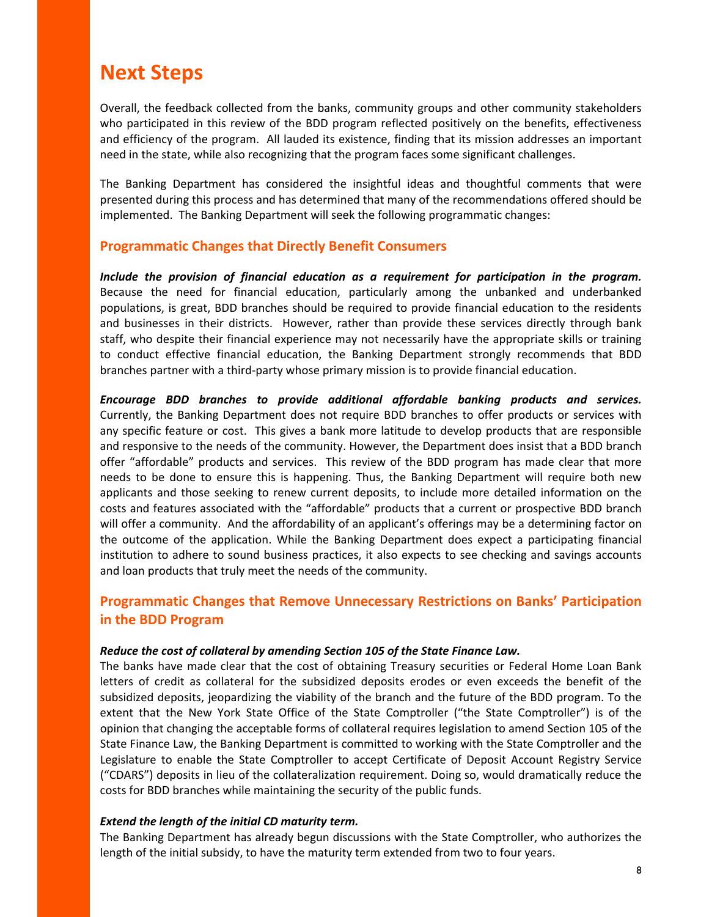# **Next Steps**

Overall, the feedback collected from the banks, community groups and other community stakeholders who participated in this review of the BDD program reflected positively on the benefits, effectiveness and efficiency of the program. All lauded its existence, finding that its mission addresses an important need in the state, while also recognizing that the program faces some significant challenges.

The Banking Department has considered the insightful ideas and thoughtful comments that were presented during this process and has determined that many of the recommendations offered should be implemented. The Banking Department will seek the following programmatic changes:

# **Programmatic Changes that Directly Benefit Consumers**

*Include the provision of financial education as a requirement for participation in the program.* Because the need for financial education, particularly among the unbanked and underbanked populations, is great, BDD branches should be required to provide financial education to the residents and businesses in their districts. However, rather than provide these services directly through bank staff, who despite their financial experience may not necessarily have the appropriate skills or training to conduct effective financial education, the Banking Department strongly recommends that BDD branches partner with a third‐party whose primary mission is to provide financial education.

*Encourage BDD branches to provide additional affordable banking products and services.* Currently, the Banking Department does not require BDD branches to offer products or services with any specific feature or cost. This gives a bank more latitude to develop products that are responsible and responsive to the needs of the community. However, the Department does insist that a BDD branch offer "affordable" products and services. This review of the BDD program has made clear that more needs to be done to ensure this is happening. Thus, the Banking Department will require both new applicants and those seeking to renew current deposits, to include more detailed information on the costs and features associated with the "affordable" products that a current or prospective BDD branch will offer a community. And the affordability of an applicant's offerings may be a determining factor on the outcome of the application. While the Banking Department does expect a participating financial institution to adhere to sound business practices, it also expects to see checking and savings accounts and loan products that truly meet the needs of the community.

# **Programmatic Changes that Remove Unnecessary Restrictions on Banks' Participation in the BDD Program**

#### *Reduce the cost of collateral by amending Section 105 of the State Finance Law.*

The banks have made clear that the cost of obtaining Treasury securities or Federal Home Loan Bank letters of credit as collateral for the subsidized deposits erodes or even exceeds the benefit of the subsidized deposits, jeopardizing the viability of the branch and the future of the BDD program. To the extent that the New York State Office of the State Comptroller ("the State Comptroller") is of the opinion that changing the acceptable forms of collateral requires legislation to amend Section 105 of the State Finance Law, the Banking Department is committed to working with the State Comptroller and the Legislature to enable the State Comptroller to accept Certificate of Deposit Account Registry Service ("CDARS") deposits in lieu of the collateralization requirement. Doing so, would dramatically reduce the costs for BDD branches while maintaining the security of the public funds.

#### *Extend the length of the initial CD maturity term.*

The Banking Department has already begun discussions with the State Comptroller, who authorizes the length of the initial subsidy, to have the maturity term extended from two to four years.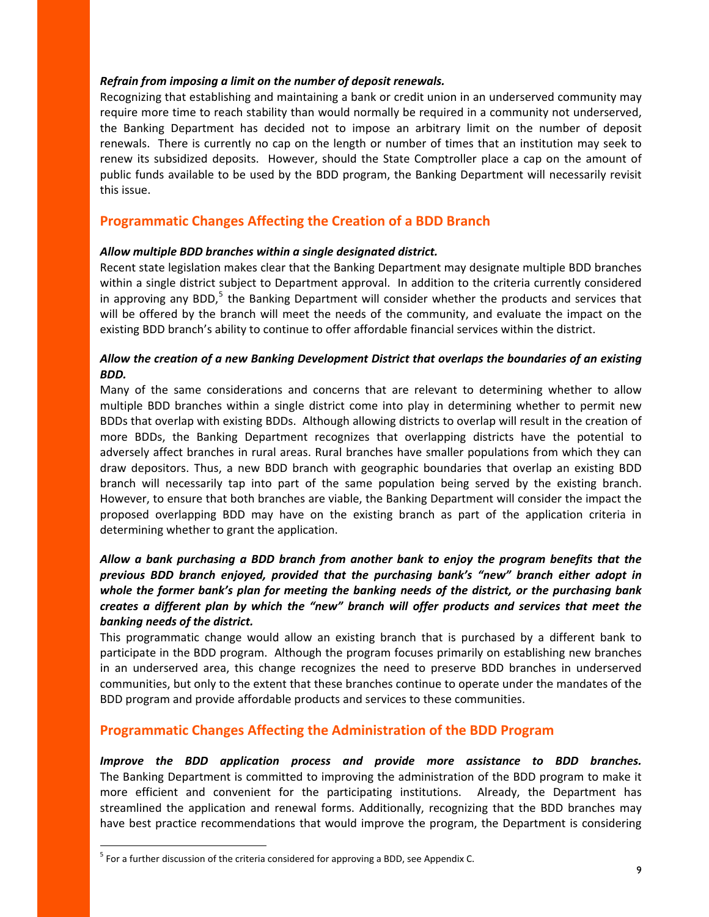### *Refrain from imposing a limit on the number of deposit renewals.*

Recognizing that establishing and maintaining a bank or credit union in an underserved community may require more time to reach stability than would normally be required in a community not underserved, the Banking Department has decided not to impose an arbitrary limit on the number of deposit renewals. There is currently no cap on the length or number of times that an institution may seek to renew its subsidized deposits. However, should the State Comptroller place a cap on the amount of public funds available to be used by the BDD program, the Banking Department will necessarily revisit this issue.

# **Programmatic Changes Affecting the Creation of a BDD Branch**

### *Allow multiple BDD branches within a single designated district.*

Recent state legislation makes clear that the Banking Department may designate multiple BDD branches within a single district subject to Department approval. In addition to the criteria currently considered in approving any BDD, $<sup>5</sup>$  $<sup>5</sup>$  $<sup>5</sup>$  the Banking Department will consider whether the products and services that</sup> will be offered by the branch will meet the needs of the community, and evaluate the impact on the existing BDD branch's ability to continue to offer affordable financial services within the district.

# *Allow the creation of a new Banking Development District that overlaps the boundaries of an existing BDD.*

Many of the same considerations and concerns that are relevant to determining whether to allow multiple BDD branches within a single district come into play in determining whether to permit new BDDs that overlap with existing BDDs. Although allowing districts to overlap will result in the creation of more BDDs, the Banking Department recognizes that overlapping districts have the potential to adversely affect branches in rural areas. Rural branches have smaller populations from which they can draw depositors. Thus, a new BDD branch with geographic boundaries that overlap an existing BDD branch will necessarily tap into part of the same population being served by the existing branch. However, to ensure that both branches are viable, the Banking Department will consider the impact the proposed overlapping BDD may have on the existing branch as part of the application criteria in determining whether to grant the application.

# *Allow a bank purchasing a BDD branch from another bank to enjoy the program benefits that the previous BDD branch enjoyed, provided that the purchasing bank's "new" branch either adopt in whole the former bank's plan for meeting the banking needs of the district, or the purchasing bank creates a different plan by which the "new" branch will offer products and services that meet the banking needs of the district.*

This programmatic change would allow an existing branch that is purchased by a different bank to participate in the BDD program. Although the program focuses primarily on establishing new branches in an underserved area, this change recognizes the need to preserve BDD branches in underserved communities, but only to the extent that these branches continue to operate under the mandates of the BDD program and provide affordable products and services to these communities.

# **Programmatic Changes Affecting the Administration of the BDD Program**

*Improve the BDD application process and provide more assistance to BDD branches.* The Banking Department is committed to improving the administration of the BDD program to make it more efficient and convenient for the participating institutions. Already, the Department has streamlined the application and renewal forms. Additionally, recognizing that the BDD branches may have best practice recommendations that would improve the program, the Department is considering

 $\overline{a}$ 

<span id="page-8-0"></span><sup>&</sup>lt;sup>5</sup> For a further discussion of the criteria considered for approving a BDD, see Appendix C.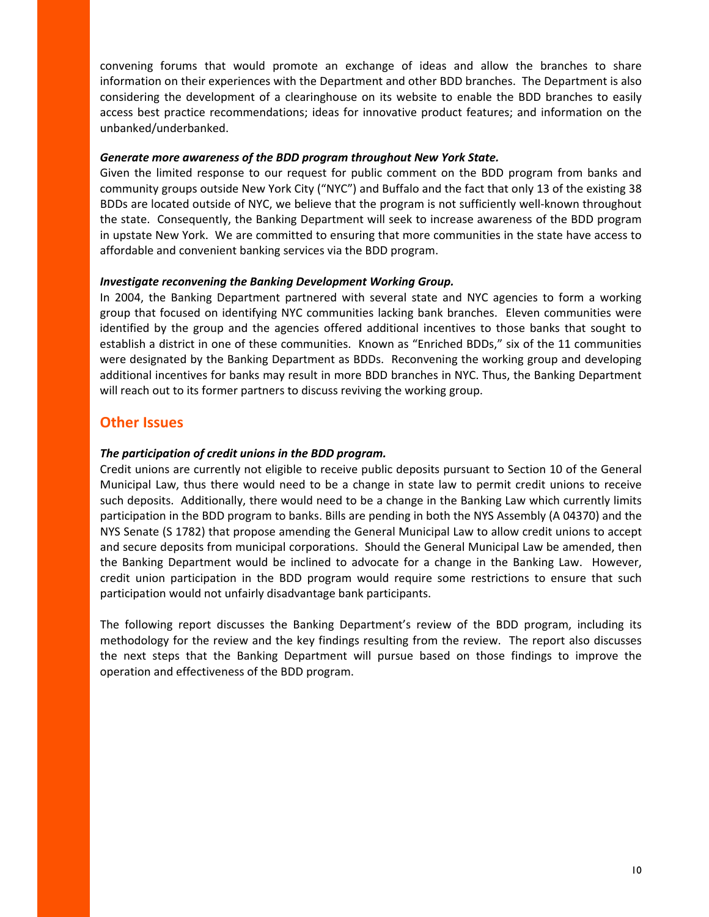convening forums that would promote an exchange of ideas and allow the branches to share information on their experiences with the Department and other BDD branches. The Department is also considering the development of a clearinghouse on its website to enable the BDD branches to easily access best practice recommendations; ideas for innovative product features; and information on the unbanked/underbanked.

### *Generate more awareness of the BDD program throughout New York State.*

Given the limited response to our request for public comment on the BDD program from banks and community groups outside New York City ("NYC") and Buffalo and the fact that only 13 of the existing 38 BDDs are located outside of NYC, we believe that the program is not sufficiently well‐known throughout the state. Consequently, the Banking Department will seek to increase awareness of the BDD program in upstate New York. We are committed to ensuring that more communities in the state have access to affordable and convenient banking services via the BDD program.

### *Investigate reconvening the Banking Development Working Group.*

In 2004, the Banking Department partnered with several state and NYC agencies to form a working group that focused on identifying NYC communities lacking bank branches. Eleven communities were identified by the group and the agencies offered additional incentives to those banks that sought to establish a district in one of these communities. Known as "Enriched BDDs," six of the 11 communities were designated by the Banking Department as BDDs. Reconvening the working group and developing additional incentives for banks may result in more BDD branches in NYC. Thus, the Banking Department will reach out to its former partners to discuss reviving the working group.

# **Other Issues**

### *The participation of credit unions in the BDD program.*

Credit unions are currently not eligible to receive public deposits pursuant to Section 10 of the General Municipal Law, thus there would need to be a change in state law to permit credit unions to receive such deposits. Additionally, there would need to be a change in the Banking Law which currently limits participation in the BDD program to banks. Bills are pending in both the NYS Assembly (A 04370) and the NYS Senate (S 1782) that propose amending the General Municipal Law to allow credit unions to accept and secure deposits from municipal corporations. Should the General Municipal Law be amended, then the Banking Department would be inclined to advocate for a change in the Banking Law. However, credit union participation in the BDD program would require some restrictions to ensure that such participation would not unfairly disadvantage bank participants.

The following report discusses the Banking Department's review of the BDD program, including its methodology for the review and the key findings resulting from the review. The report also discusses the next steps that the Banking Department will pursue based on those findings to improve the operation and effectiveness of the BDD program.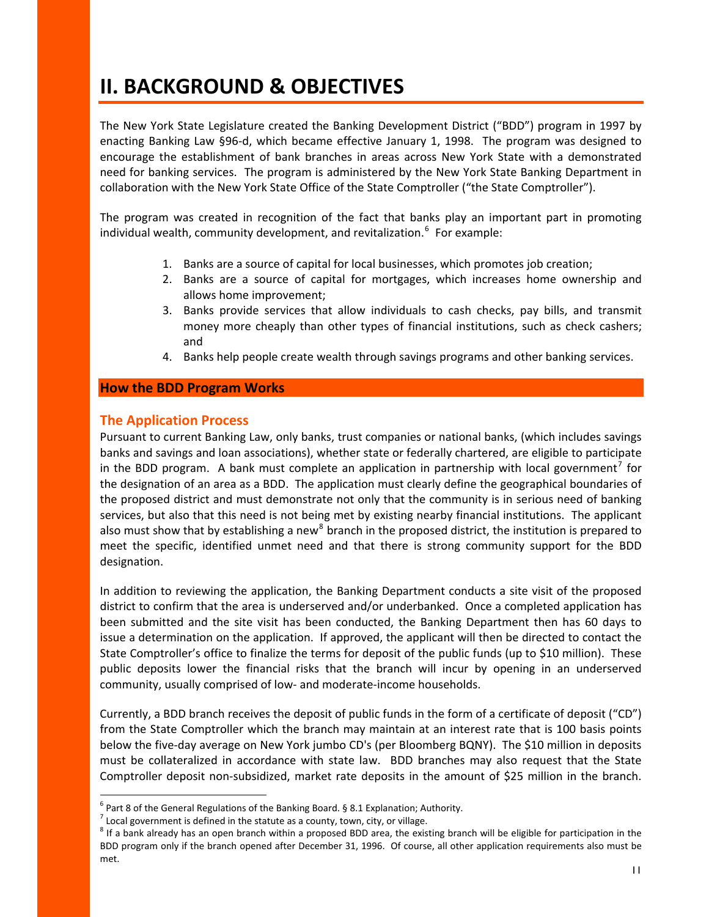# **II. BACKGROUND & OBJECTIVES**

The New York State Legislature created the Banking Development District ("BDD") program in 1997 by enacting Banking Law §96‐d, which became effective January 1, 1998. The program was designed to encourage the establishment of bank branches in areas across New York State with a demonstrated need for banking services. The program is administered by the New York State Banking Department in collaboration with the New York State Office of the State Comptroller ("the State Comptroller").

The program was created in recognition of the fact that banks play an important part in promoting individual wealth, community development, and revitalization.<sup>[6](#page-10-0)</sup> For example:

- 1. Banks are a source of capital for local businesses, which promotes job creation;
- 2. Banks are a source of capital for mortgages, which increases home ownership and allows home improvement;
- 3. Banks provide services that allow individuals to cash checks, pay bills, and transmit money more cheaply than other types of financial institutions, such as check cashers; and
- 4. Banks help people create wealth through savings programs and other banking services.

# **How the BDD Program Works**

# **The Application Process**

 $\overline{a}$ 

Pursuant to current Banking Law, only banks, trust companies or national banks, (which includes savings banks and savings and loan associations), whether state or federally chartered, are eligible to participate in the BDD program. A bank must complete an application in partnership with local government<sup>[7](#page-10-1)</sup> for the designation of an area as a BDD. The application must clearly define the geographical boundaries of the proposed district and must demonstrate not only that the community is in serious need of banking services, but also that this need is not being met by existing nearby financial institutions. The applicant also must show that by establishing a new<sup>[8](#page-10-2)</sup> branch in the proposed district, the institution is prepared to meet the specific, identified unmet need and that there is strong community support for the BDD designation.

In addition to reviewing the application, the Banking Department conducts a site visit of the proposed district to confirm that the area is underserved and/or underbanked. Once a completed application has been submitted and the site visit has been conducted, the Banking Department then has 60 days to issue a determination on the application. If approved, the applicant will then be directed to contact the State Comptroller's office to finalize the terms for deposit of the public funds (up to \$10 million). These public deposits lower the financial risks that the branch will incur by opening in an underserved community, usually comprised of low‐ and moderate‐income households.

Currently, a BDD branch receives the deposit of public funds in the form of a certificate of deposit ("CD") from the State Comptroller which the branch may maintain at an interest rate that is 100 basis points below the five-day average on New York jumbo CD's (per Bloomberg BQNY). The \$10 million in deposits must be collateralized in accordance with state law. BDD branches may also request that the State Comptroller deposit non‐subsidized, market rate deposits in the amount of \$25 million in the branch.

<span id="page-10-2"></span><span id="page-10-1"></span>

<span id="page-10-0"></span><sup>&</sup>lt;sup>6</sup> Part 8 of the General Regulations of the Banking Board. § 8.1 Explanation; Authority.<br><sup>7</sup> Local government is defined in the statute as a county, town, city, or village.<br><sup>8</sup> If a bank already has an open branch within BDD program only if the branch opened after December 31, 1996. Of course, all other application requirements also must be met.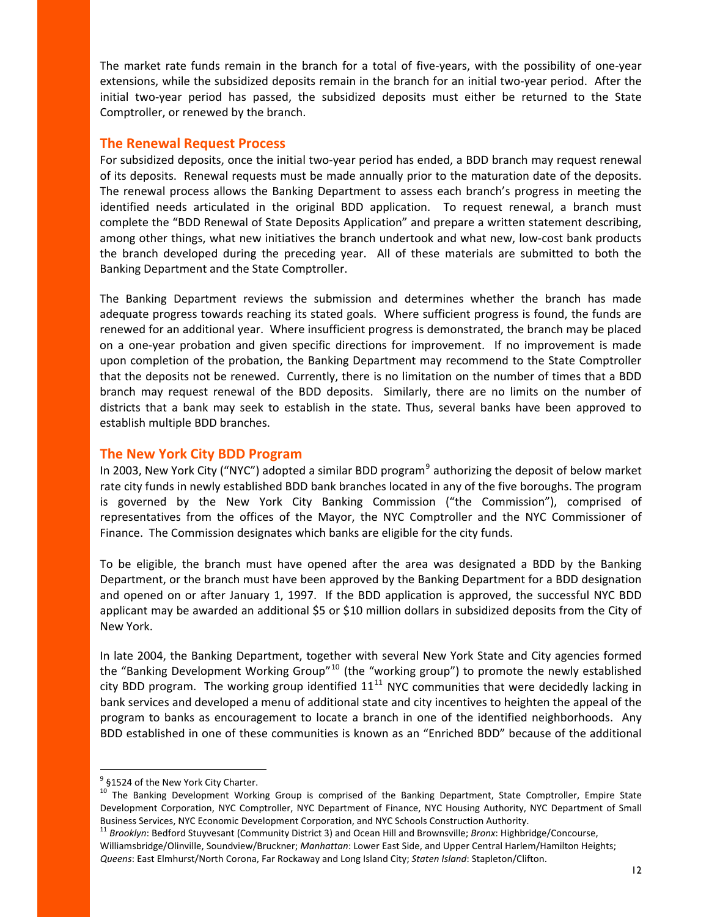The market rate funds remain in the branch for a total of five-years, with the possibility of one-year extensions, while the subsidized deposits remain in the branch for an initial two-year period. After the initial two‐year period has passed, the subsidized deposits must either be returned to the State Comptroller, or renewed by the branch.

# **The Renewal Request Process**

For subsidized deposits, once the initial two-year period has ended, a BDD branch may request renewal of its deposits. Renewal requests must be made annually prior to the maturation date of the deposits. The renewal process allows the Banking Department to assess each branch's progress in meeting the identified needs articulated in the original BDD application. To request renewal, a branch must complete the "BDD Renewal of State Deposits Application" and prepare a written statement describing, among other things, what new initiatives the branch undertook and what new, low‐cost bank products the branch developed during the preceding year. All of these materials are submitted to both the Banking Department and the State Comptroller.

The Banking Department reviews the submission and determines whether the branch has made adequate progress towards reaching its stated goals. Where sufficient progress is found, the funds are renewed for an additional year. Where insufficient progress is demonstrated, the branch may be placed on a one‐year probation and given specific directions for improvement. If no improvement is made upon completion of the probation, the Banking Department may recommend to the State Comptroller that the deposits not be renewed. Currently, there is no limitation on the number of times that a BDD branch may request renewal of the BDD deposits. Similarly, there are no limits on the number of districts that a bank may seek to establish in the state. Thus, several banks have been approved to establish multiple BDD branches.

# **The New York City BDD Program**

In 2003, New York City ("NYC") adopted a similar BDD program<sup>[9](#page-11-0)</sup> authorizing the deposit of below market rate city funds in newly established BDD bank branches located in any of the five boroughs. The program is governed by the New York City Banking Commission ("the Commission"), comprised of representatives from the offices of the Mayor, the NYC Comptroller and the NYC Commissioner of Finance. The Commission designates which banks are eligible for the city funds.

To be eligible, the branch must have opened after the area was designated a BDD by the Banking Department, or the branch must have been approved by the Banking Department for a BDD designation and opened on or after January 1, 1997. If the BDD application is approved, the successful NYC BDD applicant may be awarded an additional \$5 or \$10 million dollars in subsidized deposits from the City of New York.

In late 2004, the Banking Department, together with several New York State and City agencies formed the "Banking Development Working Group"<sup>[10](#page-11-1)</sup> (the "working group") to promote the newly established city BDD program. The working group identified  $11<sup>11</sup>$  $11<sup>11</sup>$  NYC communities that were decidedly lacking in bank services and developed a menu of additional state and city incentives to heighten the appeal of the program to banks as encouragement to locate a branch in one of the identified neighborhoods. Any BDD established in one of these communities is known as an "Enriched BDD" because of the additional

 $\overline{a}$ 

<span id="page-11-1"></span><span id="page-11-0"></span> $9$  §1524 of the New York City Charter.<br><sup>10</sup> The Banking Development Working Group is comprised of the Banking Department, State Comptroller, Empire State Development Corporation, NYC Comptroller, NYC Department of Finance, NYC Housing Authority, NYC Department of Small Business Services, NYC Economic Development Corporation, and NYC Schools Construction Authority.<br><sup>11</sup> Brooklyn: Bedford Stuyvesant (Community District 3) and Ocean Hill and Brownsville; Bronx: Highbridge/Concourse,

<span id="page-11-2"></span>Williamsbridge/Olinville, Soundview/Bruckner; *Manhattan*: Lower East Side, and Upper Central Harlem/Hamilton Heights; *Queens*: East Elmhurst/North Corona, Far Rockaway and Long Island City; *Staten Island*: Stapleton/Clifton.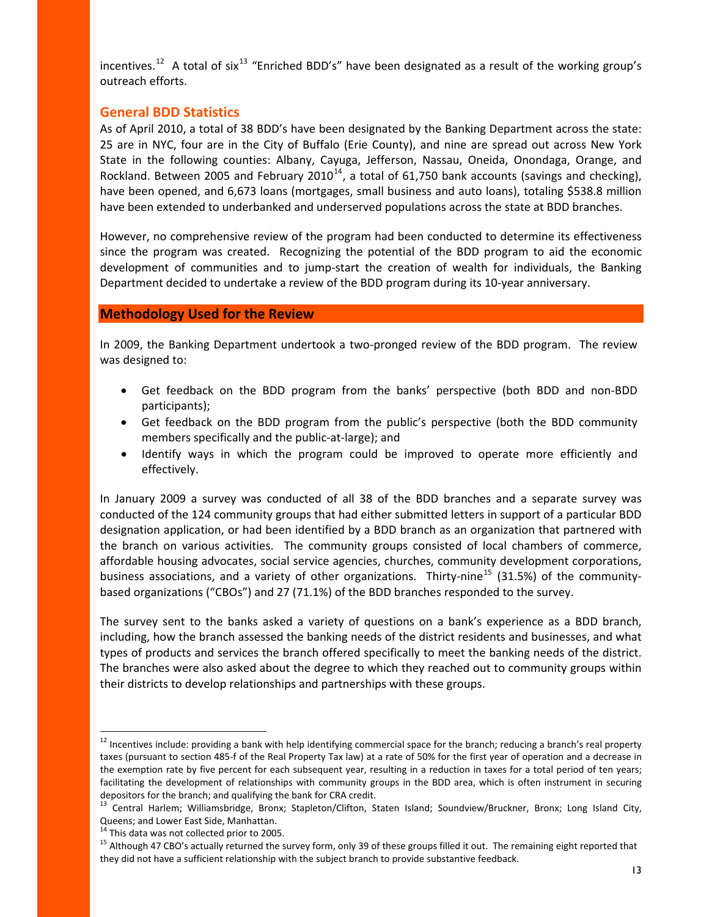incentives.<sup>[12](#page-12-0)</sup> A total of six<sup>[13](#page-12-1)</sup> "Enriched BDD's" have been designated as a result of the working group's outreach efforts.

# **General BDD Statistics**

As of April 2010, a total of 38 BDD's have been designated by the Banking Department across the state: 25 are in NYC, four are in the City of Buffalo (Erie County), and nine are spread out across New York State in the following counties: Albany, Cayuga, Jefferson, Nassau, Oneida, Onondaga, Orange, and Rockland. Between 2005 and February 2010<sup>[14](#page-12-2)</sup>, a total of 61,750 bank accounts (savings and checking), have been opened, and 6,673 loans (mortgages, small business and auto loans), totaling \$538.8 million have been extended to underbanked and underserved populations across the state at BDD branches.

However, no comprehensive review of the program had been conducted to determine its effectiveness since the program was created. Recognizing the potential of the BDD program to aid the economic development of communities and to jump‐start the creation of wealth for individuals, the Banking Department decided to undertake a review of the BDD program during its 10‐year anniversary.

# **Methodology Used for the Review**

In 2009, the Banking Department undertook a two‐pronged review of the BDD program. The review was designed to:

- Get feedback on the BDD program from the banks' perspective (both BDD and non‐BDD participants);
- Get feedback on the BDD program from the public's perspective (both the BDD community members specifically and the public‐at‐large); and
- Identify ways in which the program could be improved to operate more efficiently and effectively.

In January 2009 a survey was conducted of all 38 of the BDD branches and a separate survey was conducted of the 124 community groups that had either submitted letters in support of a particular BDD designation application, or had been identified by a BDD branch as an organization that partnered with the branch on various activities. The community groups consisted of local chambers of commerce, affordable housing advocates, social service agencies, churches, community development corporations, business associations, and a variety of other organizations. Thirty-nine<sup>[15](#page-12-3)</sup> (31.5%) of the communitybased organizations ("CBOs") and 27 (71.1%) of the BDD branches responded to the survey.

The survey sent to the banks asked a variety of questions on a bank's experience as a BDD branch, including, how the branch assessed the banking needs of the district residents and businesses, and what types of products and services the branch offered specifically to meet the banking needs of the district. The branches were also asked about the degree to which they reached out to community groups within their districts to develop relationships and partnerships with these groups.

 $\overline{a}$ 

<span id="page-12-0"></span><sup>&</sup>lt;sup>12</sup> Incentives include: providing a bank with help identifying commercial space for the branch; reducing a branch's real property taxes (pursuant to section 485‐f of the Real Property Tax law) at a rate of 50% for the first year of operation and a decrease in the exemption rate by five percent for each subsequent year, resulting in a reduction in taxes for a total period of ten years; facilitating the development of relationships with community groups in the BDD area, which is often instrument in securing

<span id="page-12-1"></span>depositors for the branch; and qualifying the bank for CRA credit.<br><sup>13</sup> Central Harlem; Williamsbridge, Bronx; Stapleton/Clifton, Staten Island; Soundview/Bruckner, Bronx; Long Island City,<br>Queens; and Lower East Side, Man

<span id="page-12-3"></span><span id="page-12-2"></span><sup>&</sup>lt;sup>14</sup> This data was not collected prior to 2005.<br><sup>15</sup> Although 47 CBO's actually returned the survey form, only 39 of these groups filled it out. The remaining eight reported that they did not have a sufficient relationship with the subject branch to provide substantive feedback.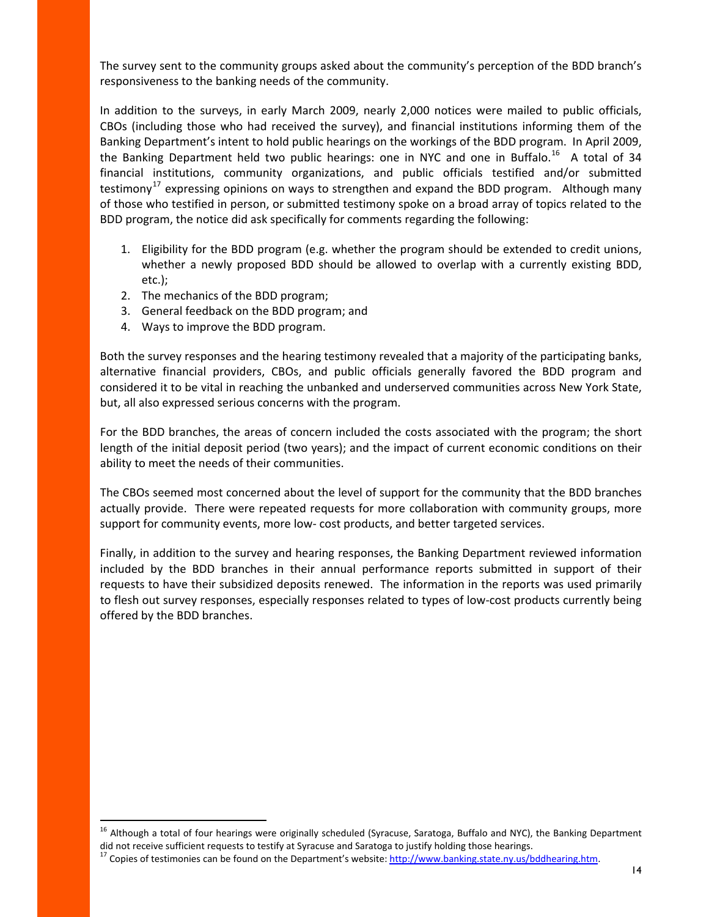The survey sent to the community groups asked about the community's perception of the BDD branch's responsiveness to the banking needs of the community.

In addition to the surveys, in early March 2009, nearly 2,000 notices were mailed to public officials, CBOs (including those who had received the survey), and financial institutions informing them of the Banking Department's intent to hold public hearings on the workings of the BDD program. In April 2009, the Banking Department held two public hearings: one in NYC and one in Buffalo.<sup>[16](#page-13-0)</sup> A total of 34 financial institutions, community organizations, and public officials testified and/or submitted testimony<sup>[17](#page-13-1)</sup> expressing opinions on ways to strengthen and expand the BDD program. Although many of those who testified in person, or submitted testimony spoke on a broad array of topics related to the BDD program, the notice did ask specifically for comments regarding the following:

- 1. Eligibility for the BDD program (e.g. whether the program should be extended to credit unions, whether a newly proposed BDD should be allowed to overlap with a currently existing BDD, etc.);
- 2. The mechanics of the BDD program;
- 3. General feedback on the BDD program; and
- 4. Ways to improve the BDD program.

 $\overline{a}$ 

Both the survey responses and the hearing testimony revealed that a majority of the participating banks, alternative financial providers, CBOs, and public officials generally favored the BDD program and considered it to be vital in reaching the unbanked and underserved communities across New York State, but, all also expressed serious concerns with the program.

For the BDD branches, the areas of concern included the costs associated with the program; the short length of the initial deposit period (two years); and the impact of current economic conditions on their ability to meet the needs of their communities.

The CBOs seemed most concerned about the level of support for the community that the BDD branches actually provide. There were repeated requests for more collaboration with community groups, more support for community events, more low- cost products, and better targeted services.

Finally, in addition to the survey and hearing responses, the Banking Department reviewed information included by the BDD branches in their annual performance reports submitted in support of their requests to have their subsidized deposits renewed. The information in the reports was used primarily to flesh out survey responses, especially responses related to types of low‐cost products currently being offered by the BDD branches.

<span id="page-13-1"></span><span id="page-13-0"></span><sup>&</sup>lt;sup>16</sup> Although a total of four hearings were originally scheduled (Syracuse, Saratoga, Buffalo and NYC), the Banking Department did not receive sufficient requests to testify at Syracuse and Saratoga to justify holding those hearings.<br><sup>17</sup> Copies of testimonies can be found on the Department's website: [http://www.banking.state.ny.us/bddhearing.htm.](http://www.banking.state.ny.us/bddhearing.htm)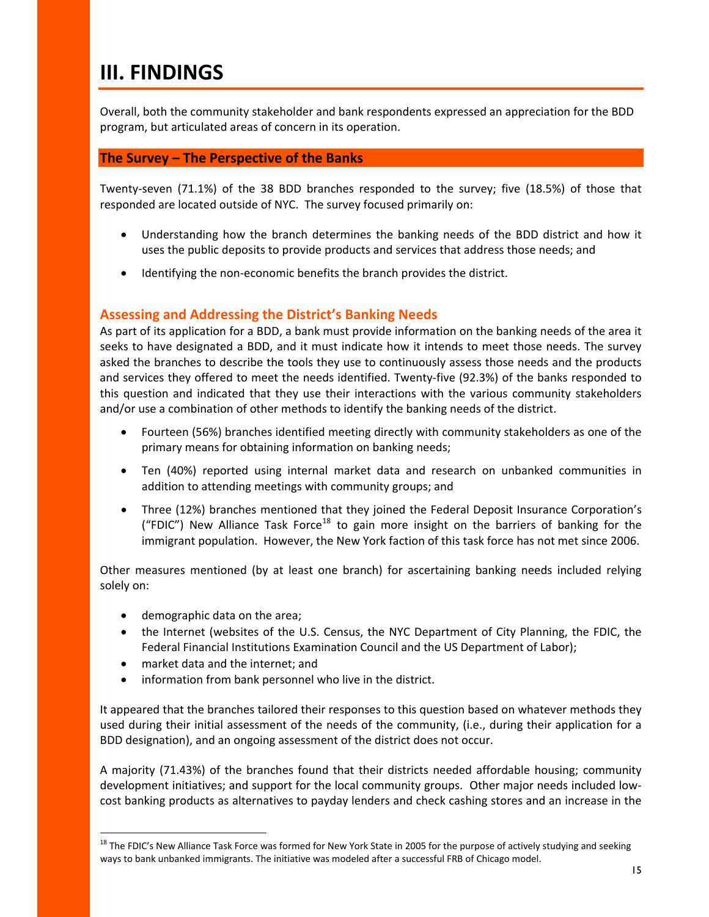# **III. FINDINGS**

Overall, both the community stakeholder and bank respondents expressed an appreciation for the BDD program, but articulated areas of concern in its operation.

# **The Survey – The Perspective of the Banks**

Twenty‐seven (71.1%) of the 38 BDD branches responded to the survey; five (18.5%) of those that responded are located outside of NYC. The survey focused primarily on:

- Understanding how the branch determines the banking needs of the BDD district and how it uses the public deposits to provide products and services that address those needs; and
- Identifying the non‐economic benefits the branch provides the district.

# **Assessing and Addressing the District's Banking Needs**

As part of its application for a BDD, a bank must provide information on the banking needs of the area it seeks to have designated a BDD, and it must indicate how it intends to meet those needs. The survey asked the branches to describe the tools they use to continuously assess those needs and the products and services they offered to meet the needs identified. Twenty‐five (92.3%) of the banks responded to this question and indicated that they use their interactions with the various community stakeholders and/or use a combination of other methods to identify the banking needs of the district.

- Fourteen (56%) branches identified meeting directly with community stakeholders as one of the primary means for obtaining information on banking needs;
- Ten (40%) reported using internal market data and research on unbanked communities in addition to attending meetings with community groups; and
- Three (12%) branches mentioned that they joined the Federal Deposit Insurance Corporation's ("FDIC") New Alliance Task Force<sup>[18](#page-14-0)</sup> to gain more insight on the barriers of banking for the immigrant population. However, the New York faction of this task force has not met since 2006.

Other measures mentioned (by at least one branch) for ascertaining banking needs included relying solely on:

- demographic data on the area;
- the Internet (websites of the U.S. Census, the NYC Department of City Planning, the FDIC, the Federal Financial Institutions Examination Council and the US Department of Labor);
- market data and the internet; and

 $\overline{a}$ 

information from bank personnel who live in the district.

It appeared that the branches tailored their responses to this question based on whatever methods they used during their initial assessment of the needs of the community, (i.e., during their application for a BDD designation), and an ongoing assessment of the district does not occur.

A majority (71.43%) of the branches found that their districts needed affordable housing; community development initiatives; and support for the local community groups. Other major needs included low‐ cost banking products as alternatives to payday lenders and check cashing stores and an increase in the

<span id="page-14-0"></span><sup>&</sup>lt;sup>18</sup> The FDIC's New Alliance Task Force was formed for New York State in 2005 for the purpose of actively studying and seeking ways to bank unbanked immigrants. The initiative was modeled after a successful FRB of Chicago model.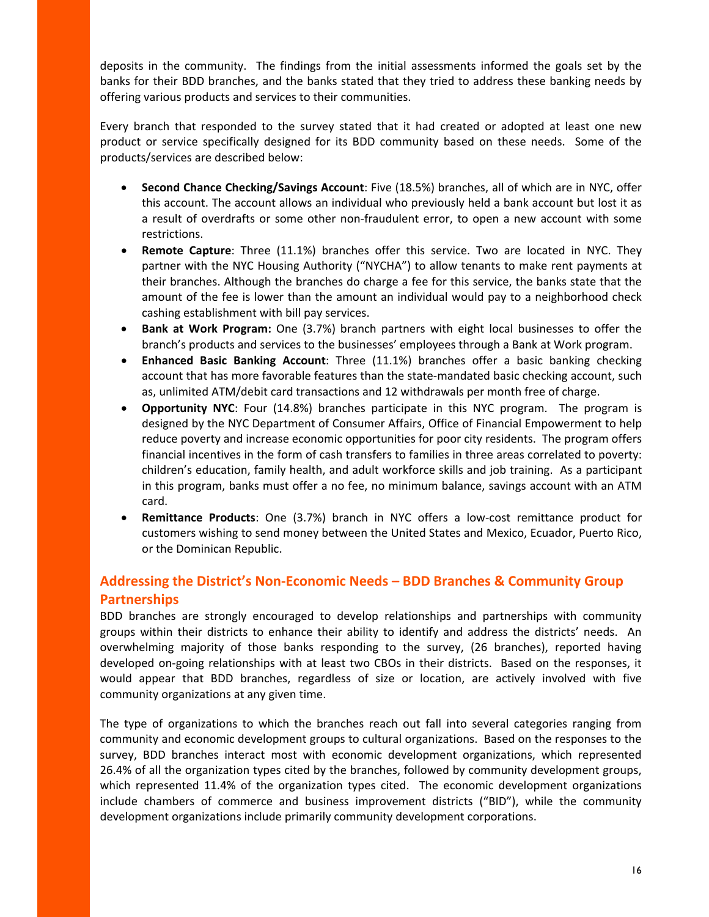deposits in the community. The findings from the initial assessments informed the goals set by the banks for their BDD branches, and the banks stated that they tried to address these banking needs by offering various products and services to their communities.

Every branch that responded to the survey stated that it had created or adopted at least one new product or service specifically designed for its BDD community based on these needs. Some of the products/services are described below:

- **Second Chance Checking/Savings Account**: Five (18.5%) branches, all of which are in NYC, offer this account. The account allows an individual who previously held a bank account but lost it as a result of overdrafts or some other non‐fraudulent error, to open a new account with some restrictions.
- **Remote Capture**: Three (11.1%) branches offer this service. Two are located in NYC. They partner with the NYC Housing Authority ("NYCHA") to allow tenants to make rent payments at their branches. Although the branches do charge a fee for this service, the banks state that the amount of the fee is lower than the amount an individual would pay to a neighborhood check cashing establishment with bill pay services.
- **Bank at Work Program:** One (3.7%) branch partners with eight local businesses to offer the branch's products and services to the businesses' employees through a Bank at Work program.
- **Enhanced Basic Banking Account**: Three (11.1%) branches offer a basic banking checking account that has more favorable features than the state‐mandated basic checking account, such as, unlimited ATM/debit card transactions and 12 withdrawals per month free of charge.
- **Opportunity NYC**: Four (14.8%) branches participate in this NYC program. The program is designed by the NYC Department of Consumer Affairs, Office of Financial Empowerment to help reduce poverty and increase economic opportunities for poor city residents. The program offers financial incentives in the form of cash transfers to families in three areas correlated to poverty: children's education, family health, and adult workforce skills and job training. As a participant in this program, banks must offer a no fee, no minimum balance, savings account with an ATM card.
- **Remittance Products**: One (3.7%) branch in NYC offers a low‐cost remittance product for customers wishing to send money between the United States and Mexico, Ecuador, Puerto Rico, or the Dominican Republic.

# **Addressing the District's Non‐Economic Needs – BDD Branches & Community Group Partnerships**

BDD branches are strongly encouraged to develop relationships and partnerships with community groups within their districts to enhance their ability to identify and address the districts' needs. An overwhelming majority of those banks responding to the survey, (26 branches), reported having developed on‐going relationships with at least two CBOs in their districts. Based on the responses, it would appear that BDD branches, regardless of size or location, are actively involved with five community organizations at any given time.

The type of organizations to which the branches reach out fall into several categories ranging from community and economic development groups to cultural organizations. Based on the responses to the survey, BDD branches interact most with economic development organizations, which represented 26.4% of all the organization types cited by the branches, followed by community development groups, which represented 11.4% of the organization types cited. The economic development organizations include chambers of commerce and business improvement districts ("BID"), while the community development organizations include primarily community development corporations.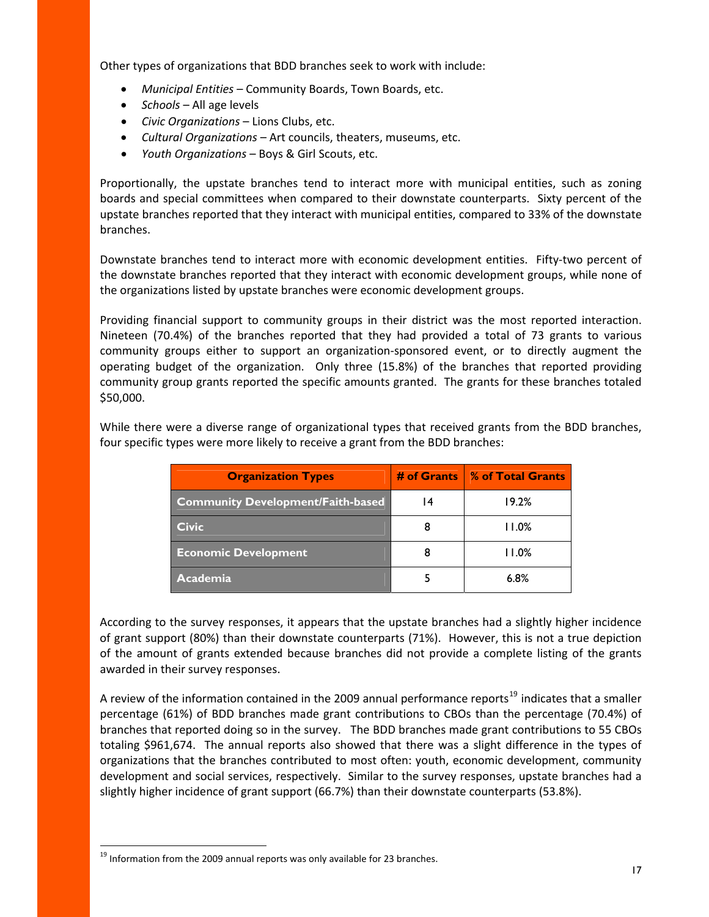Other types of organizations that BDD branches seek to work with include:

- *Municipal Entities* Community Boards, Town Boards, etc.
- *Schools* All age levels
- *Civic Organizations* Lions Clubs, etc.
- *Cultural Organizations* Art councils, theaters, museums, etc.
- *Youth Organizations* Boys & Girl Scouts, etc.

Proportionally, the upstate branches tend to interact more with municipal entities, such as zoning boards and special committees when compared to their downstate counterparts. Sixty percent of the upstate branches reported that they interact with municipal entities, compared to 33% of the downstate branches.

Downstate branches tend to interact more with economic development entities. Fifty-two percent of the downstate branches reported that they interact with economic development groups, while none of the organizations listed by upstate branches were economic development groups.

Providing financial support to community groups in their district was the most reported interaction. Nineteen (70.4%) of the branches reported that they had provided a total of 73 grants to various community groups either to support an organization‐sponsored event, or to directly augment the operating budget of the organization. Only three (15.8%) of the branches that reported providing community group grants reported the specific amounts granted. The grants for these branches totaled \$50,000.

| <b>Organization Types</b>                |    | # of Grants   % of Total Grants |
|------------------------------------------|----|---------------------------------|
| <b>Community Development/Faith-based</b> | 14 | 19.2%                           |
| <b>Civic</b>                             | 8  | 11.0%                           |
| <b>Economic Development</b>              | 8  | 11.0%                           |
| Academia                                 |    | 6 ጸ%                            |

While there were a diverse range of organizational types that received grants from the BDD branches, four specific types were more likely to receive a grant from the BDD branches:

According to the survey responses, it appears that the upstate branches had a slightly higher incidence of grant support (80%) than their downstate counterparts (71%). However, this is not a true depiction of the amount of grants extended because branches did not provide a complete listing of the grants awarded in their survey responses.

A review of the information contained in the 2009 annual performance reports<sup>[19](#page-16-0)</sup> indicates that a smaller percentage (61%) of BDD branches made grant contributions to CBOs than the percentage (70.4%) of branches that reported doing so in the survey. The BDD branches made grant contributions to 55 CBOs totaling \$961,674. The annual reports also showed that there was a slight difference in the types of organizations that the branches contributed to most often: youth, economic development, community development and social services, respectively. Similar to the survey responses, upstate branches had a slightly higher incidence of grant support (66.7%) than their downstate counterparts (53.8%).

 $\overline{a}$ 

<span id="page-16-0"></span> $19$  Information from the 2009 annual reports was only available for 23 branches.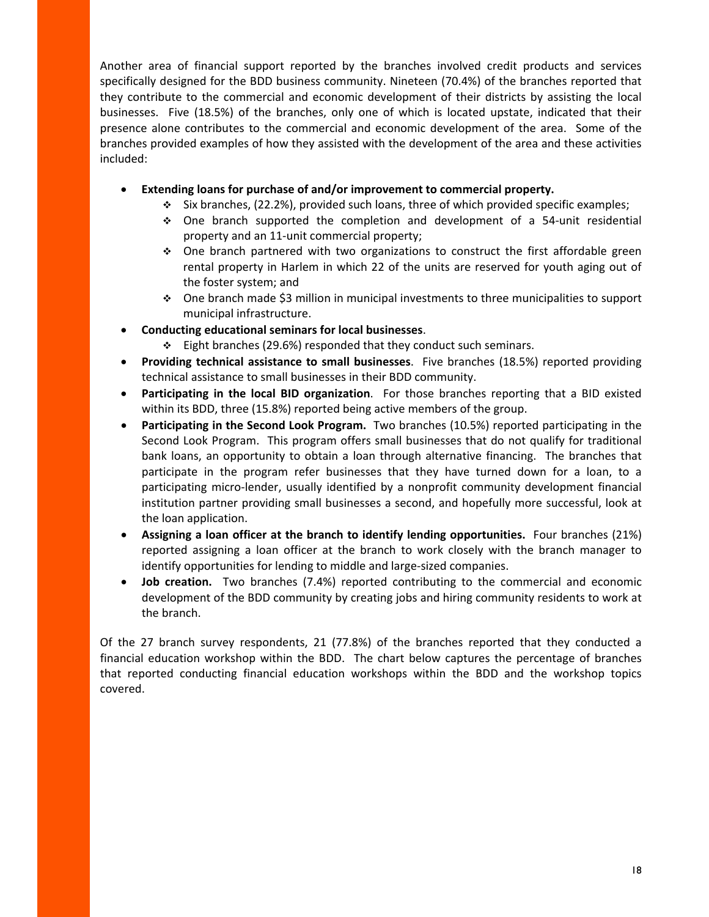Another area of financial support reported by the branches involved credit products and services specifically designed for the BDD business community. Nineteen (70.4%) of the branches reported that they contribute to the commercial and economic development of their districts by assisting the local businesses. Five (18.5%) of the branches, only one of which is located upstate, indicated that their presence alone contributes to the commercial and economic development of the area. Some of the branches provided examples of how they assisted with the development of the area and these activities included:

- **Extending loans for purchase of and/or improvement to commercial property.**
	- $\div$  Six branches, (22.2%), provided such loans, three of which provided specific examples;
	- One branch supported the completion and development of a 54‐unit residential property and an 11-unit commercial property;
	- One branch partnered with two organizations to construct the first affordable green rental property in Harlem in which 22 of the units are reserved for youth aging out of the foster system; and
	- One branch made \$3 million in municipal investments to three municipalities to support municipal infrastructure.
- **Conducting educational seminars for local businesses**.
	- $\div$  Eight branches (29.6%) responded that they conduct such seminars.
- **Providing technical assistance to small businesses**. Five branches (18.5%) reported providing technical assistance to small businesses in their BDD community.
- **Participating in the local BID organization**. For those branches reporting that a BID existed within its BDD, three (15.8%) reported being active members of the group.
- **Participating in the Second Look Program.** Two branches (10.5%) reported participating in the Second Look Program. This program offers small businesses that do not qualify for traditional bank loans, an opportunity to obtain a loan through alternative financing. The branches that participate in the program refer businesses that they have turned down for a loan, to a participating micro‐lender, usually identified by a nonprofit community development financial institution partner providing small businesses a second, and hopefully more successful, look at the loan application.
- **Assigning a loan officer at the branch to identify lending opportunities.** Four branches (21%) reported assigning a loan officer at the branch to work closely with the branch manager to identify opportunities for lending to middle and large‐sized companies.
- **Job creation.**  Two branches (7.4%) reported contributing to the commercial and economic development of the BDD community by creating jobs and hiring community residents to work at the branch.

Of the 27 branch survey respondents, 21 (77.8%) of the branches reported that they conducted a financial education workshop within the BDD. The chart below captures the percentage of branches that reported conducting financial education workshops within the BDD and the workshop topics covered.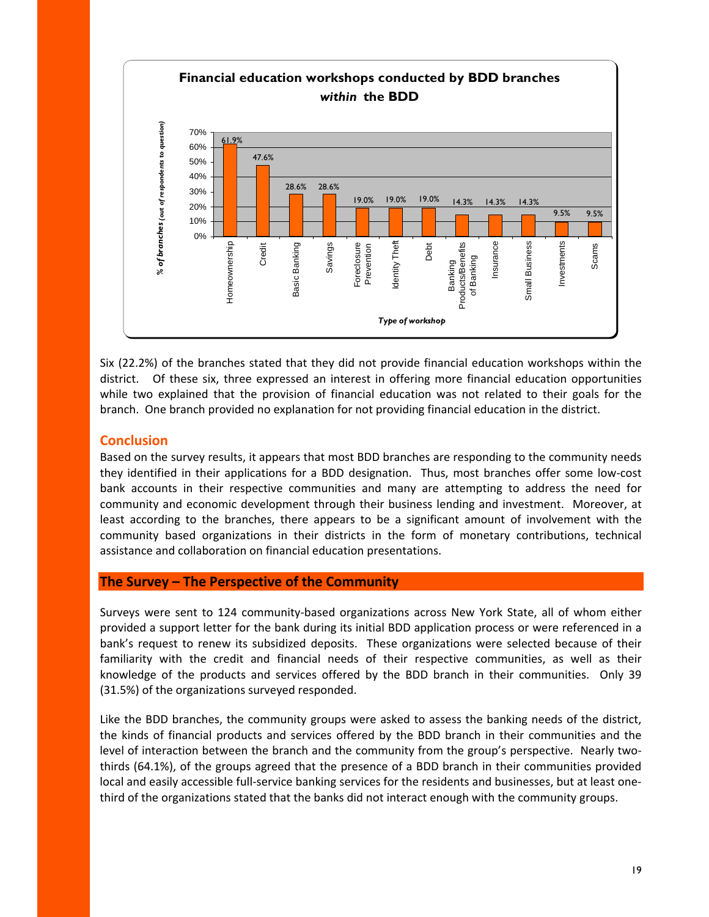

Six (22.2%) of the branches stated that they did not provide financial education workshops within the district. Of these six, three expressed an interest in offering more financial education opportunities while two explained that the provision of financial education was not related to their goals for the branch. One branch provided no explanation for not providing financial education in the district.

# **Conclusion**

Based on the survey results, it appears that most BDD branches are responding to the community needs they identified in their applications for a BDD designation. Thus, most branches offer some low‐cost bank accounts in their respective communities and many are attempting to address the need for community and economic development through their business lending and investment. Moreover, at least according to the branches, there appears to be a significant amount of involvement with the community based organizations in their districts in the form of monetary contributions, technical assistance and collaboration on financial education presentations.

# **The Survey – The Perspective of the Community**

Surveys were sent to 124 community‐based organizations across New York State, all of whom either provided a support letter for the bank during its initial BDD application process or were referenced in a bank's request to renew its subsidized deposits. These organizations were selected because of their familiarity with the credit and financial needs of their respective communities, as well as their knowledge of the products and services offered by the BDD branch in their communities. Only 39 (31.5%) of the organizations surveyed responded.

Like the BDD branches, the community groups were asked to assess the banking needs of the district, the kinds of financial products and services offered by the BDD branch in their communities and the level of interaction between the branch and the community from the group's perspective. Nearly twothirds (64.1%), of the groups agreed that the presence of a BDD branch in their communities provided local and easily accessible full‐service banking services for the residents and businesses, but at least one‐ third of the organizations stated that the banks did not interact enough with the community groups.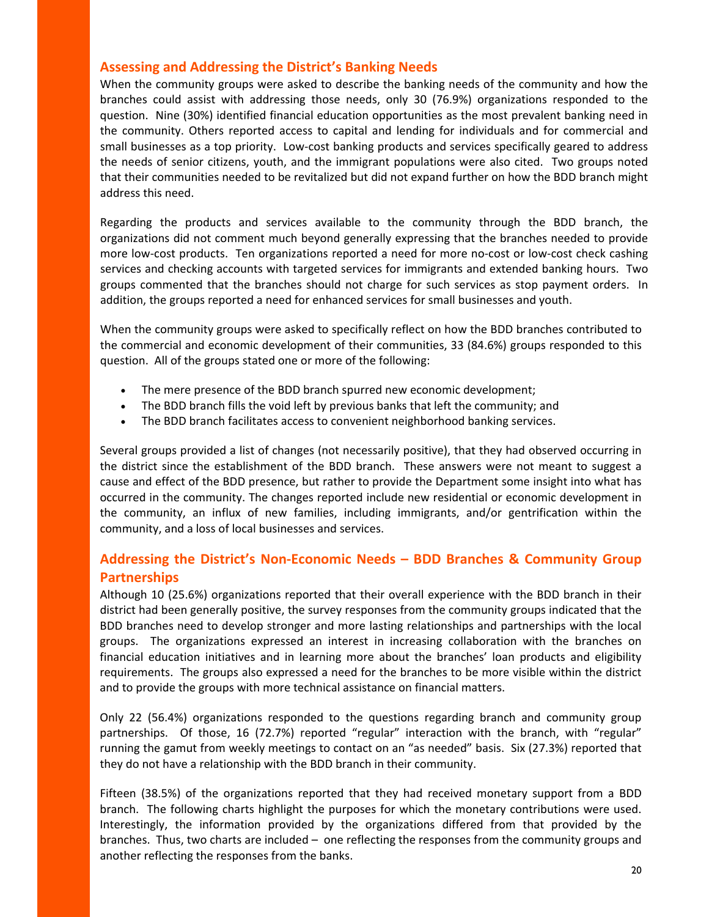# **Assessing and Addressing the District's Banking Needs**

When the community groups were asked to describe the banking needs of the community and how the branches could assist with addressing those needs, only 30 (76.9%) organizations responded to the question. Nine (30%) identified financial education opportunities as the most prevalent banking need in the community. Others reported access to capital and lending for individuals and for commercial and small businesses as a top priority. Low-cost banking products and services specifically geared to address the needs of senior citizens, youth, and the immigrant populations were also cited. Two groups noted that their communities needed to be revitalized but did not expand further on how the BDD branch might address this need.

Regarding the products and services available to the community through the BDD branch, the organizations did not comment much beyond generally expressing that the branches needed to provide more low-cost products. Ten organizations reported a need for more no-cost or low-cost check cashing services and checking accounts with targeted services for immigrants and extended banking hours. Two groups commented that the branches should not charge for such services as stop payment orders. In addition, the groups reported a need for enhanced services for small businesses and youth.

When the community groups were asked to specifically reflect on how the BDD branches contributed to the commercial and economic development of their communities, 33 (84.6%) groups responded to this question. All of the groups stated one or more of the following:

- The mere presence of the BDD branch spurred new economic development;
- The BDD branch fills the void left by previous banks that left the community; and
- The BDD branch facilitates access to convenient neighborhood banking services.

Several groups provided a list of changes (not necessarily positive), that they had observed occurring in the district since the establishment of the BDD branch. These answers were not meant to suggest a cause and effect of the BDD presence, but rather to provide the Department some insight into what has occurred in the community. The changes reported include new residential or economic development in the community, an influx of new families, including immigrants, and/or gentrification within the community, and a loss of local businesses and services.

# **Addressing the District's Non‐Economic Needs – BDD Branches & Community Group Partnerships**

Although 10 (25.6%) organizations reported that their overall experience with the BDD branch in their district had been generally positive, the survey responses from the community groups indicated that the BDD branches need to develop stronger and more lasting relationships and partnerships with the local groups. The organizations expressed an interest in increasing collaboration with the branches on financial education initiatives and in learning more about the branches' loan products and eligibility requirements. The groups also expressed a need for the branches to be more visible within the district and to provide the groups with more technical assistance on financial matters.

Only 22 (56.4%) organizations responded to the questions regarding branch and community group partnerships. Of those, 16 (72.7%) reported "regular" interaction with the branch, with "regular" running the gamut from weekly meetings to contact on an "as needed" basis. Six (27.3%) reported that they do not have a relationship with the BDD branch in their community.

Fifteen (38.5%) of the organizations reported that they had received monetary support from a BDD branch. The following charts highlight the purposes for which the monetary contributions were used. Interestingly, the information provided by the organizations differed from that provided by the branches. Thus, two charts are included – one reflecting the responses from the community groups and another reflecting the responses from the banks.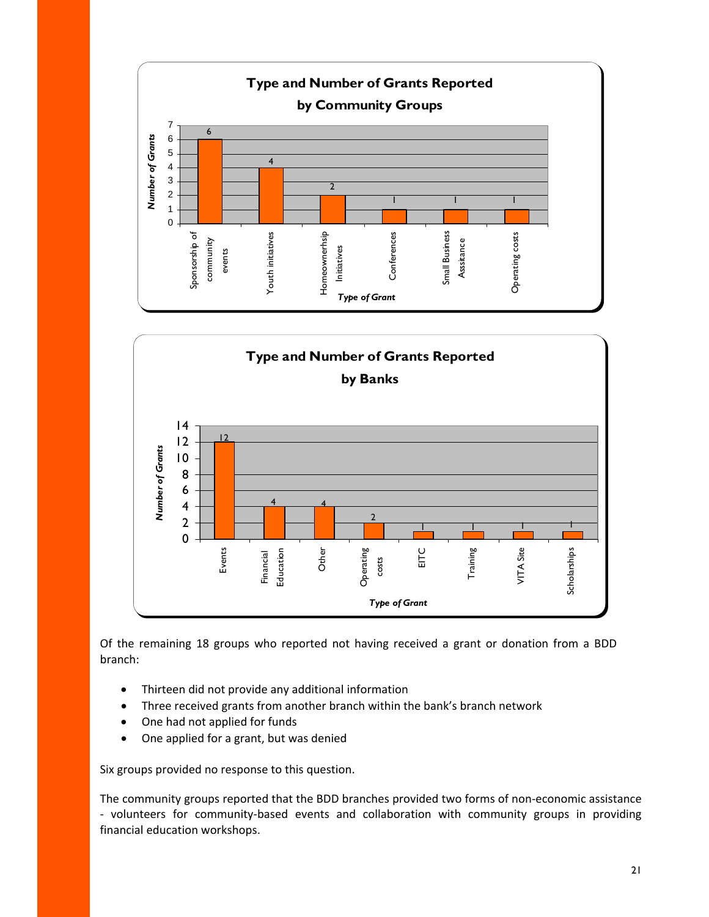



Of the remaining 18 groups who reported not having received a grant or donation from a BDD branch:

- Thirteen did not provide any additional information
- Three received grants from another branch within the bank's branch network
- One had not applied for funds
- One applied for a grant, but was denied

Six groups provided no response to this question.

The community groups reported that the BDD branches provided two forms of non‐economic assistance ‐ volunteers for community‐based events and collaboration with community groups in providing financial education workshops.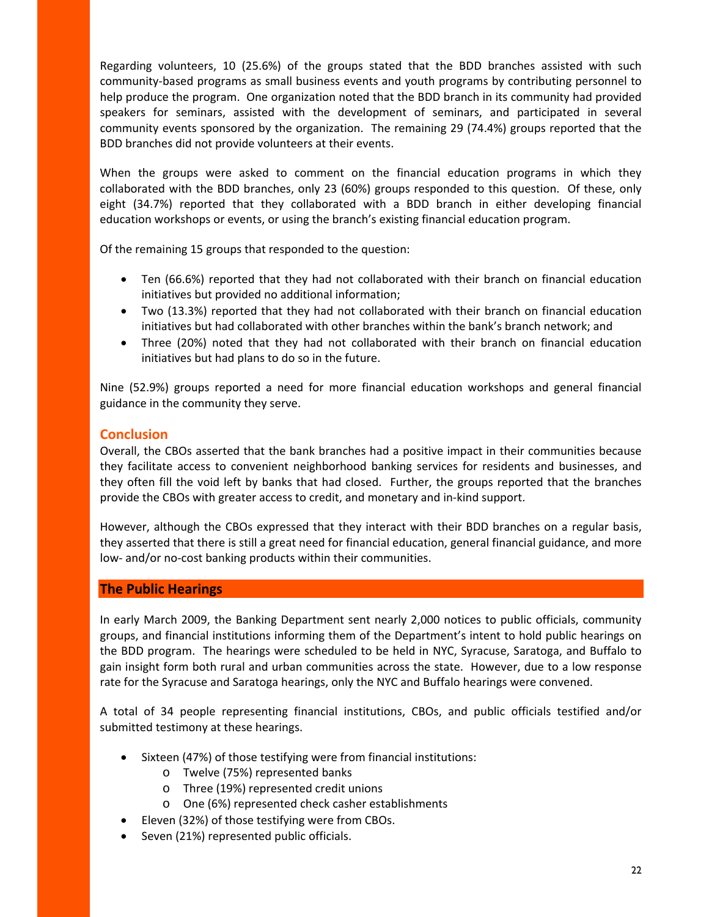Regarding volunteers, 10 (25.6%) of the groups stated that the BDD branches assisted with such community-based programs as small business events and youth programs by contributing personnel to help produce the program. One organization noted that the BDD branch in its community had provided speakers for seminars, assisted with the development of seminars, and participated in several community events sponsored by the organization. The remaining 29 (74.4%) groups reported that the BDD branches did not provide volunteers at their events.

When the groups were asked to comment on the financial education programs in which they collaborated with the BDD branches, only 23 (60%) groups responded to this question. Of these, only eight (34.7%) reported that they collaborated with a BDD branch in either developing financial education workshops or events, or using the branch's existing financial education program.

Of the remaining 15 groups that responded to the question:

- Ten (66.6%) reported that they had not collaborated with their branch on financial education initiatives but provided no additional information;
- Two (13.3%) reported that they had not collaborated with their branch on financial education initiatives but had collaborated with other branches within the bank's branch network; and
- Three (20%) noted that they had not collaborated with their branch on financial education initiatives but had plans to do so in the future.

Nine (52.9%) groups reported a need for more financial education workshops and general financial guidance in the community they serve.

# **Conclusion**

Overall, the CBOs asserted that the bank branches had a positive impact in their communities because they facilitate access to convenient neighborhood banking services for residents and businesses, and they often fill the void left by banks that had closed. Further, the groups reported that the branches provide the CBOs with greater access to credit, and monetary and in‐kind support.

However, although the CBOs expressed that they interact with their BDD branches on a regular basis, they asserted that there is still a great need for financial education, general financial guidance, and more low‐ and/or no‐cost banking products within their communities.

# **The Public Hearings**

In early March 2009, the Banking Department sent nearly 2,000 notices to public officials, community groups, and financial institutions informing them of the Department's intent to hold public hearings on the BDD program. The hearings were scheduled to be held in NYC, Syracuse, Saratoga, and Buffalo to gain insight form both rural and urban communities across the state. However, due to a low response rate for the Syracuse and Saratoga hearings, only the NYC and Buffalo hearings were convened.

A total of 34 people representing financial institutions, CBOs, and public officials testified and/or submitted testimony at these hearings.

- Sixteen (47%) of those testifying were from financial institutions:
	- o Twelve (75%) represented banks
	- o Three (19%) represented credit unions
	- o One (6%) represented check casher establishments
- Eleven (32%) of those testifying were from CBOs.
- Seven (21%) represented public officials.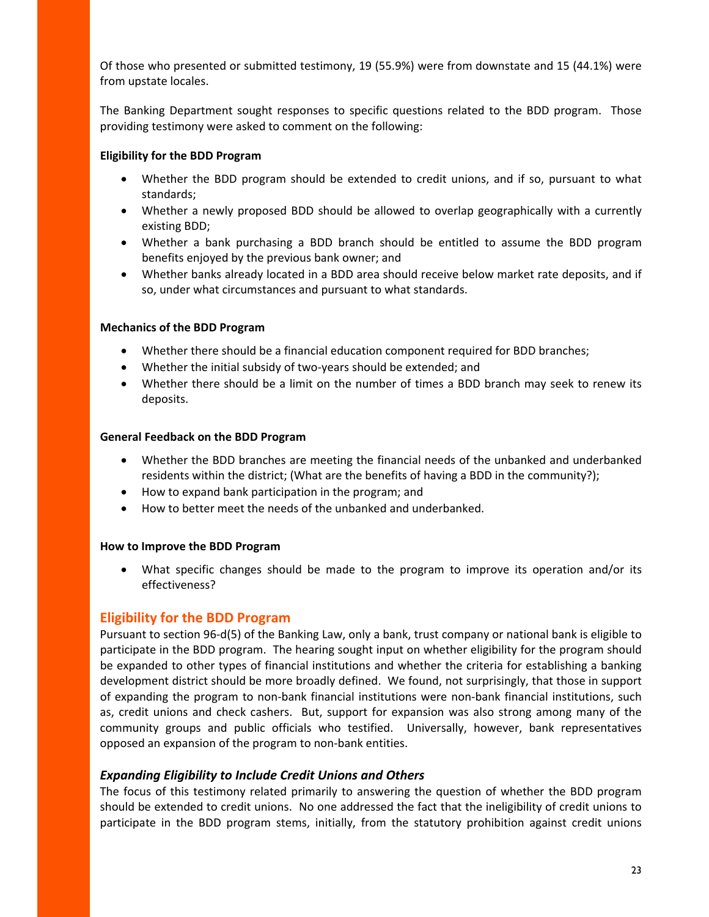Of those who presented or submitted testimony, 19 (55.9%) were from downstate and 15 (44.1%) were from upstate locales.

The Banking Department sought responses to specific questions related to the BDD program. Those providing testimony were asked to comment on the following:

# **Eligibility for the BDD Program**

- Whether the BDD program should be extended to credit unions, and if so, pursuant to what standards;
- Whether a newly proposed BDD should be allowed to overlap geographically with a currently existing BDD;
- Whether a bank purchasing a BDD branch should be entitled to assume the BDD program benefits enjoyed by the previous bank owner; and
- Whether banks already located in a BDD area should receive below market rate deposits, and if so, under what circumstances and pursuant to what standards.

# **Mechanics of the BDD Program**

- Whether there should be a financial education component required for BDD branches;
- Whether the initial subsidy of two‐years should be extended; and
- Whether there should be a limit on the number of times a BDD branch may seek to renew its deposits.

# **General Feedback on the BDD Program**

- Whether the BDD branches are meeting the financial needs of the unbanked and underbanked residents within the district; (What are the benefits of having a BDD in the community?);
- How to expand bank participation in the program; and
- How to better meet the needs of the unbanked and underbanked.

# **How to Improve the BDD Program**

• What specific changes should be made to the program to improve its operation and/or its effectiveness?

# **Eligibility for the BDD Program**

Pursuant to section 96‐d(5) of the Banking Law, only a bank, trust company or national bank is eligible to participate in the BDD program. The hearing sought input on whether eligibility for the program should be expanded to other types of financial institutions and whether the criteria for establishing a banking development district should be more broadly defined. We found, not surprisingly, that those in support of expanding the program to non‐bank financial institutions were non‐bank financial institutions, such as, credit unions and check cashers. But, support for expansion was also strong among many of the community groups and public officials who testified. Universally, however, bank representatives opposed an expansion of the program to non‐bank entities.

# *Expanding Eligibility to Include Credit Unions and Others*

The focus of this testimony related primarily to answering the question of whether the BDD program should be extended to credit unions. No one addressed the fact that the ineligibility of credit unions to participate in the BDD program stems, initially, from the statutory prohibition against credit unions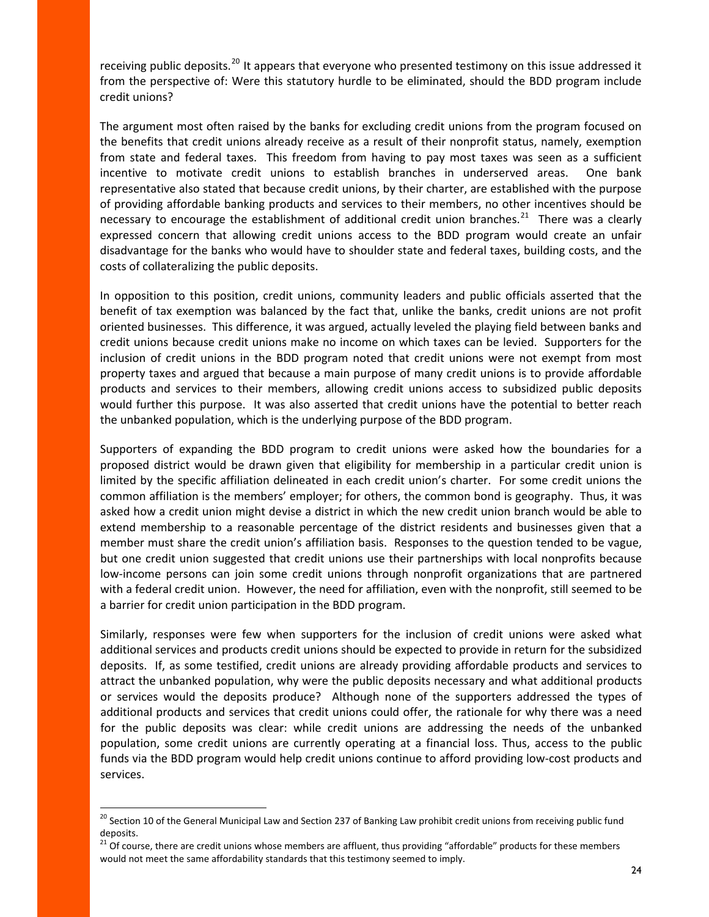receiving public deposits.<sup>[20](#page-23-0)</sup> It appears that everyone who presented testimony on this issue addressed it from the perspective of: Were this statutory hurdle to be eliminated, should the BDD program include credit unions?

The argument most often raised by the banks for excluding credit unions from the program focused on the benefits that credit unions already receive as a result of their nonprofit status, namely, exemption from state and federal taxes. This freedom from having to pay most taxes was seen as a sufficient incentive to motivate credit unions to establish branches in underserved areas. One bank representative also stated that because credit unions, by their charter, are established with the purpose of providing affordable banking products and services to their members, no other incentives should be necessary to encourage the establishment of additional credit union branches.<sup>[21](#page-23-1)</sup> There was a clearly expressed concern that allowing credit unions access to the BDD program would create an unfair disadvantage for the banks who would have to shoulder state and federal taxes, building costs, and the costs of collateralizing the public deposits.

In opposition to this position, credit unions, community leaders and public officials asserted that the benefit of tax exemption was balanced by the fact that, unlike the banks, credit unions are not profit oriented businesses. This difference, it was argued, actually leveled the playing field between banks and credit unions because credit unions make no income on which taxes can be levied. Supporters for the inclusion of credit unions in the BDD program noted that credit unions were not exempt from most property taxes and argued that because a main purpose of many credit unions is to provide affordable products and services to their members, allowing credit unions access to subsidized public deposits would further this purpose. It was also asserted that credit unions have the potential to better reach the unbanked population, which is the underlying purpose of the BDD program.

Supporters of expanding the BDD program to credit unions were asked how the boundaries for a proposed district would be drawn given that eligibility for membership in a particular credit union is limited by the specific affiliation delineated in each credit union's charter. For some credit unions the common affiliation is the members' employer; for others, the common bond is geography. Thus, it was asked how a credit union might devise a district in which the new credit union branch would be able to extend membership to a reasonable percentage of the district residents and businesses given that a member must share the credit union's affiliation basis. Responses to the question tended to be vague, but one credit union suggested that credit unions use their partnerships with local nonprofits because low-income persons can join some credit unions through nonprofit organizations that are partnered with a federal credit union. However, the need for affiliation, even with the nonprofit, still seemed to be a barrier for credit union participation in the BDD program.

Similarly, responses were few when supporters for the inclusion of credit unions were asked what additional services and products credit unions should be expected to provide in return for the subsidized deposits. If, as some testified, credit unions are already providing affordable products and services to attract the unbanked population, why were the public deposits necessary and what additional products or services would the deposits produce? Although none of the supporters addressed the types of additional products and services that credit unions could offer, the rationale for why there was a need for the public deposits was clear: while credit unions are addressing the needs of the unbanked population, some credit unions are currently operating at a financial loss. Thus, access to the public funds via the BDD program would help credit unions continue to afford providing low‐cost products and services.

 $\overline{a}$ 

<span id="page-23-0"></span><sup>&</sup>lt;sup>20</sup> Section 10 of the General Municipal Law and Section 237 of Banking Law prohibit credit unions from receiving public fund deposits.

<span id="page-23-1"></span><sup>&</sup>lt;sup>21</sup> Of course, there are credit unions whose members are affluent, thus providing "affordable" products for these members would not meet the same affordability standards that this testimony seemed to imply.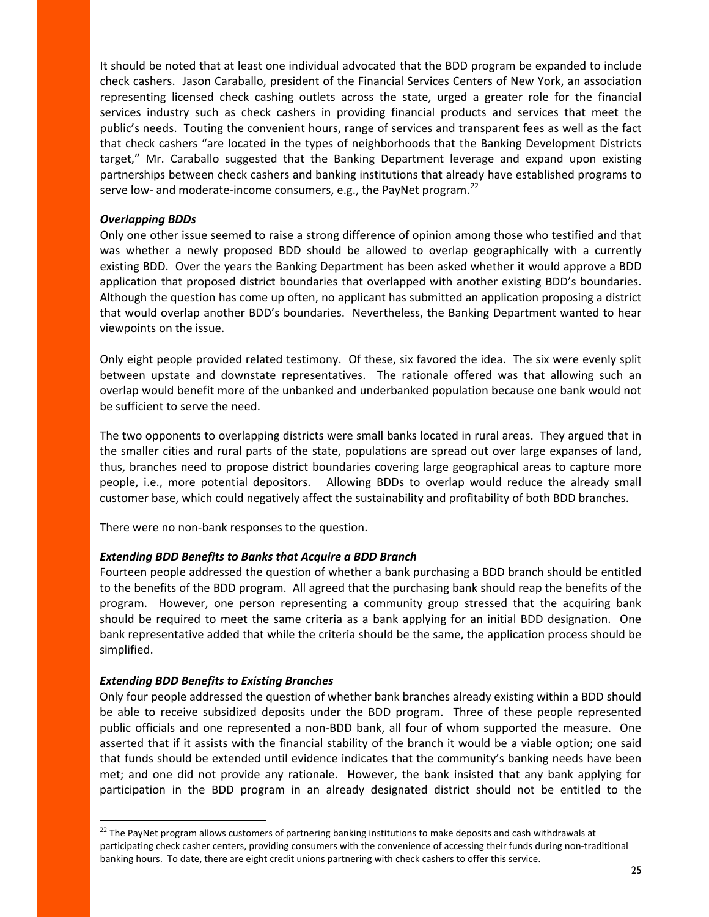It should be noted that at least one individual advocated that the BDD program be expanded to include check cashers. Jason Caraballo, president of the Financial Services Centers of New York, an association representing licensed check cashing outlets across the state, urged a greater role for the financial services industry such as check cashers in providing financial products and services that meet the public's needs. Touting the convenient hours, range of services and transparent fees as well as the fact that check cashers "are located in the types of neighborhoods that the Banking Development Districts target," Mr. Caraballo suggested that the Banking Department leverage and expand upon existing partnerships between check cashers and banking institutions that already have established programs to serve low- and moderate-income consumers, e.g., the PayNet program.<sup>[22](#page-24-0)</sup>

### *Overlapping BDDs*

Only one other issue seemed to raise a strong difference of opinion among those who testified and that was whether a newly proposed BDD should be allowed to overlap geographically with a currently existing BDD. Over the years the Banking Department has been asked whether it would approve a BDD application that proposed district boundaries that overlapped with another existing BDD's boundaries. Although the question has come up often, no applicant has submitted an application proposing a district that would overlap another BDD's boundaries. Nevertheless, the Banking Department wanted to hear viewpoints on the issue.

Only eight people provided related testimony. Of these, six favored the idea. The six were evenly split between upstate and downstate representatives. The rationale offered was that allowing such an overlap would benefit more of the unbanked and underbanked population because one bank would not be sufficient to serve the need.

The two opponents to overlapping districts were small banks located in rural areas. They argued that in the smaller cities and rural parts of the state, populations are spread out over large expanses of land, thus, branches need to propose district boundaries covering large geographical areas to capture more people, i.e., more potential depositors. Allowing BDDs to overlap would reduce the already small customer base, which could negatively affect the sustainability and profitability of both BDD branches.

There were no non‐bank responses to the question.

# *Extending BDD Benefits to Banks that Acquire a BDD Branch*

Fourteen people addressed the question of whether a bank purchasing a BDD branch should be entitled to the benefits of the BDD program. All agreed that the purchasing bank should reap the benefits of the program. However, one person representing a community group stressed that the acquiring bank should be required to meet the same criteria as a bank applying for an initial BDD designation. One bank representative added that while the criteria should be the same, the application process should be simplified.

# *Extending BDD Benefits to Existing Branches*

 $\overline{a}$ 

Only four people addressed the question of whether bank branches already existing within a BDD should be able to receive subsidized deposits under the BDD program. Three of these people represented public officials and one represented a non‐BDD bank, all four of whom supported the measure. One asserted that if it assists with the financial stability of the branch it would be a viable option; one said that funds should be extended until evidence indicates that the community's banking needs have been met; and one did not provide any rationale. However, the bank insisted that any bank applying for participation in the BDD program in an already designated district should not be entitled to the

<span id="page-24-0"></span> $22$  The PayNet program allows customers of partnering banking institutions to make deposits and cash withdrawals at participating check casher centers, providing consumers with the convenience of accessing their funds during non-traditional banking hours. To date, there are eight credit unions partnering with check cashers to offer this service.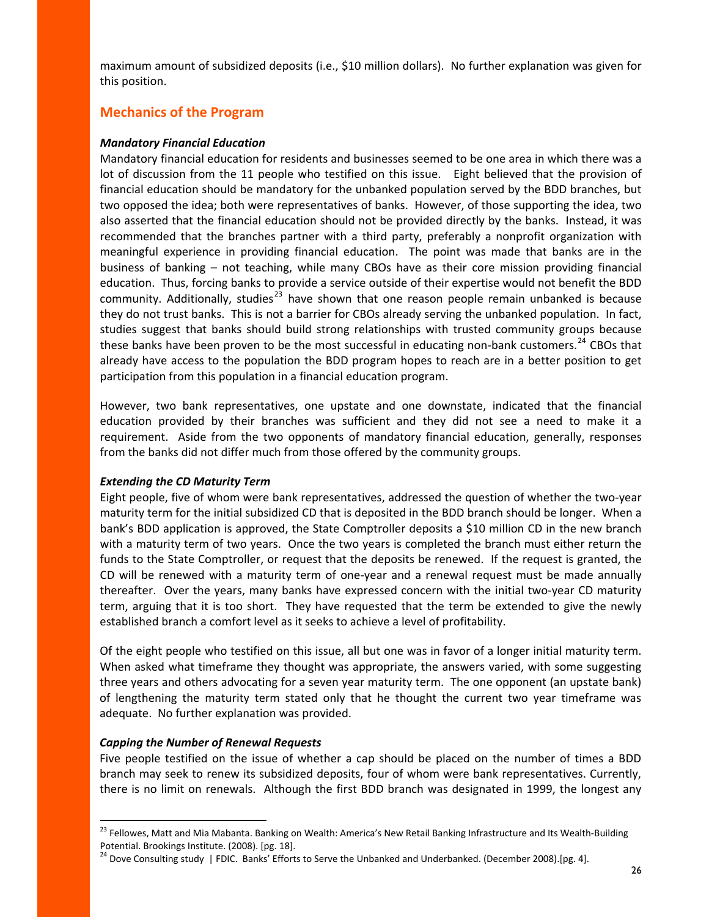maximum amount of subsidized deposits (i.e., \$10 million dollars). No further explanation was given for this position.

# **Mechanics of the Program**

### *Mandatory Financial Education*

Mandatory financial education for residents and businesses seemed to be one area in which there was a lot of discussion from the 11 people who testified on this issue. Eight believed that the provision of financial education should be mandatory for the unbanked population served by the BDD branches, but two opposed the idea; both were representatives of banks. However, of those supporting the idea, two also asserted that the financial education should not be provided directly by the banks. Instead, it was recommended that the branches partner with a third party, preferably a nonprofit organization with meaningful experience in providing financial education. The point was made that banks are in the business of banking – not teaching, while many CBOs have as their core mission providing financial education. Thus, forcing banks to provide a service outside of their expertise would not benefit the BDD community. Additionally, studies<sup>[23](#page-25-0)</sup> have shown that one reason people remain unbanked is because they do not trust banks. This is not a barrier for CBOs already serving the unbanked population. In fact, studies suggest that banks should build strong relationships with trusted community groups because these banks have been proven to be the most successful in educating non-bank customers.<sup>[24](#page-25-1)</sup> CBOs that already have access to the population the BDD program hopes to reach are in a better position to get participation from this population in a financial education program.

However, two bank representatives, one upstate and one downstate, indicated that the financial education provided by their branches was sufficient and they did not see a need to make it a requirement. Aside from the two opponents of mandatory financial education, generally, responses from the banks did not differ much from those offered by the community groups.

#### *Extending the CD Maturity Term*

Eight people, five of whom were bank representatives, addressed the question of whether the two‐year maturity term for the initial subsidized CD that is deposited in the BDD branch should be longer. When a bank's BDD application is approved, the State Comptroller deposits a \$10 million CD in the new branch with a maturity term of two years. Once the two years is completed the branch must either return the funds to the State Comptroller, or request that the deposits be renewed. If the request is granted, the CD will be renewed with a maturity term of one‐year and a renewal request must be made annually thereafter. Over the years, many banks have expressed concern with the initial two-year CD maturity term, arguing that it is too short. They have requested that the term be extended to give the newly established branch a comfort level as it seeks to achieve a level of profitability.

Of the eight people who testified on this issue, all but one was in favor of a longer initial maturity term. When asked what timeframe they thought was appropriate, the answers varied, with some suggesting three years and others advocating for a seven year maturity term. The one opponent (an upstate bank) of lengthening the maturity term stated only that he thought the current two year timeframe was adequate. No further explanation was provided.

# *Capping the Number of Renewal Requests*

 $\overline{a}$ 

Five people testified on the issue of whether a cap should be placed on the number of times a BDD branch may seek to renew its subsidized deposits, four of whom were bank representatives. Currently, there is no limit on renewals. Although the first BDD branch was designated in 1999, the longest any

<span id="page-25-0"></span><sup>&</sup>lt;sup>23</sup> Fellowes, Matt and Mia Mabanta. Banking on Wealth: America's New Retail Banking Infrastructure and Its Wealth-Building Potential. Brookings Institute. (2008). [pg. 18].<br><sup>24</sup> Dove Consulting study | FDIC. Banks' Efforts to Serve the Unbanked and Underbanked. (December 2008).[pg. 4].

<span id="page-25-1"></span>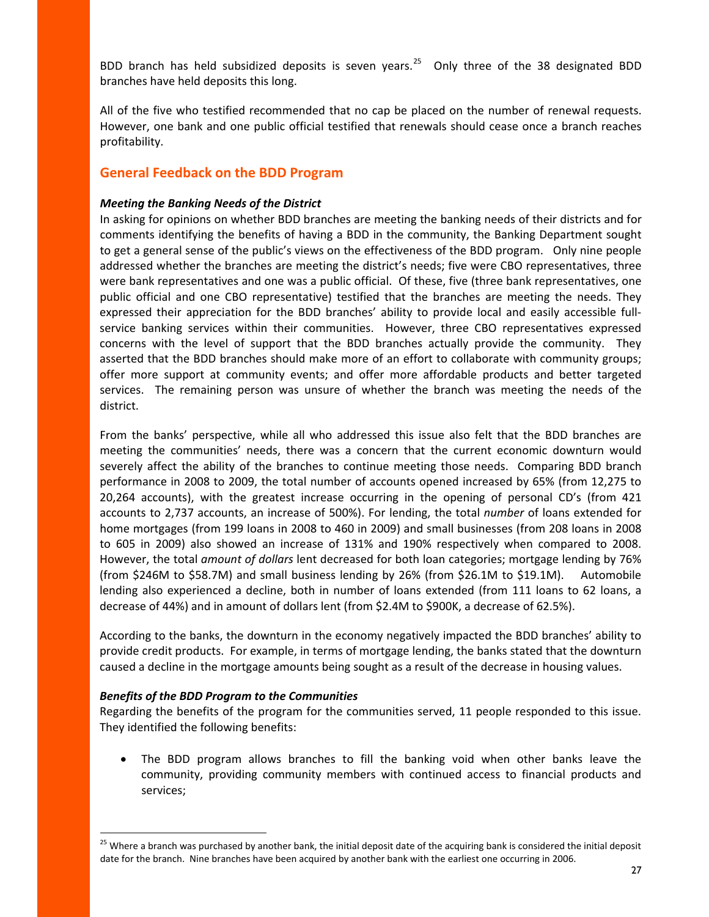BDD branch has held subsidized deposits is seven years.<sup>[25](#page-26-0)</sup> Only three of the 38 designated BDD branches have held deposits this long.

All of the five who testified recommended that no cap be placed on the number of renewal requests. However, one bank and one public official testified that renewals should cease once a branch reaches profitability.

# **General Feedback on the BDD Program**

#### *Meeting the Banking Needs of the District*

In asking for opinions on whether BDD branches are meeting the banking needs of their districts and for comments identifying the benefits of having a BDD in the community, the Banking Department sought to get a general sense of the public's views on the effectiveness of the BDD program. Only nine people addressed whether the branches are meeting the district's needs; five were CBO representatives, three were bank representatives and one was a public official. Of these, five (three bank representatives, one public official and one CBO representative) testified that the branches are meeting the needs. They expressed their appreciation for the BDD branches' ability to provide local and easily accessible full‐ service banking services within their communities. However, three CBO representatives expressed concerns with the level of support that the BDD branches actually provide the community. They asserted that the BDD branches should make more of an effort to collaborate with community groups; offer more support at community events; and offer more affordable products and better targeted services. The remaining person was unsure of whether the branch was meeting the needs of the district.

From the banks' perspective, while all who addressed this issue also felt that the BDD branches are meeting the communities' needs, there was a concern that the current economic downturn would severely affect the ability of the branches to continue meeting those needs. Comparing BDD branch performance in 2008 to 2009, the total number of accounts opened increased by 65% (from 12,275 to 20,264 accounts), with the greatest increase occurring in the opening of personal CD's (from 421 accounts to 2,737 accounts, an increase of 500%). For lending, the total *number* of loans extended for home mortgages (from 199 loans in 2008 to 460 in 2009) and small businesses (from 208 loans in 2008 to 605 in 2009) also showed an increase of 131% and 190% respectively when compared to 2008. However, the total *amount of dollars* lent decreased for both loan categories; mortgage lending by 76% (from \$246M to \$58.7M) and small business lending by 26% (from \$26.1M to \$19.1M). Automobile lending also experienced a decline, both in number of loans extended (from 111 loans to 62 loans, a decrease of 44%) and in amount of dollars lent (from \$2.4M to \$900K, a decrease of 62.5%).

According to the banks, the downturn in the economy negatively impacted the BDD branches' ability to provide credit products. For example, in terms of mortgage lending, the banks stated that the downturn caused a decline in the mortgage amounts being sought as a result of the decrease in housing values.

#### *Benefits of the BDD Program to the Communities*

 $\overline{a}$ 

Regarding the benefits of the program for the communities served, 11 people responded to this issue. They identified the following benefits:

The BDD program allows branches to fill the banking void when other banks leave the community, providing community members with continued access to financial products and services;

<span id="page-26-0"></span><sup>&</sup>lt;sup>25</sup> Where a branch was purchased by another bank, the initial deposit date of the acquiring bank is considered the initial deposit date for the branch. Nine branches have been acquired by another bank with the earliest one occurring in 2006.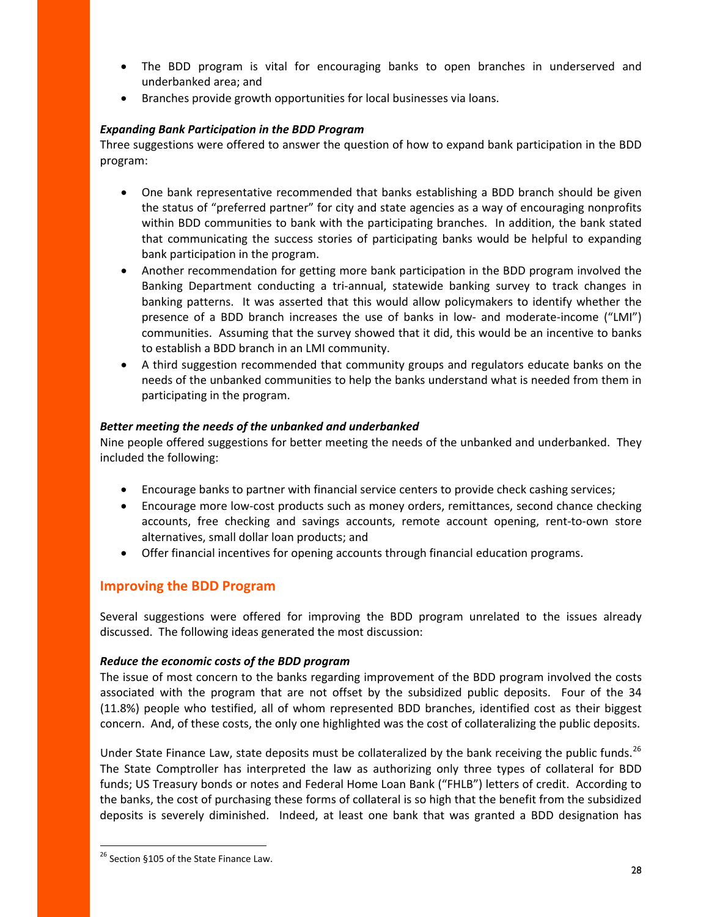- The BDD program is vital for encouraging banks to open branches in underserved and underbanked area; and
- Branches provide growth opportunities for local businesses via loans.

# *Expanding Bank Participation in the BDD Program*

Three suggestions were offered to answer the question of how to expand bank participation in the BDD program:

- One bank representative recommended that banks establishing a BDD branch should be given the status of "preferred partner" for city and state agencies as a way of encouraging nonprofits within BDD communities to bank with the participating branches. In addition, the bank stated that communicating the success stories of participating banks would be helpful to expanding bank participation in the program.
- Another recommendation for getting more bank participation in the BDD program involved the Banking Department conducting a tri‐annual, statewide banking survey to track changes in banking patterns. It was asserted that this would allow policymakers to identify whether the presence of a BDD branch increases the use of banks in low‐ and moderate‐income ("LMI") communities. Assuming that the survey showed that it did, this would be an incentive to banks to establish a BDD branch in an LMI community.
- A third suggestion recommended that community groups and regulators educate banks on the needs of the unbanked communities to help the banks understand what is needed from them in participating in the program.

# *Better meeting the needs of the unbanked and underbanked*

Nine people offered suggestions for better meeting the needs of the unbanked and underbanked. They included the following:

- Encourage banks to partner with financial service centers to provide check cashing services;
- Encourage more low‐cost products such as money orders, remittances, second chance checking accounts, free checking and savings accounts, remote account opening, rent-to-own store alternatives, small dollar loan products; and
- Offer financial incentives for opening accounts through financial education programs.

# **Improving the BDD Program**

Several suggestions were offered for improving the BDD program unrelated to the issues already discussed. The following ideas generated the most discussion:

# *Reduce the economic costs of the BDD program*

The issue of most concern to the banks regarding improvement of the BDD program involved the costs associated with the program that are not offset by the subsidized public deposits. Four of the 34 (11.8%) people who testified, all of whom represented BDD branches, identified cost as their biggest concern. And, of these costs, the only one highlighted was the cost of collateralizing the public deposits.

Under State Finance Law, state deposits must be collateralized by the bank receiving the public funds.<sup>[26](#page-27-0)</sup> The State Comptroller has interpreted the law as authorizing only three types of collateral for BDD funds; US Treasury bonds or notes and Federal Home Loan Bank ("FHLB") letters of credit. According to the banks, the cost of purchasing these forms of collateral is so high that the benefit from the subsidized deposits is severely diminished. Indeed, at least one bank that was granted a BDD designation has

 $\overline{a}$ 

<span id="page-27-0"></span><sup>&</sup>lt;sup>26</sup> Section §105 of the State Finance Law.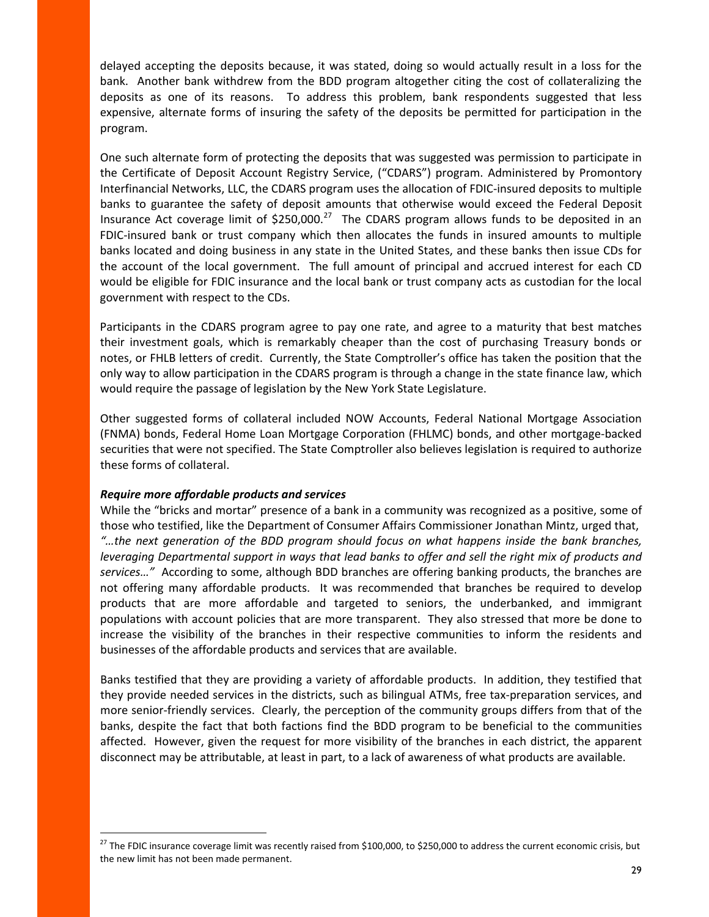delayed accepting the deposits because, it was stated, doing so would actually result in a loss for the bank. Another bank withdrew from the BDD program altogether citing the cost of collateralizing the deposits as one of its reasons. To address this problem, bank respondents suggested that less expensive, alternate forms of insuring the safety of the deposits be permitted for participation in the program.

One such alternate form of protecting the deposits that was suggested was permission to participate in the Certificate of Deposit Account Registry Service, ("CDARS") program. Administered by Promontory Interfinancial Networks, LLC, the CDARS program uses the allocation of FDIC‐insured deposits to multiple banks to guarantee the safety of deposit amounts that otherwise would exceed the Federal Deposit Insurance Act coverage limit of  $$250,000.<sup>27</sup>$  $$250,000.<sup>27</sup>$  $$250,000.<sup>27</sup>$  The CDARS program allows funds to be deposited in an FDIC-insured bank or trust company which then allocates the funds in insured amounts to multiple banks located and doing business in any state in the United States, and these banks then issue CDs for the account of the local government. The full amount of principal and accrued interest for each CD would be eligible for FDIC insurance and the local bank or trust company acts as custodian for the local government with respect to the CDs.

Participants in the CDARS program agree to pay one rate, and agree to a maturity that best matches their investment goals, which is remarkably cheaper than the cost of purchasing Treasury bonds or notes, or FHLB letters of credit. Currently, the State Comptroller's office has taken the position that the only way to allow participation in the CDARS program is through a change in the state finance law, which would require the passage of legislation by the New York State Legislature.

Other suggested forms of collateral included NOW Accounts, Federal National Mortgage Association (FNMA) bonds, Federal Home Loan Mortgage Corporation (FHLMC) bonds, and other mortgage‐backed securities that were not specified. The State Comptroller also believes legislation is required to authorize these forms of collateral.

# *Require more affordable products and services*

 $\overline{a}$ 

While the "bricks and mortar" presence of a bank in a community was recognized as a positive, some of those who testified, like the Department of Consumer Affairs Commissioner Jonathan Mintz, urged that, *"…the next generation of the BDD program should focus on what happens inside the bank branches,* leveraging Departmental support in ways that lead banks to offer and sell the right mix of products and *services…"* According to some, although BDD branches are offering banking products, the branches are not offering many affordable products. It was recommended that branches be required to develop products that are more affordable and targeted to seniors, the underbanked, and immigrant populations with account policies that are more transparent. They also stressed that more be done to increase the visibility of the branches in their respective communities to inform the residents and businesses of the affordable products and services that are available.

Banks testified that they are providing a variety of affordable products. In addition, they testified that they provide needed services in the districts, such as bilingual ATMs, free tax-preparation services, and more senior-friendly services. Clearly, the perception of the community groups differs from that of the banks, despite the fact that both factions find the BDD program to be beneficial to the communities affected. However, given the request for more visibility of the branches in each district, the apparent disconnect may be attributable, at least in part, to a lack of awareness of what products are available.

<span id="page-28-0"></span><sup>&</sup>lt;sup>27</sup> The FDIC insurance coverage limit was recently raised from \$100,000, to \$250,000 to address the current economic crisis, but the new limit has not been made permanent.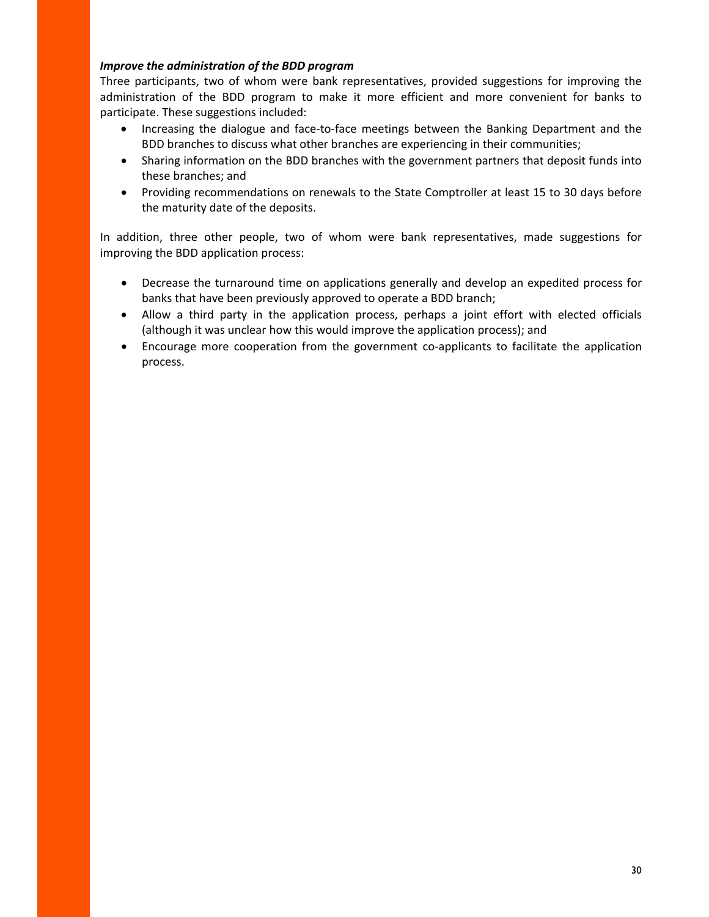### *Improve the administration of the BDD program*

Three participants, two of whom were bank representatives, provided suggestions for improving the administration of the BDD program to make it more efficient and more convenient for banks to participate. These suggestions included:

- Increasing the dialogue and face‐to‐face meetings between the Banking Department and the BDD branches to discuss what other branches are experiencing in their communities;
- Sharing information on the BDD branches with the government partners that deposit funds into these branches; and
- Providing recommendations on renewals to the State Comptroller at least 15 to 30 days before the maturity date of the deposits.

In addition, three other people, two of whom were bank representatives, made suggestions for improving the BDD application process:

- Decrease the turnaround time on applications generally and develop an expedited process for banks that have been previously approved to operate a BDD branch;
- Allow a third party in the application process, perhaps a joint effort with elected officials (although it was unclear how this would improve the application process); and
- Encourage more cooperation from the government co‐applicants to facilitate the application process.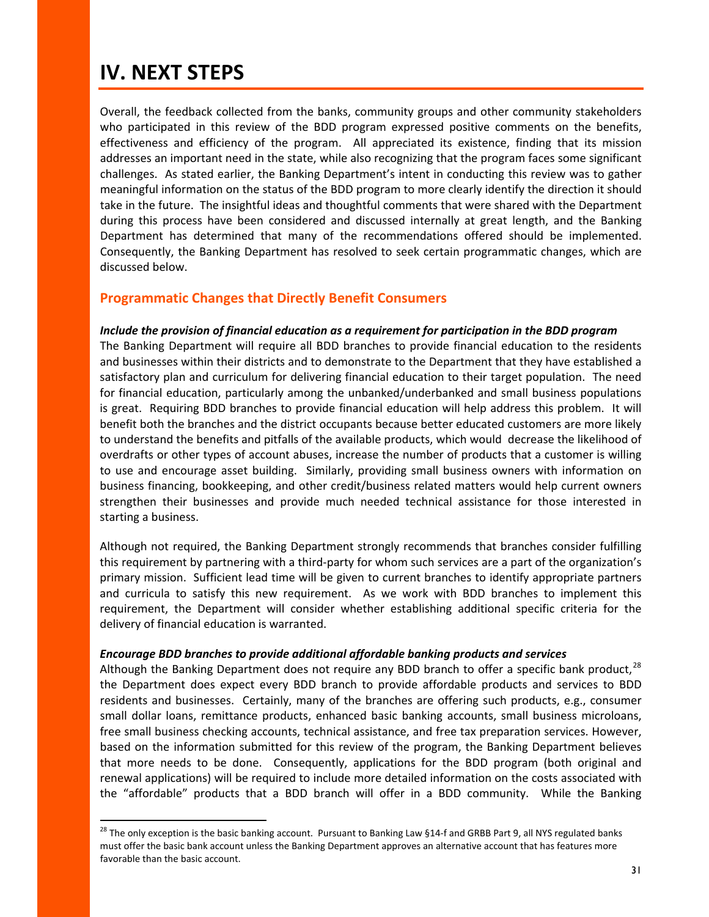# **IV. NEXT STEPS**

 $\overline{a}$ 

Overall, the feedback collected from the banks, community groups and other community stakeholders who participated in this review of the BDD program expressed positive comments on the benefits, effectiveness and efficiency of the program. All appreciated its existence, finding that its mission addresses an important need in the state, while also recognizing that the program faces some significant challenges. As stated earlier, the Banking Department's intent in conducting this review was to gather meaningful information on the status of the BDD program to more clearly identify the direction it should take in the future. The insightful ideas and thoughtful comments that were shared with the Department during this process have been considered and discussed internally at great length, and the Banking Department has determined that many of the recommendations offered should be implemented. Consequently, the Banking Department has resolved to seek certain programmatic changes, which are discussed below.

# **Programmatic Changes that Directly Benefit Consumers**

### *Include the provision of financial education as a requirement for participation in the BDD program*

The Banking Department will require all BDD branches to provide financial education to the residents and businesses within their districts and to demonstrate to the Department that they have established a satisfactory plan and curriculum for delivering financial education to their target population. The need for financial education, particularly among the unbanked/underbanked and small business populations is great. Requiring BDD branches to provide financial education will help address this problem. It will benefit both the branches and the district occupants because better educated customers are more likely to understand the benefits and pitfalls of the available products, which would decrease the likelihood of overdrafts or other types of account abuses, increase the number of products that a customer is willing to use and encourage asset building. Similarly, providing small business owners with information on business financing, bookkeeping, and other credit/business related matters would help current owners strengthen their businesses and provide much needed technical assistance for those interested in starting a business.

Although not required, the Banking Department strongly recommends that branches consider fulfilling this requirement by partnering with a third‐party for whom such services are a part of the organization's primary mission. Sufficient lead time will be given to current branches to identify appropriate partners and curricula to satisfy this new requirement. As we work with BDD branches to implement this requirement, the Department will consider whether establishing additional specific criteria for the delivery of financial education is warranted.

#### *Encourage BDD branches to provide additional affordable banking products and services*

Although the Banking Department does not require any BDD branch to offer a specific bank product, $^{28}$  $^{28}$  $^{28}$ the Department does expect every BDD branch to provide affordable products and services to BDD residents and businesses. Certainly, many of the branches are offering such products, e.g., consumer small dollar loans, remittance products, enhanced basic banking accounts, small business microloans, free small business checking accounts, technical assistance, and free tax preparation services. However, based on the information submitted for this review of the program, the Banking Department believes that more needs to be done. Consequently, applications for the BDD program (both original and renewal applications) will be required to include more detailed information on the costs associated with the "affordable" products that a BDD branch will offer in a BDD community. While the Banking

<span id="page-30-0"></span><sup>&</sup>lt;sup>28</sup> The only exception is the basic banking account. Pursuant to Banking Law §14-f and GRBB Part 9, all NYS regulated banks must offer the basic bank account unless the Banking Department approves an alternative account that has features more favorable than the basic account.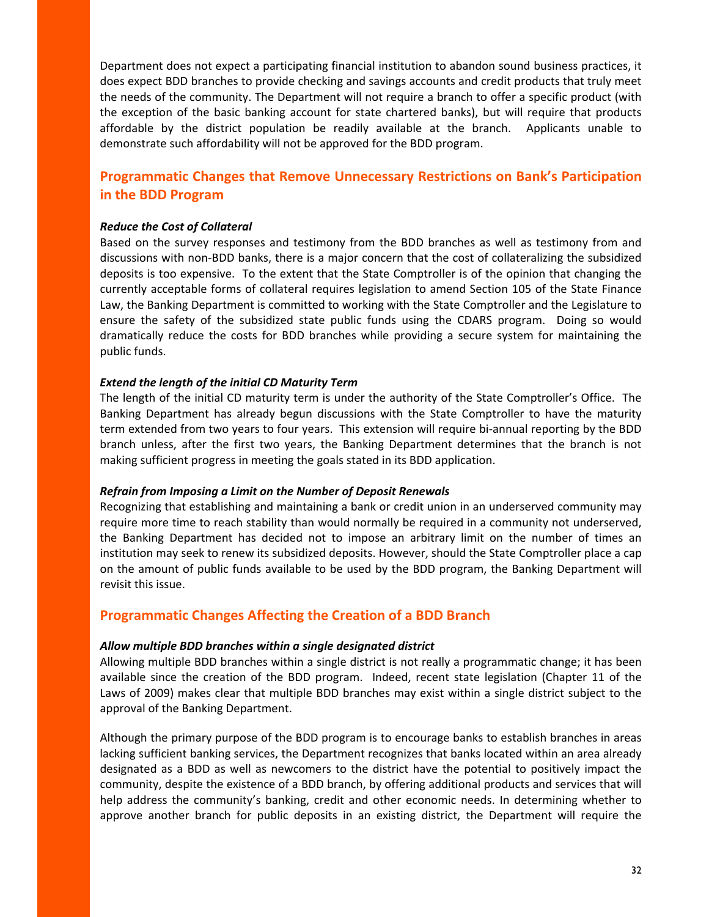Department does not expect a participating financial institution to abandon sound business practices, it does expect BDD branches to provide checking and savings accounts and credit products that truly meet the needs of the community. The Department will not require a branch to offer a specific product (with the exception of the basic banking account for state chartered banks), but will require that products affordable by the district population be readily available at the branch. Applicants unable to demonstrate such affordability will not be approved for the BDD program.

# **Programmatic Changes that Remove Unnecessary Restrictions on Bank's Participation in the BDD Program**

### *Reduce the Cost of Collateral*

Based on the survey responses and testimony from the BDD branches as well as testimony from and discussions with non‐BDD banks, there is a major concern that the cost of collateralizing the subsidized deposits is too expensive. To the extent that the State Comptroller is of the opinion that changing the currently acceptable forms of collateral requires legislation to amend Section 105 of the State Finance Law, the Banking Department is committed to working with the State Comptroller and the Legislature to ensure the safety of the subsidized state public funds using the CDARS program. Doing so would dramatically reduce the costs for BDD branches while providing a secure system for maintaining the public funds.

#### *Extend the length of the initial CD Maturity Term*

The length of the initial CD maturity term is under the authority of the State Comptroller's Office. The Banking Department has already begun discussions with the State Comptroller to have the maturity term extended from two years to four years. This extension will require bi‐annual reporting by the BDD branch unless, after the first two years, the Banking Department determines that the branch is not making sufficient progress in meeting the goals stated in its BDD application.

#### *Refrain from Imposing a Limit on the Number of Deposit Renewals*

Recognizing that establishing and maintaining a bank or credit union in an underserved community may require more time to reach stability than would normally be required in a community not underserved, the Banking Department has decided not to impose an arbitrary limit on the number of times an institution may seek to renew its subsidized deposits. However, should the State Comptroller place a cap on the amount of public funds available to be used by the BDD program, the Banking Department will revisit this issue.

# **Programmatic Changes Affecting the Creation of a BDD Branch**

#### *Allow multiple BDD branches within a single designated district*

Allowing multiple BDD branches within a single district is not really a programmatic change; it has been available since the creation of the BDD program. Indeed, recent state legislation (Chapter 11 of the Laws of 2009) makes clear that multiple BDD branches may exist within a single district subject to the approval of the Banking Department.

Although the primary purpose of the BDD program is to encourage banks to establish branches in areas lacking sufficient banking services, the Department recognizes that banks located within an area already designated as a BDD as well as newcomers to the district have the potential to positively impact the community, despite the existence of a BDD branch, by offering additional products and services that will help address the community's banking, credit and other economic needs. In determining whether to approve another branch for public deposits in an existing district, the Department will require the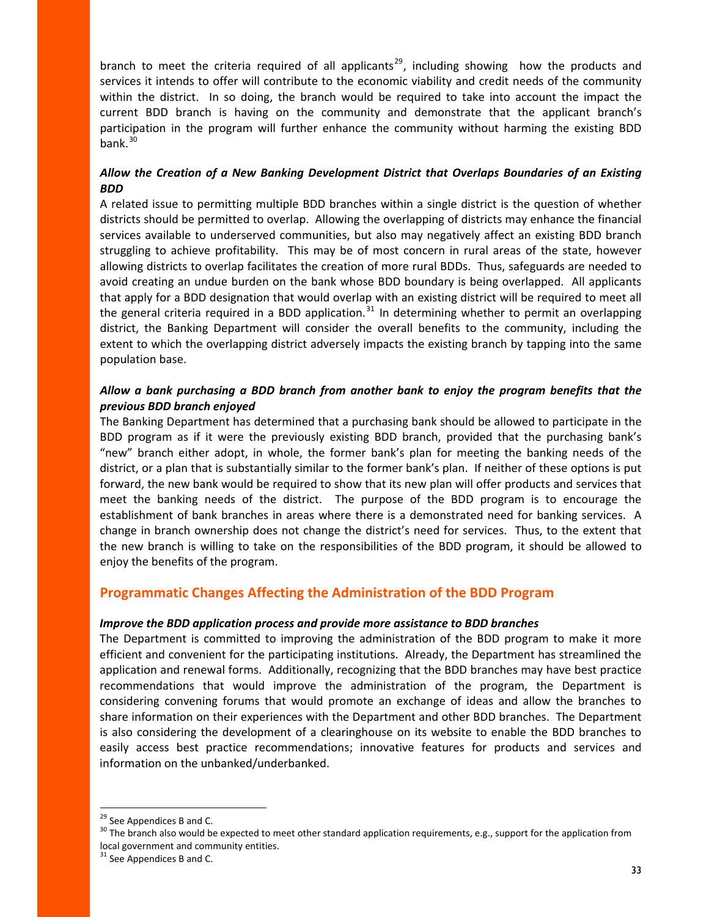branch to meet the criteria required of all applicants<sup>[29](#page-32-0)</sup>, including showing how the products and services it intends to offer will contribute to the economic viability and credit needs of the community within the district. In so doing, the branch would be required to take into account the impact the current BDD branch is having on the community and demonstrate that the applicant branch's participation in the program will further enhance the community without harming the existing BDD bank.<sup>30</sup>

# *the Creation of a New Banking Development District that Overlaps Boundaries of an Existing Allow BDD*

extent to which the overlapping district adversely impacts the existing branch by tapping into the same population base. A related issue to permitting multiple BDD branches within a single district is the question of whether districts should be permitted to overlap. Allowing the overlapping of districts may enhance the financial services available to underserved communities, but also may negatively affect an existing BDD branch struggling to achieve profitability. This may be of most concern in rural areas of the state, however allowing districts to overlap facilitates the creation of more rural BDDs. Thus, safeguards are needed to avoid creating an undue burden on the bank whose BDD boundary is being overlapped. All applicants that apply for a BDD designation that would overlap with an existing district will be required to meet all the general criteria required in a BDD application.<sup>[31](#page-32-1)</sup> In determining whether to permit an overlapping district, the Banking Department will consider the overall benefits to the community, including the

# *D branch from another bank to enjoy the program benefits that the Allow a bank purchasing a BD previous BDD branch enjoyed*

the new branch is willing to take on the responsibilities of the BDD program, it should be allowed to enjoy the benefits of the program. The Banking Department has determined that a purchasing bank should be allowed to participate in the BDD program as if it were the previously existing BDD branch, provided that the purchasing bank's "new" branch either adopt, in whole, the former bank's plan for meeting the banking needs of the district, or a plan that is substantially similar to the former bank's plan. If neither of these options is put forward, the new bank would be required to show that its new plan will offer products and services that meet the banking needs of the district. The purpose of the BDD program is to encourage the establishment of bank branches in areas where there is a demonstrated need for banking services. A change in branch ownership does not change the district's need for services. Thus, to the extent that

# **Programmatic Changes Affecting the Administration of the BDD Program**

#### *Improve the BDD application process and provide more assistance to BDD branches*

easily access best practice recommendations; innovative features for products and services and information on the unbanked/underbanked. The Department is committed to improving the administration of the BDD program to make it more efficient and convenient for the participating institutions. Already, the Department has streamlined the application and renewal forms. Additionally, recognizing that the BDD branches may have best practice recommendations that would improve the administration of the program, the Department is considering convening forums that would promote an exchange of ideas and allow the branches to share information on their experiences with the Department and other BDD branches. The Department is also considering the development of a clearinghouse on its website to enable the BDD branches to

 $\overline{a}$ 

<span id="page-32-0"></span><sup>&</sup>lt;sup>29</sup> See Appendices B and C.<br><sup>30</sup> The branch also would be expected to meet other standard application requirements, e.g., support for the application from local government and community entities.<br><sup>31</sup> See Appendices B and C.

<span id="page-32-1"></span>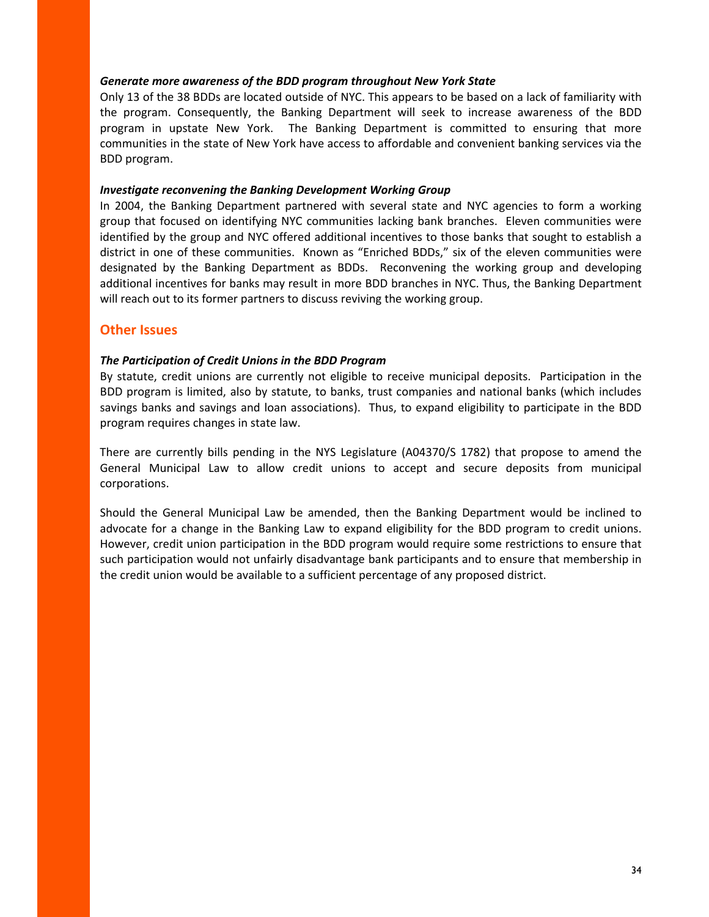### *Generate more awareness of the BDD program throughout New York State*

Only 13 of the 38 BDDs are located outside of NYC. This appears to be based on a lack of familiarity with the program. Consequently, the Banking Department will seek to increase awareness of the BDD program in upstate New York. The Banking Department is committed to ensuring that more communities in the state of New York have access to affordable and convenient banking services via the BDD program.

#### *Investigate reconvening the Banking Development Working Group*

additional incentives for banks may result in more BDD branches in NYC. Thus, the Banking Department will reach out to its former partners to discuss reviving the working group. In 2004, the Banking Department partnered with several state and NYC agencies to form a working group that focused on identifying NYC communities lacking bank branches. Eleven communities were identified by the group and NYC offered additional incentives to those banks that sought to establish a district in one of these communities. Known as "Enriched BDDs," six of the eleven communities were designated by the Banking Department as BDDs. Reconvening the working group and developing

# **Other Issues**

### *The Participation of Credit Unions in the BDD Program*

savings banks and savings and loan associations). Thus, to expand eligibility to participate in the BDD program requires changes in state law. By statute, credit unions are currently not eligible to receive municipal deposits. Participation in the BDD program is limited, also by statute, to banks, trust companies and national banks (which includes

General Municipal Law to allow credit unions to accept and secure deposits from municipal corporations. There are currently bills pending in the NYS Legislature (A04370/S 1782) that propose to amend the

such participation would not unfairly disadvantage bank participants and to ensure that membership in the credit union would be available to a sufficient percentage of any proposed district. Should the General Municipal Law be amended, then the Banking Department would be inclined to advocate for a change in the Banking Law to expand eligibility for the BDD program to credit unions. However, credit union participation in the BDD program would require some restrictions to ensure that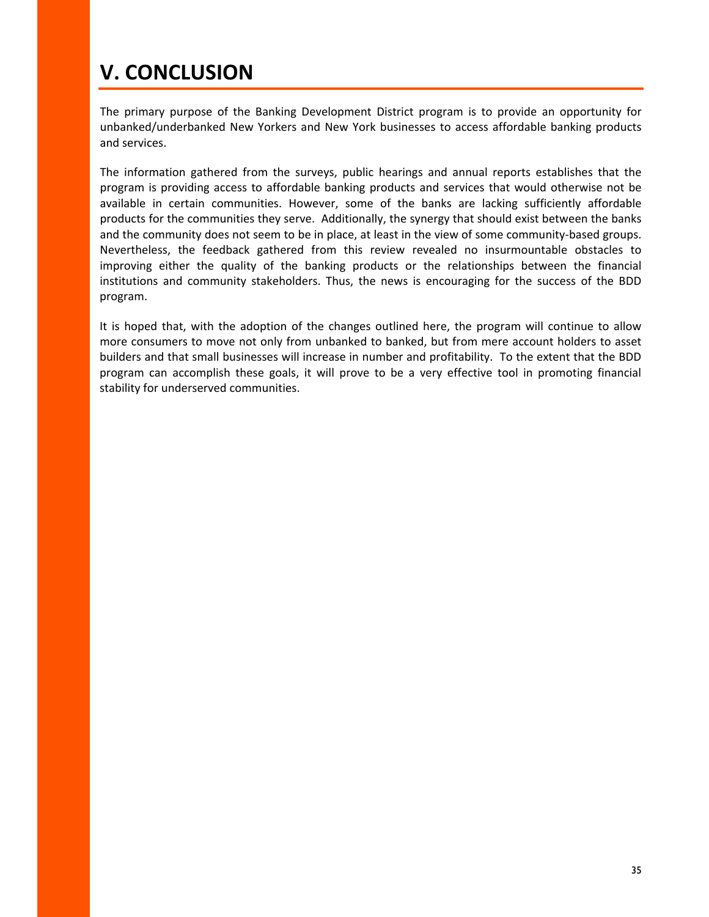# **V. CONCLUSION**

The primary purpose of the Banking Development District program is to provide an opportunity for unbanked/underbanked New Yorkers and New York businesses to access affordable banking products and services.

The information gathered from the surveys, public hearings and annual reports establishes that the program is providing access to affordable banking products and services that would otherwise not be available in certain communities. However, some of the banks are lacking sufficiently affordable products for the communities they serve. Additionally, the synergy that should exist between the banks and the community does not seem to be in place, at least in the view of some community-based groups. Nevertheless, the feedback gathered from this review revealed no insurmountable obstacles to improving either the quality of the banking products or the relationships between the financial institutions and community stakeholders. Thus, the news is encouraging for the success of the BDD program.

It is hoped that, with the adoption of the changes outlined here, the program will continue to allow more consumers to move not only from unbanked to banked, but from mere account holders to asset builders and that small businesses will increase in number and profitability. To the extent that the BDD program can accomplish these goals, it will prove to be a very effective tool in promoting financial stability for underserved communities.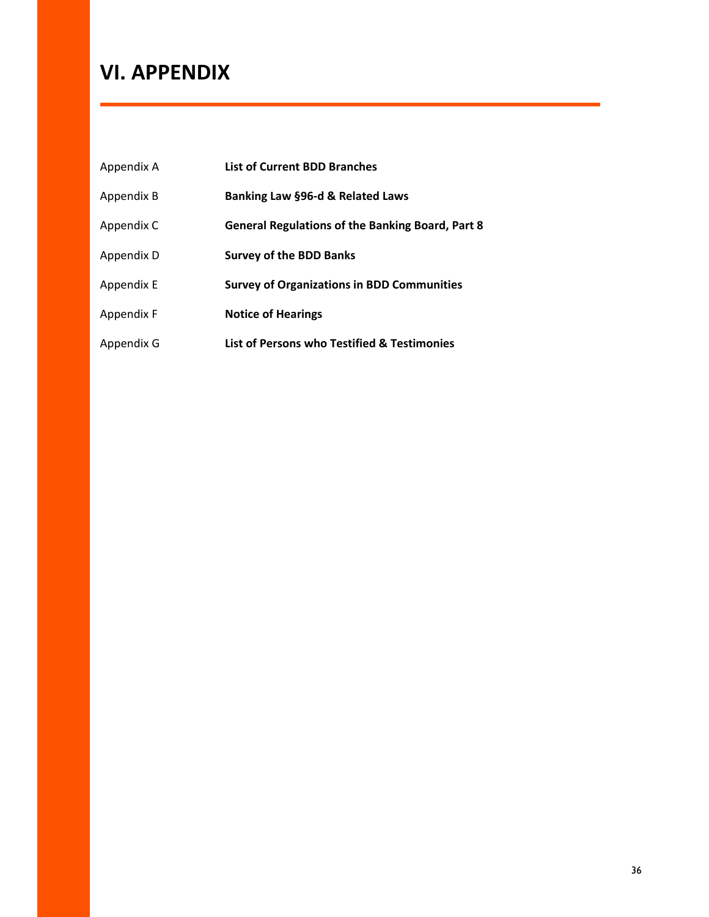# **VI. APPENDIX**

| Appendix A | <b>List of Current BDD Branches</b>                     |
|------------|---------------------------------------------------------|
| Appendix B | Banking Law §96-d & Related Laws                        |
| Appendix C | <b>General Regulations of the Banking Board, Part 8</b> |
| Appendix D | <b>Survey of the BDD Banks</b>                          |
| Appendix E | <b>Survey of Organizations in BDD Communities</b>       |
| Appendix F | <b>Notice of Hearings</b>                               |
| Appendix G | List of Persons who Testified & Testimonies             |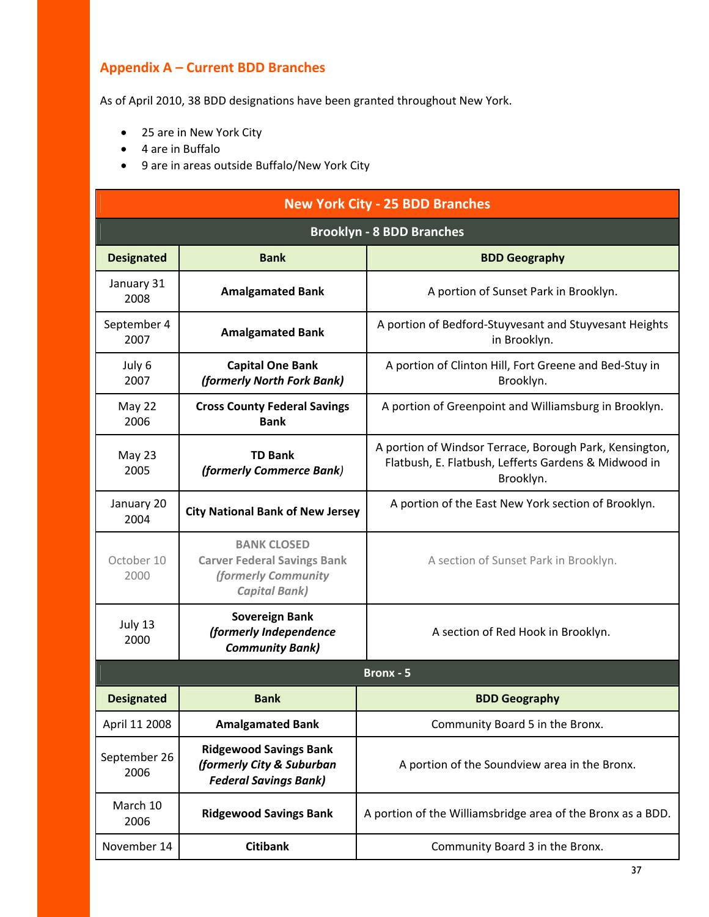# **Appendix A – Current BDD Branches**

As of April 2010, 38 BDD designations have been granted throughout New York.

- 25 are in New York City
- 4 are in Buffalo
- 9 are in areas outside Buffalo/New York City

| <b>New York City - 25 BDD Branches</b> |                                                                                                         |                                                                                                                              |  |
|----------------------------------------|---------------------------------------------------------------------------------------------------------|------------------------------------------------------------------------------------------------------------------------------|--|
| <b>Brooklyn - 8 BDD Branches</b>       |                                                                                                         |                                                                                                                              |  |
| <b>Designated</b>                      | <b>Bank</b>                                                                                             | <b>BDD Geography</b>                                                                                                         |  |
| January 31<br>2008                     | <b>Amalgamated Bank</b>                                                                                 | A portion of Sunset Park in Brooklyn.                                                                                        |  |
| September 4<br>2007                    | <b>Amalgamated Bank</b>                                                                                 | A portion of Bedford-Stuyvesant and Stuyvesant Heights<br>in Brooklyn.                                                       |  |
| July 6<br>2007                         | <b>Capital One Bank</b><br>(formerly North Fork Bank)                                                   | A portion of Clinton Hill, Fort Greene and Bed-Stuy in<br>Brooklyn.                                                          |  |
| May 22<br>2006                         | <b>Cross County Federal Savings</b><br><b>Bank</b>                                                      | A portion of Greenpoint and Williamsburg in Brooklyn.                                                                        |  |
| May 23<br>2005                         | <b>TD Bank</b><br>(formerly Commerce Bank)                                                              | A portion of Windsor Terrace, Borough Park, Kensington,<br>Flatbush, E. Flatbush, Lefferts Gardens & Midwood in<br>Brooklyn. |  |
| January 20<br>2004                     | <b>City National Bank of New Jersey</b>                                                                 | A portion of the East New York section of Brooklyn.                                                                          |  |
| October 10<br>2000                     | <b>BANK CLOSED</b><br><b>Carver Federal Savings Bank</b><br>(formerly Community<br><b>Capital Bank)</b> | A section of Sunset Park in Brooklyn.                                                                                        |  |
| July 13<br>2000                        | <b>Sovereign Bank</b><br>(formerly Independence<br><b>Community Bank)</b>                               | A section of Red Hook in Brooklyn.                                                                                           |  |
|                                        |                                                                                                         | <b>Bronx - 5</b>                                                                                                             |  |
| <b>Designated</b>                      | <b>Bank</b>                                                                                             | <b>BDD Geography</b>                                                                                                         |  |
| April 11 2008                          | <b>Amalgamated Bank</b>                                                                                 | Community Board 5 in the Bronx.                                                                                              |  |
| September 26<br>2006                   | <b>Ridgewood Savings Bank</b><br>(formerly City & Suburban<br><b>Federal Savings Bank)</b>              | A portion of the Soundview area in the Bronx.                                                                                |  |
| March 10<br>2006                       | <b>Ridgewood Savings Bank</b>                                                                           | A portion of the Williamsbridge area of the Bronx as a BDD.                                                                  |  |
| November 14                            | <b>Citibank</b>                                                                                         | Community Board 3 in the Bronx.                                                                                              |  |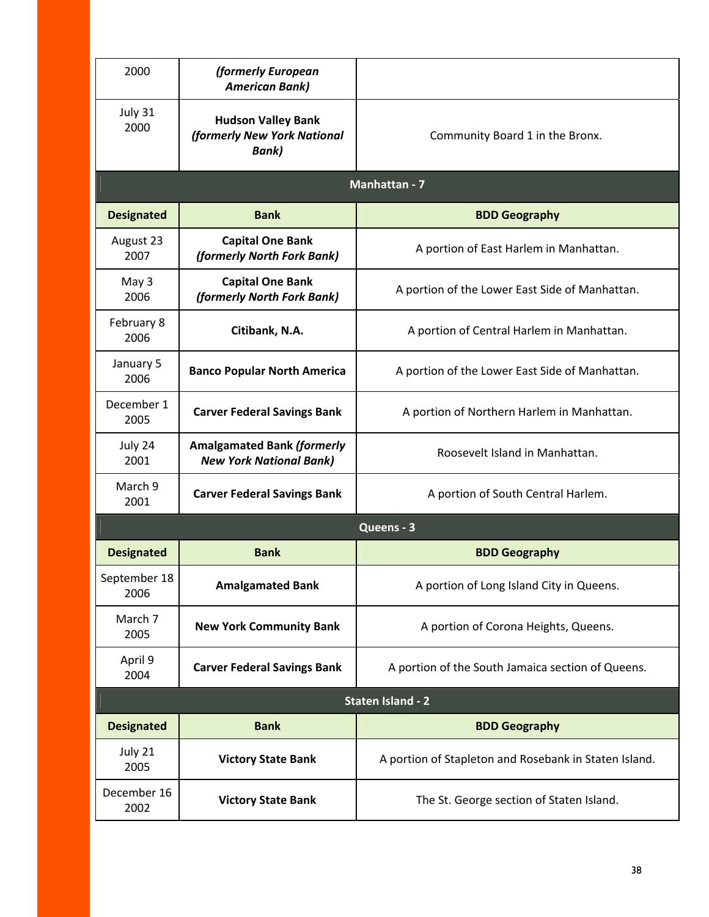| 2000                     | (formerly European<br><b>American Bank)</b>                              |                                                       |  |
|--------------------------|--------------------------------------------------------------------------|-------------------------------------------------------|--|
| July 31<br>2000          | <b>Hudson Valley Bank</b><br>(formerly New York National<br><b>Bank)</b> | Community Board 1 in the Bronx.                       |  |
|                          |                                                                          | <b>Manhattan - 7</b>                                  |  |
| <b>Designated</b>        | <b>Bank</b>                                                              | <b>BDD Geography</b>                                  |  |
| August 23<br>2007        | <b>Capital One Bank</b><br>(formerly North Fork Bank)                    | A portion of East Harlem in Manhattan.                |  |
| May 3<br>2006            | <b>Capital One Bank</b><br>(formerly North Fork Bank)                    | A portion of the Lower East Side of Manhattan.        |  |
| February 8<br>2006       | Citibank, N.A.                                                           | A portion of Central Harlem in Manhattan.             |  |
| January 5<br>2006        | <b>Banco Popular North America</b>                                       | A portion of the Lower East Side of Manhattan.        |  |
| December 1<br>2005       | <b>Carver Federal Savings Bank</b>                                       | A portion of Northern Harlem in Manhattan.            |  |
| July 24<br>2001          | <b>Amalgamated Bank (formerly</b><br><b>New York National Bank)</b>      | Roosevelt Island in Manhattan.                        |  |
| March 9<br>2001          | <b>Carver Federal Savings Bank</b>                                       | A portion of South Central Harlem.                    |  |
|                          |                                                                          | Queens - 3                                            |  |
| <b>Designated</b>        | <b>Bank</b>                                                              | <b>BDD Geography</b>                                  |  |
| September 18<br>2006     | <b>Amalgamated Bank</b>                                                  | A portion of Long Island City in Queens.              |  |
| March 7<br>2005          | <b>New York Community Bank</b>                                           | A portion of Corona Heights, Queens.                  |  |
| April 9<br>2004          | <b>Carver Federal Savings Bank</b>                                       | A portion of the South Jamaica section of Queens.     |  |
| <b>Staten Island - 2</b> |                                                                          |                                                       |  |
| <b>Designated</b>        | <b>Bank</b>                                                              | <b>BDD Geography</b>                                  |  |
| July 21<br>2005          | <b>Victory State Bank</b>                                                | A portion of Stapleton and Rosebank in Staten Island. |  |
| December 16<br>2002      | <b>Victory State Bank</b>                                                | The St. George section of Staten Island.              |  |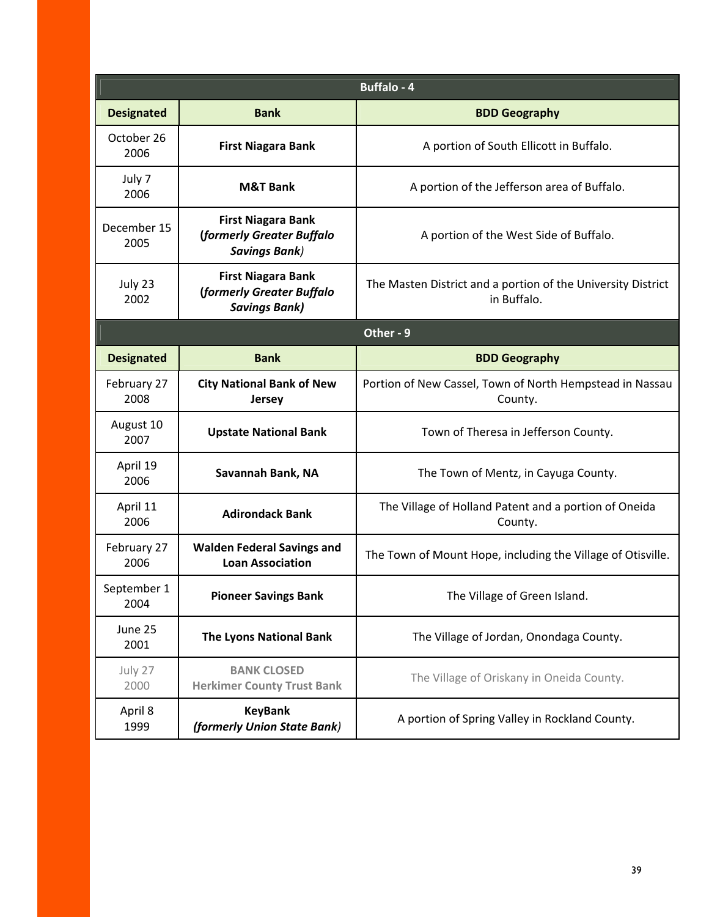| <b>Buffalo - 4</b>  |                                                                                |                                                                             |  |
|---------------------|--------------------------------------------------------------------------------|-----------------------------------------------------------------------------|--|
| <b>Designated</b>   | <b>Bank</b>                                                                    | <b>BDD Geography</b>                                                        |  |
| October 26<br>2006  | <b>First Niagara Bank</b>                                                      | A portion of South Ellicott in Buffalo.                                     |  |
| July 7<br>2006      | <b>M&amp;T Bank</b>                                                            | A portion of the Jefferson area of Buffalo.                                 |  |
| December 15<br>2005 | <b>First Niagara Bank</b><br>(formerly Greater Buffalo<br><b>Savings Bank)</b> | A portion of the West Side of Buffalo.                                      |  |
| July 23<br>2002     | <b>First Niagara Bank</b><br>(formerly Greater Buffalo<br><b>Savings Bank)</b> | The Masten District and a portion of the University District<br>in Buffalo. |  |
|                     | Other - 9                                                                      |                                                                             |  |
| <b>Designated</b>   | <b>Bank</b>                                                                    | <b>BDD Geography</b>                                                        |  |
| February 27<br>2008 | <b>City National Bank of New</b><br>Jersey                                     | Portion of New Cassel, Town of North Hempstead in Nassau<br>County.         |  |
| August 10<br>2007   | <b>Upstate National Bank</b>                                                   | Town of Theresa in Jefferson County.                                        |  |
| April 19<br>2006    | Savannah Bank, NA                                                              | The Town of Mentz, in Cayuga County.                                        |  |
| April 11<br>2006    | <b>Adirondack Bank</b>                                                         | The Village of Holland Patent and a portion of Oneida<br>County.            |  |
| February 27<br>2006 | <b>Walden Federal Savings and</b><br><b>Loan Association</b>                   | The Town of Mount Hope, including the Village of Otisville.                 |  |
| September 1<br>2004 | <b>Pioneer Savings Bank</b>                                                    | The Village of Green Island.                                                |  |
| June 25<br>2001     | <b>The Lyons National Bank</b>                                                 | The Village of Jordan, Onondaga County.                                     |  |
| July 27<br>2000     | <b>BANK CLOSED</b><br><b>Herkimer County Trust Bank</b>                        | The Village of Oriskany in Oneida County.                                   |  |
| April 8<br>1999     | <b>KeyBank</b><br>(formerly Union State Bank)                                  | A portion of Spring Valley in Rockland County.                              |  |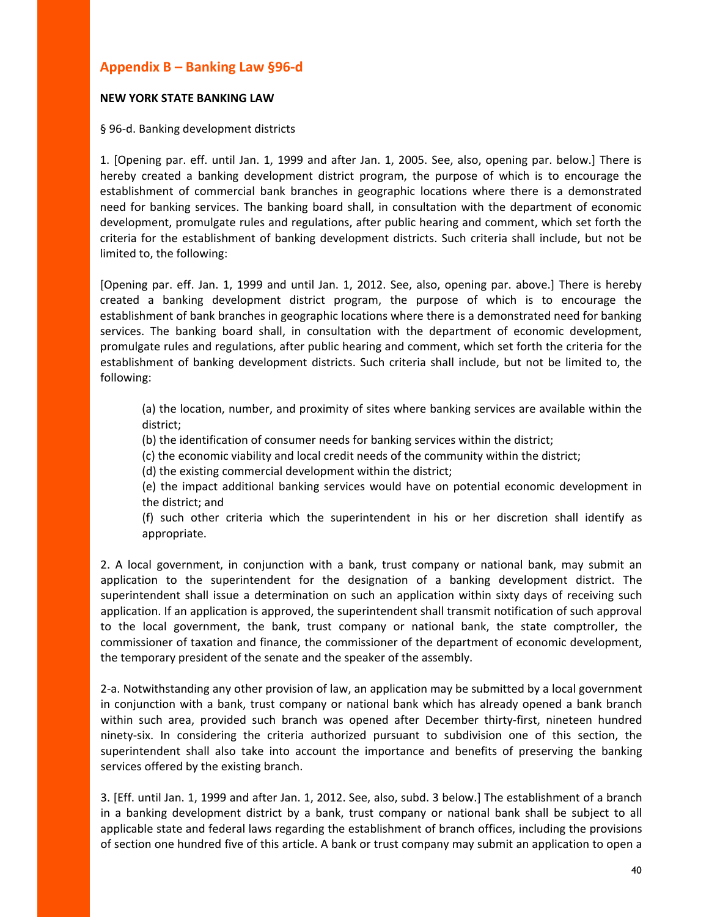# **Appendix B – Banking Law §96‐d**

### **NEW YORK STATE BANKING LAW**

§ 96‐d. Banking development districts

1. [Opening par. eff. until Jan. 1, 1999 and after Jan. 1, 2005. See, also, opening par. below.] There is hereby created a banking development district program, the purpose of which is to encourage the establishment of commercial bank branches in geographic locations where there is a demonstrated need for banking services. The banking board shall, in consultation with the department of economic development, promulgate rules and regulations, after public hearing and comment, which set forth the criteria for the establishment of banking development districts. Such criteria shall include, but not be limited to, the following:

[Opening par. eff. Jan. 1, 1999 and until Jan. 1, 2012. See, also, opening par. above.] There is hereby created a banking development district program, the purpose of which is to encourage the establishment of bank branches in geographic locations where there is a demonstrated need for banking services. The banking board shall, in consultation with the department of economic development, promulgate rules and regulations, after public hearing and comment, which set forth the criteria for the establishment of banking development districts. Such criteria shall include, but not be limited to, the following:

(a) the location, number, and proximity of sites where banking services are available within the district;

(b) the identification of consumer needs for banking services within the district;

(c) the economic viability and local credit needs of the community within the district;

(d) the existing commercial development within the district;

(e) the impact additional banking services would have on potential economic development in the district; and

(f) such other criteria which the superintendent in his or her discretion shall identify as appropriate.

2. A local government, in conjunction with a bank, trust company or national bank, may submit an application to the superintendent for the designation of a banking development district. The superintendent shall issue a determination on such an application within sixty days of receiving such application. If an application is approved, the superintendent shall transmit notification of such approval to the local government, the bank, trust company or national bank, the state comptroller, the commissioner of taxation and finance, the commissioner of the department of economic development, the temporary president of the senate and the speaker of the assembly.

2‐a. Notwithstanding any other provision of law, an application may be submitted by a local government in conjunction with a bank, trust company or national bank which has already opened a bank branch within such area, provided such branch was opened after December thirty-first, nineteen hundred ninety‐six. In considering the criteria authorized pursuant to subdivision one of this section, the superintendent shall also take into account the importance and benefits of preserving the banking services offered by the existing branch.

3. [Eff. until Jan. 1, 1999 and after Jan. 1, 2012. See, also, subd. 3 below.] The establishment of a branch in a banking development district by a bank, trust company or national bank shall be subject to all applicable state and federal laws regarding the establishment of branch offices, including the provisions of section one hundred five of this article. A bank or trust company may submit an application to open a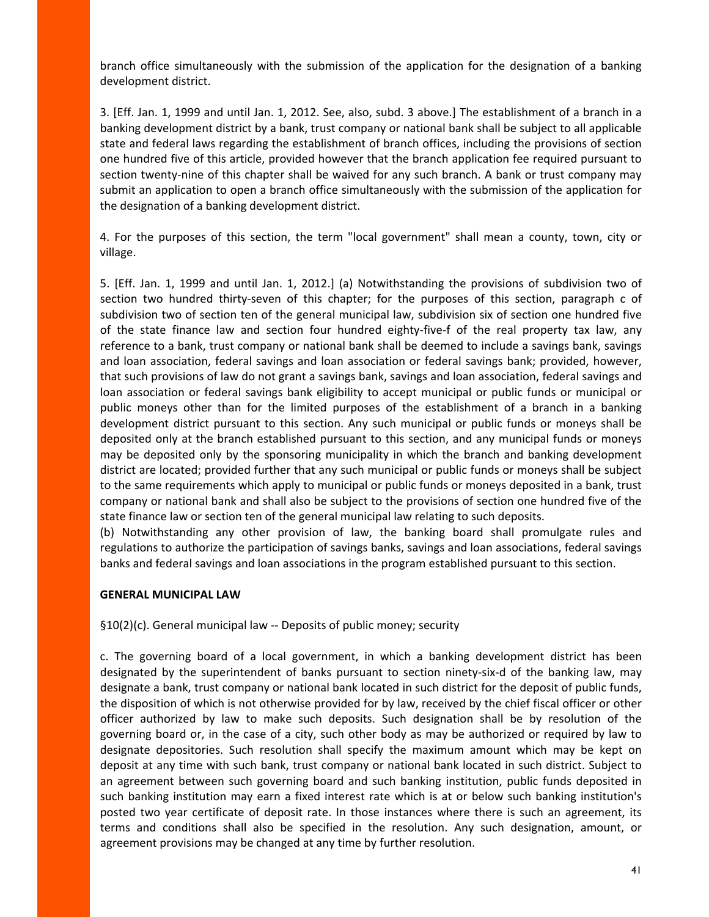branch office simultaneously with the submission of the application for the designation of a banking development district.

3. [Eff. Jan. 1, 1999 and until Jan. 1, 2012. See, also, subd. 3 above.] The establishment of a branch in a banking development district by a bank, trust company or national bank shall be subject to all applicable state and federal laws regarding the establishment of branch offices, including the provisions of section one hundred five of this article, provided however that the branch application fee required pursuant to section twenty-nine of this chapter shall be waived for any such branch. A bank or trust company may submit an application to open a branch office simultaneously with the submission of the application for the designation of a banking development district.

4. For the purposes of this section, the term "local government" shall mean a county, town, city or village.

5. [Eff. Jan. 1, 1999 and until Jan. 1, 2012.] (a) Notwithstanding the provisions of subdivision two of section two hundred thirty-seven of this chapter; for the purposes of this section, paragraph c of subdivision two of section ten of the general municipal law, subdivision six of section one hundred five of the state finance law and section four hundred eighty-five-f of the real property tax law, any reference to a bank, trust company or national bank shall be deemed to include a savings bank, savings and loan association, federal savings and loan association or federal savings bank; provided, however, that such provisions of law do not grant a savings bank, savings and loan association, federal savings and loan association or federal savings bank eligibility to accept municipal or public funds or municipal or public moneys other than for the limited purposes of the establishment of a branch in a banking development district pursuant to this section. Any such municipal or public funds or moneys shall be deposited only at the branch established pursuant to this section, and any municipal funds or moneys may be deposited only by the sponsoring municipality in which the branch and banking development district are located; provided further that any such municipal or public funds or moneys shall be subject to the same requirements which apply to municipal or public funds or moneys deposited in a bank, trust company or national bank and shall also be subject to the provisions of section one hundred five of the state finance law or section ten of the general municipal law relating to such deposits.

(b) Notwithstanding any other provision of law, the banking board shall promulgate rules and regulations to authorize the participation of savings banks, savings and loan associations, federal savings banks and federal savings and loan associations in the program established pursuant to this section.

#### **GENERAL MUNICIPAL LAW**

§10(2)(c). General municipal law ‐‐ Deposits of public money; security

c. The governing board of a local government, in which a banking development district has been designated by the superintendent of banks pursuant to section ninety‐six‐d of the banking law, may designate a bank, trust company or national bank located in such district for the deposit of public funds, the disposition of which is not otherwise provided for by law, received by the chief fiscal officer or other officer authorized by law to make such deposits. Such designation shall be by resolution of the governing board or, in the case of a city, such other body as may be authorized or required by law to designate depositories. Such resolution shall specify the maximum amount which may be kept on deposit at any time with such bank, trust company or national bank located in such district. Subject to an agreement between such governing board and such banking institution, public funds deposited in such banking institution may earn a fixed interest rate which is at or below such banking institution's posted two year certificate of deposit rate. In those instances where there is such an agreement, its terms and conditions shall also be specified in the resolution. Any such designation, amount, or agreement provisions may be changed at any time by further resolution.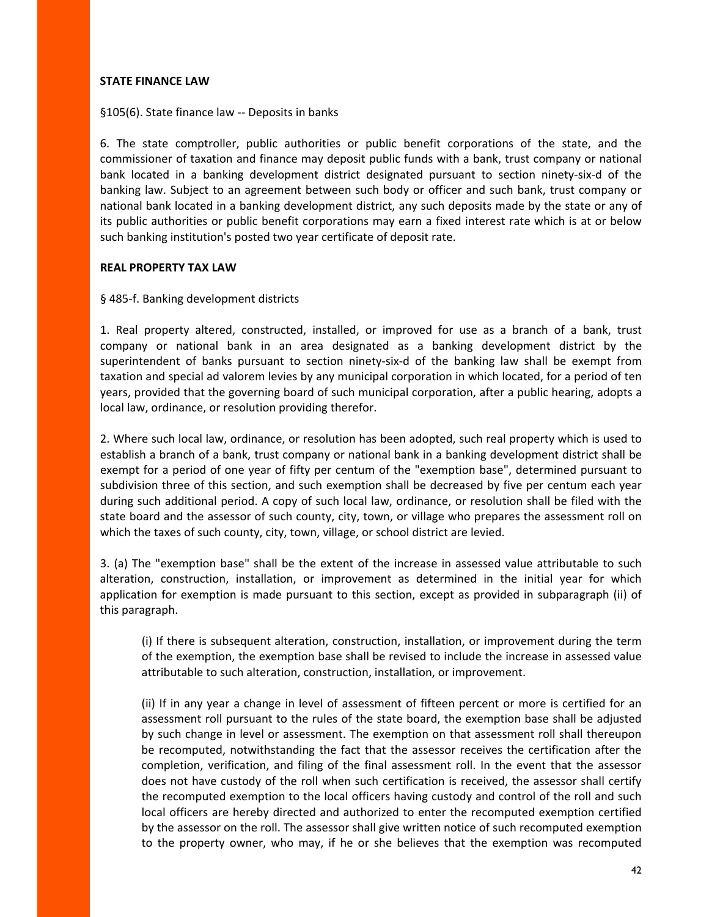#### **STATE FINANCE LAW**

§105(6). State finance law ‐‐ Deposits in banks

6. The state comptroller, public authorities or public benefit corporations of the state, and the commissioner of taxation and finance may deposit public funds with a bank, trust company or national bank located in a banking development district designated pursuant to section ninety‐six‐d of the banking law. Subject to an agreement between such body or officer and such bank, trust company or national bank located in a banking development district, any such deposits made by the state or any of its public authorities or public benefit corporations may earn a fixed interest rate which is at or below such banking institution's posted two year certificate of deposit rate.

### **REAL PROPERTY TAX LAW**

### § 485‐f. Banking development districts

1. Real property altered, constructed, installed, or improved for use as a branch of a bank, trust company or national bank in an area designated as a banking development district by the superintendent of banks pursuant to section ninety-six-d of the banking law shall be exempt from taxation and special ad valorem levies by any municipal corporation in which located, for a period of ten years, provided that the governing board of such municipal corporation, after a public hearing, adopts a local law, ordinance, or resolution providing therefor.

2. Where such local law, ordinance, or resolution has been adopted, such real property which is used to establish a branch of a bank, trust company or national bank in a banking development district shall be exempt for a period of one year of fifty per centum of the "exemption base", determined pursuant to subdivision three of this section, and such exemption shall be decreased by five per centum each year during such additional period. A copy of such local law, ordinance, or resolution shall be filed with the state board and the assessor of such county, city, town, or village who prepares the assessment roll on which the taxes of such county, city, town, village, or school district are levied.

3. (a) The "exemption base" shall be the extent of the increase in assessed value attributable to such alteration, construction, installation, or improvement as determined in the initial year for which application for exemption is made pursuant to this section, except as provided in subparagraph (ii) of this paragraph.

(i) If there is subsequent alteration, construction, installation, or improvement during the term of the exemption, the exemption base shall be revised to include the increase in assessed value attributable to such alteration, construction, installation, or improvement.

(ii) If in any year a change in level of assessment of fifteen percent or more is certified for an assessment roll pursuant to the rules of the state board, the exemption base shall be adjusted by such change in level or assessment. The exemption on that assessment roll shall thereupon be recomputed, notwithstanding the fact that the assessor receives the certification after the completion, verification, and filing of the final assessment roll. In the event that the assessor does not have custody of the roll when such certification is received, the assessor shall certify the recomputed exemption to the local officers having custody and control of the roll and such local officers are hereby directed and authorized to enter the recomputed exemption certified by the assessor on the roll. The assessor shall give written notice of such recomputed exemption to the property owner, who may, if he or she believes that the exemption was recomputed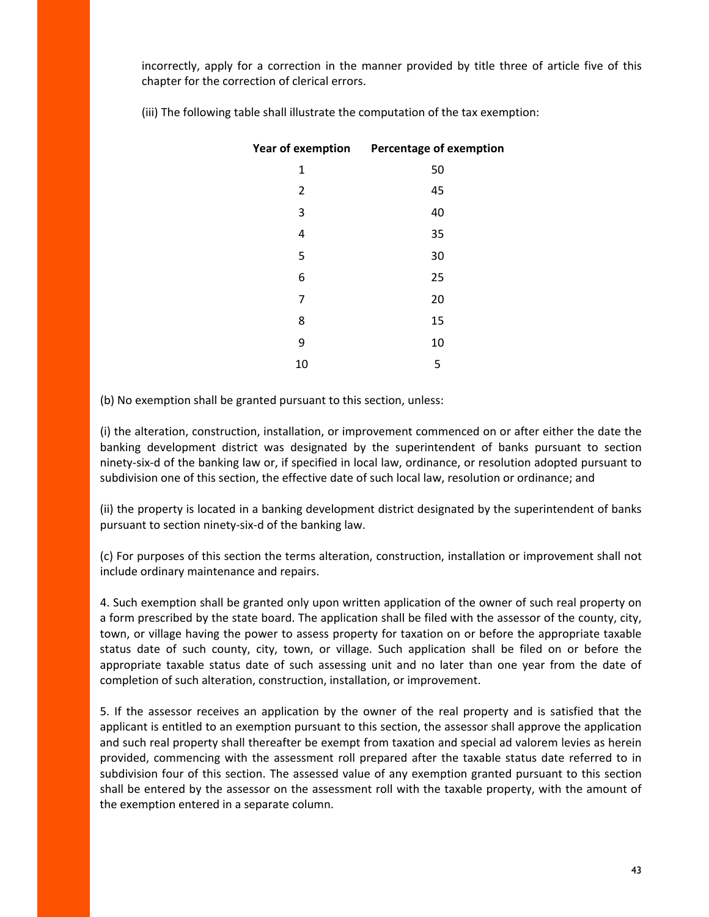incorrectly, apply for a correction in the manner provided by title three of article five of this chapter for the correction of clerical errors.

|                | Year of exemption Percentage of exemption |
|----------------|-------------------------------------------|
| 1              | 50                                        |
| 2              | 45                                        |
| 3              | 40                                        |
| 4              | 35                                        |
| 5              | 30                                        |
| 6              | 25                                        |
| $\overline{7}$ | 20                                        |
| 8              | 15                                        |
| 9              | 10                                        |
| 10             | 5                                         |
|                |                                           |

(iii) The following table shall illustrate the computation of the tax exemption:

(b) No exemption shall be granted pursuant to this section, unless:

(i) the alteration, construction, installation, or improvement commenced on or after either the date the banking development district was designated by the superintendent of banks pursuant to section ninety‐six‐d of the banking law or, if specified in local law, ordinance, or resolution adopted pursuant to subdivision one of this section, the effective date of such local law, resolution or ordinance; and

(ii) the property is located in a banking development district designated by the superintendent of banks pursuant to section ninety‐six‐d of the banking law.

(c) For purposes of this section the terms alteration, construction, installation or improvement shall not include ordinary maintenance and repairs.

4. Such exemption shall be granted only upon written application of the owner of such real property on a form prescribed by the state board. The application shall be filed with the assessor of the county, city, town, or village having the power to assess property for taxation on or before the appropriate taxable status date of such county, city, town, or village. Such application shall be filed on or before the appropriate taxable status date of such assessing unit and no later than one year from the date of completion of such alteration, construction, installation, or improvement.

5. If the assessor receives an application by the owner of the real property and is satisfied that the applicant is entitled to an exemption pursuant to this section, the assessor shall approve the application and such real property shall thereafter be exempt from taxation and special ad valorem levies as herein provided, commencing with the assessment roll prepared after the taxable status date referred to in subdivision four of this section. The assessed value of any exemption granted pursuant to this section shall be entered by the assessor on the assessment roll with the taxable property, with the amount of the exemption entered in a separate column.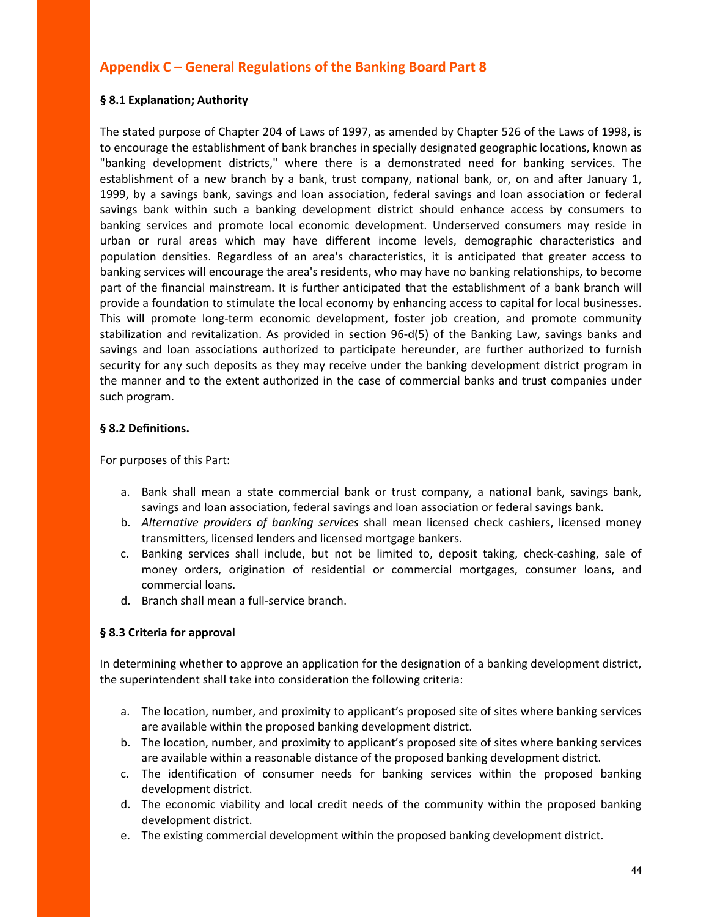# **Appendix C – General Regulations of the Banking Board Part 8**

### **§ 8.1 Explanation; Authority**

The stated purpose of Chapter 204 of Laws of 1997, as amended by Chapter 526 of the Laws of 1998, is to encourage the establishment of bank branches in specially designated geographic locations, known as "banking development districts," where there is a demonstrated need for banking services. The establishment of a new branch by a bank, trust company, national bank, or, on and after January 1, 1999, by a savings bank, savings and loan association, federal savings and loan association or federal savings bank within such a banking development district should enhance access by consumers to banking services and promote local economic development. Underserved consumers may reside in urban or rural areas which may have different income levels, demographic characteristics and population densities. Regardless of an area's characteristics, it is anticipated that greater access to banking services will encourage the area's residents, who may have no banking relationships, to become part of the financial mainstream. It is further anticipated that the establishment of a bank branch will provide a foundation to stimulate the local economy by enhancing access to capital for local businesses. This will promote long-term economic development, foster job creation, and promote community stabilization and revitalization. As provided in section 96‐d(5) of the Banking Law, savings banks and savings and loan associations authorized to participate hereunder, are further authorized to furnish security for any such deposits as they may receive under the banking development district program in the manner and to the extent authorized in the case of commercial banks and trust companies under such program.

### **§ 8.2 Definitions.**

For purposes of this Part:

- a. Bank shall mean a state commercial bank or trust company, a national bank, savings bank, savings and loan association, federal savings and loan association or federal savings bank.
- b. *Alternative providers of banking services* shall mean licensed check cashiers, licensed money transmitters, licensed lenders and licensed mortgage bankers.
- c. Banking services shall include, but not be limited to, deposit taking, check‐cashing, sale of money orders, origination of residential or commercial mortgages, consumer loans, and commercial loans.
- d. Branch shall mean a full‐service branch.

# **§ 8.3 Criteria for approval**

In determining whether to approve an application for the designation of a banking development district, the superintendent shall take into consideration the following criteria:

- a. The location, number, and proximity to applicant's proposed site of sites where banking services are available within the proposed banking development district.
- b. The location, number, and proximity to applicant's proposed site of sites where banking services are available within a reasonable distance of the proposed banking development district.
- c. The identification of consumer needs for banking services within the proposed banking development district.
- d. The economic viability and local credit needs of the community within the proposed banking development district.
- e. The existing commercial development within the proposed banking development district.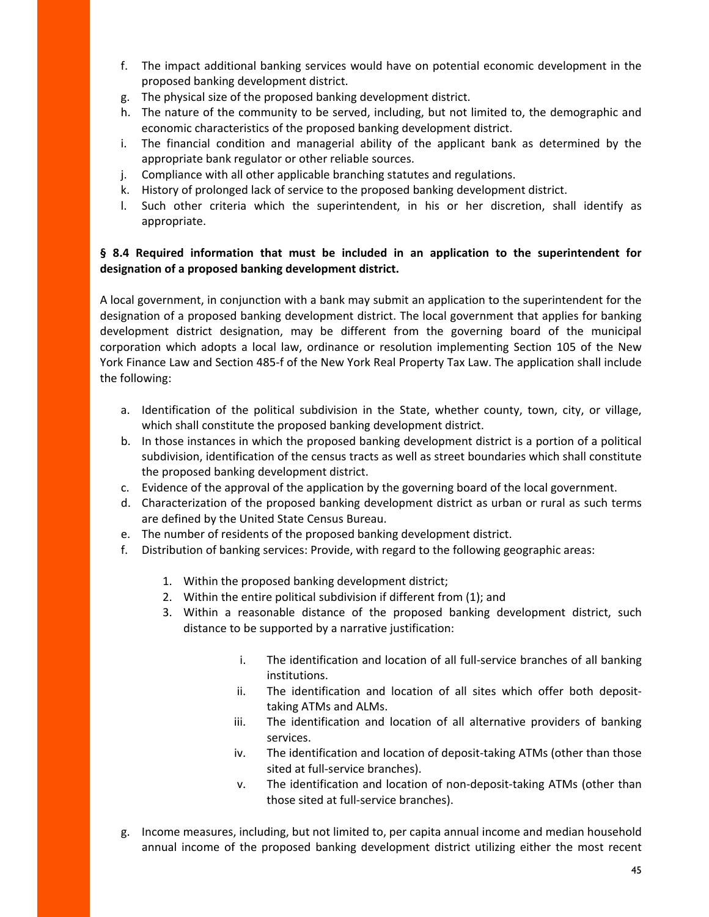- f. The impact additional banking services would have on potential economic development in the proposed banking development district.
- g. The physical size of the proposed banking development district.
- h. The nature of the community to be served, including, but not limited to, the demographic and economic characteristics of the proposed banking development district.
- i. The financial condition and managerial ability of the applicant bank as determined by the appropriate bank regulator or other reliable sources.
- j. Compliance with all other applicable branching statutes and regulations.
- k. History of prolonged lack of service to the proposed banking development district.
- l. Such other criteria which the superintendent, in his or her discretion, shall identify as appropriate.

# **§ 8.4 Required information that must be included in an application to the superintendent for designation of a proposed banking development district.**

A local government, in conjunction with a bank may submit an application to the superintendent for the designation of a proposed banking development district. The local government that applies for banking development district designation, may be different from the governing board of the municipal corporation which adopts a local law, ordinance or resolution implementing Section 105 of the New York Finance Law and Section 485‐f of the New York Real Property Tax Law. The application shall include the following:

- a. Identification of the political subdivision in the State, whether county, town, city, or village, which shall constitute the proposed banking development district.
- b. In those instances in which the proposed banking development district is a portion of a political subdivision, identification of the census tracts as well as street boundaries which shall constitute the proposed banking development district.
- c. Evidence of the approval of the application by the governing board of the local government.
- d. Characterization of the proposed banking development district as urban or rural as such terms are defined by the United State Census Bureau.
- e. The number of residents of the proposed banking development district.
- f. Distribution of banking services: Provide, with regard to the following geographic areas:
	- 1. Within the proposed banking development district;
	- 2. Within the entire political subdivision if different from (1); and
	- 3. Within a reasonable distance of the proposed banking development district, such distance to be supported by a narrative justification:
		- i. The identification and location of all full‐service branches of all banking institutions.
		- ii. The identification and location of all sites which offer both deposit‐ taking ATMs and ALMs.
		- iii. The identification and location of all alternative providers of banking services.
		- iv. The identification and location of deposit-taking ATMs (other than those sited at full‐service branches).
		- v. The identification and location of non‐deposit‐taking ATMs (other than those sited at full‐service branches).
- g. Income measures, including, but not limited to, per capita annual income and median household annual income of the proposed banking development district utilizing either the most recent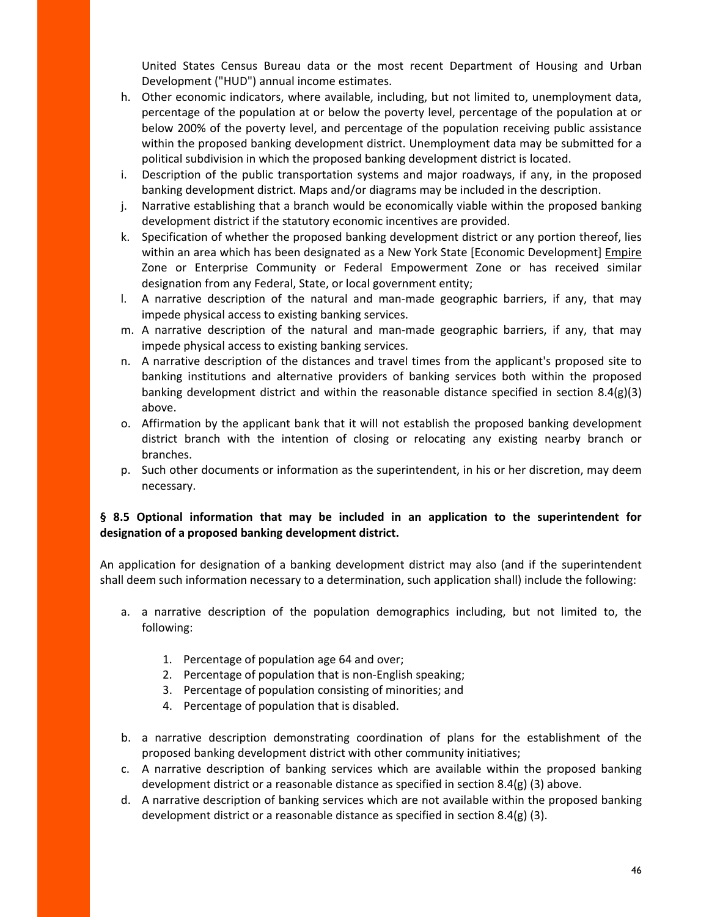United States Census Bureau data or the most recent Department of Housing and Urban Development ("HUD") annual income estimates.

- h. Other economic indicators, where available, including, but not limited to, unemployment data, percentage of the population at or below the poverty level, percentage of the population at or below 200% of the poverty level, and percentage of the population receiving public assistance within the proposed banking development district. Unemployment data may be submitted for a political subdivision in which the proposed banking development district is located.
- i. Description of the public transportation systems and major roadways, if any, in the proposed banking development district. Maps and/or diagrams may be included in the description.
- j. Narrative establishing that a branch would be economically viable within the proposed banking development district if the statutory economic incentives are provided.
- k. Specification of whether the proposed banking development district or any portion thereof, lies within an area which has been designated as a New York State [Economic Development] Empire Zone or Enterprise Community or Federal Empowerment Zone or has received similar designation from any Federal, State, or local government entity;
- l. A narrative description of the natural and man‐made geographic barriers, if any, that may impede physical access to existing banking services.
- m. A narrative description of the natural and man‐made geographic barriers, if any, that may impede physical access to existing banking services.
- n. A narrative description of the distances and travel times from the applicant's proposed site to banking institutions and alternative providers of banking services both within the proposed banking development district and within the reasonable distance specified in section  $8.4(g)(3)$ above.
- o. Affirmation by the applicant bank that it will not establish the proposed banking development district branch with the intention of closing or relocating any existing nearby branch or branches.
- p. Such other documents or information as the superintendent, in his or her discretion, may deem necessary.

# **§ 8.5 Optional information that may be included in an application to the superintendent for designation of a proposed banking development district.**

An application for designation of a banking development district may also (and if the superintendent shall deem such information necessary to a determination, such application shall) include the following:

- a. a narrative description of the population demographics including, but not limited to, the following:
	- 1. Percentage of population age 64 and over;
	- 2. Percentage of population that is non‐English speaking;
	- 3. Percentage of population consisting of minorities; and
	- 4. Percentage of population that is disabled.
- b. a narrative description demonstrating coordination of plans for the establishment of the proposed banking development district with other community initiatives;
- c. A narrative description of banking services which are available within the proposed banking development district or a reasonable distance as specified in section  $8.4(g)$  (3) above.
- d. A narrative description of banking services which are not available within the proposed banking development district or a reasonable distance as specified in section 8.4(g) (3).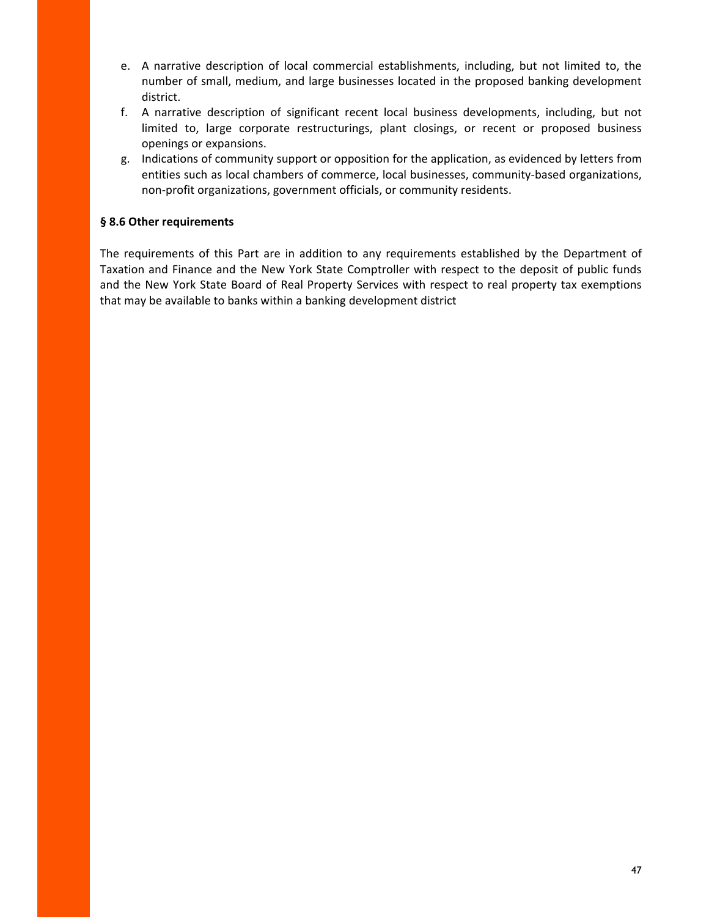- e. A narrative description of local commercial establishments, including, but not limited to, the number of small, medium, and large businesses located in the proposed banking development district.
- f. A narrative description of significant recent local business developments, including, but not limited to, large corporate restructurings, plant closings, or recent or proposed business openings or expansions.
- g. Indications of community support or opposition for the application, as evidenced by letters from entities such as local chambers of commerce, local businesses, community-based organizations, non‐profit organizations, government officials, or community residents.

# **§ 8.6 Other requirements**

The requirements of this Part are in addition to any requirements established by the Department of Taxation and Finance and the New York State Comptroller with respect to the deposit of public funds and the New York State Board of Real Property Services with respect to real property tax exemptions that may be available to banks within a banking development district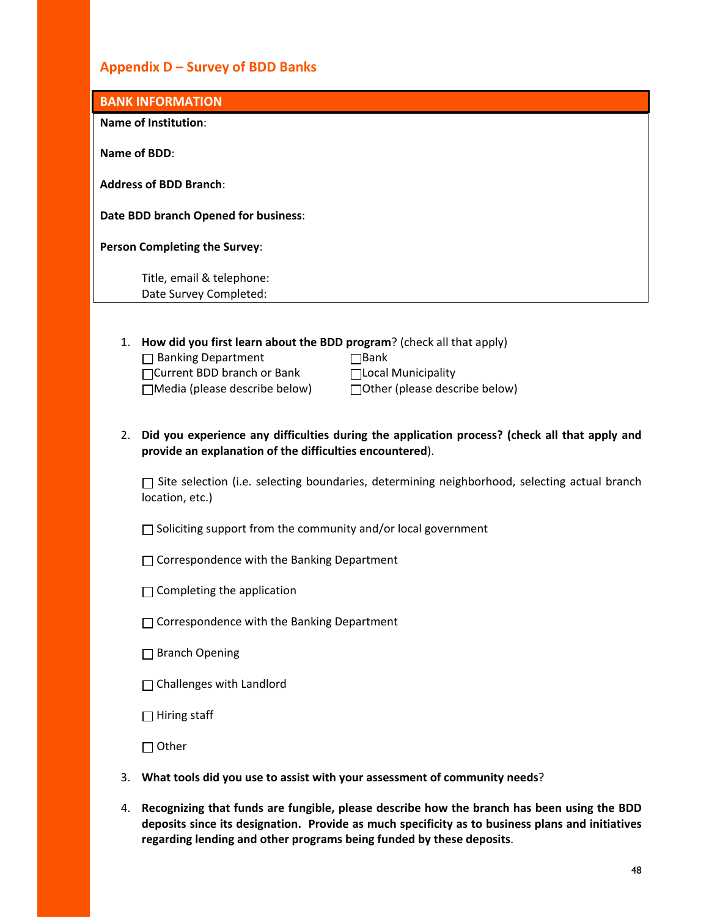# **Appendix D – Survey of BDD Banks**

| Name of BDD:                         |  |  |
|--------------------------------------|--|--|
|                                      |  |  |
| Date BDD branch Opened for business: |  |  |
|                                      |  |  |
|                                      |  |  |
|                                      |  |  |
|                                      |  |  |

| 1. How did you first learn about the BDD program? (check all that apply) |                                      |  |
|--------------------------------------------------------------------------|--------------------------------------|--|
| $\Box$ Banking Department                                                | $\Box$ Bank                          |  |
| $\Box$ Current BDD branch or Bank                                        | $\Box$ Local Municipality            |  |
| $\Box$ Media (please describe below)                                     | $\Box$ Other (please describe below) |  |

2. **Did you experience any difficulties during the application process? (check all that apply and provide an explanation of the difficulties encountered**).

 $\square$  Site selection (i.e. selecting boundaries, determining neighborhood, selecting actual branch location, etc.)

 $\Box$  Soliciting support from the community and/or local government

 $\Box$  Correspondence with the Banking Department

 $\Box$  Completing the application

□ Correspondence with the Banking Department

□ Branch Opening

 $\Box$  Challenges with Landlord

 $\Box$  Hiring staff

 $\Box$  Other

- 3. **What tools did you use to assist with your assessment of community needs**?
- 4. **Recognizing that funds are fungible, please describe how the branch has been using the BDD deposits since its designation. Provide as much specificity as to business plans and initiatives regarding lending and other programs being funded by these deposits**.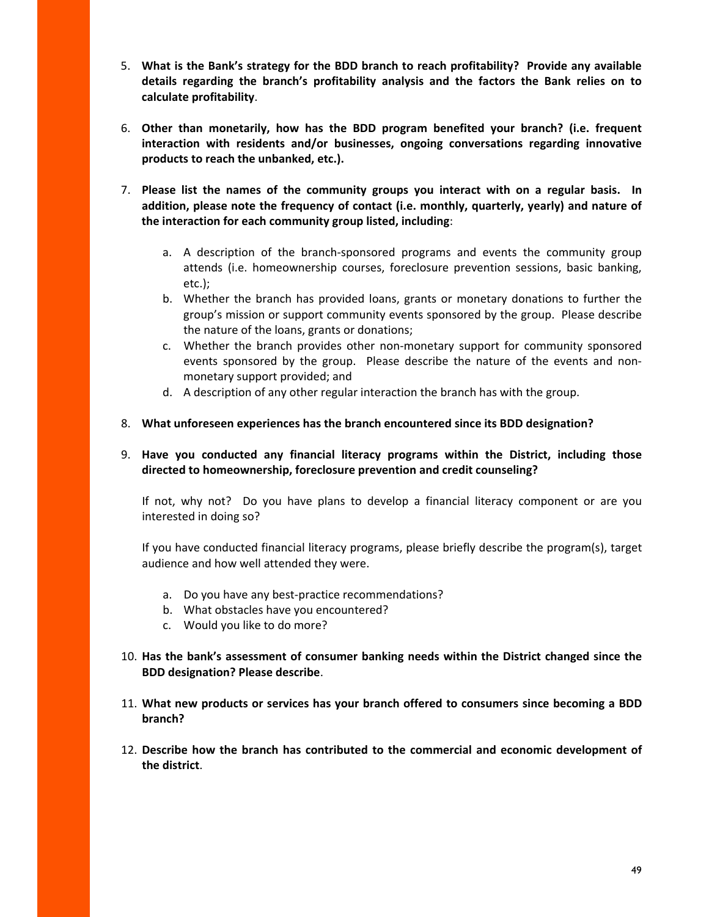- 5. **What is the Bank's strategy for the BDD branch to reach profitability? Provide any available details regarding the branch's profitability analysis and the factors the Bank relies on to calculate profitability**.
- 6. **Other than monetarily, how has the BDD program benefited your branch? (i.e. frequent interaction with residents and/or businesses, ongoing conversations regarding innovative products to reach the unbanked, etc.).**
- 7. **Please list the names of the community groups you interact with on a regular basis. In addition, please note the frequency of contact (i.e. monthly, quarterly, yearly) and nature of the interaction for each community group listed, including**:
	- a. A description of the branch‐sponsored programs and events the community group attends (i.e. homeownership courses, foreclosure prevention sessions, basic banking, etc.);
	- b. Whether the branch has provided loans, grants or monetary donations to further the group's mission or support community events sponsored by the group. Please describe the nature of the loans, grants or donations;
	- c. Whether the branch provides other non‐monetary support for community sponsored events sponsored by the group. Please describe the nature of the events and nonmonetary support provided; and
	- d. A description of any other regular interaction the branch has with the group.

### 8. **What unforeseen experiences has the branch encountered since its BDD designation?**

# 9. **Have you conducted any financial literacy programs within the District, including those directed to homeownership, foreclosure prevention and credit counseling?**

If not, why not? Do you have plans to develop a financial literacy component or are you interested in doing so?

If you have conducted financial literacy programs, please briefly describe the program(s), target audience and how well attended they were.

- a. Do you have any best-practice recommendations?
- b. What obstacles have you encountered?
- c. Would you like to do more?
- 10. **Has the bank's assessment of consumer banking needs within the District changed since the BDD designation? Please describe**.
- 11. **What new products or services has your branch offered to consumers since becoming a BDD branch?**
- 12. **Describe how the branch has contributed to the commercial and economic development of the district**.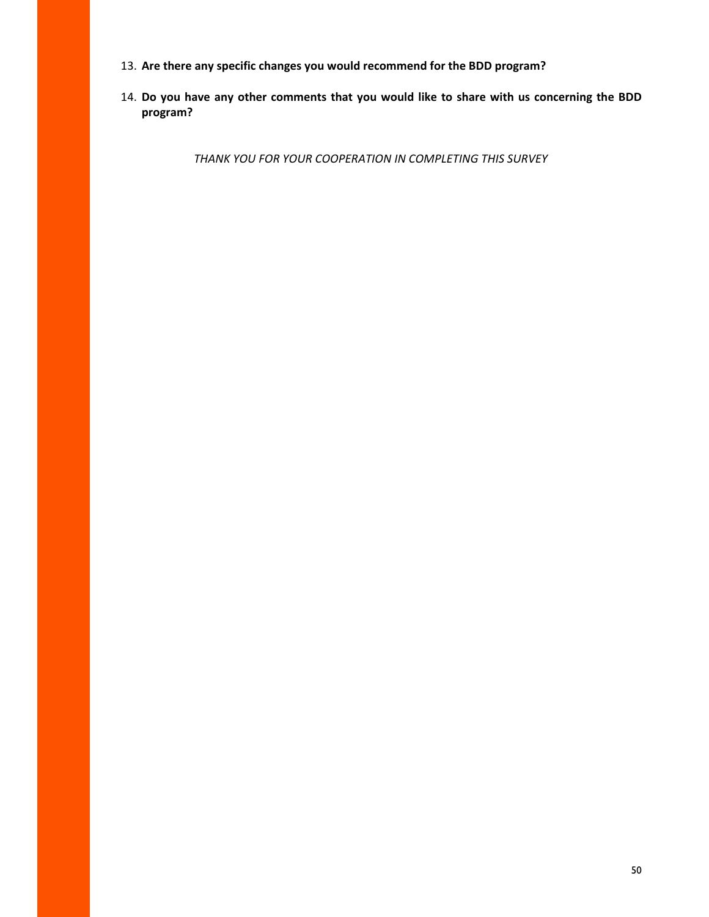- 13. **Are there any specific changes you would recommend for the BDD program?**
- 14. **Do you have any other comments that you would like to share with us concerning the BDD program?**

*THANK YOU FOR YOUR COOPERATION IN COMPLETING THIS SURVEY*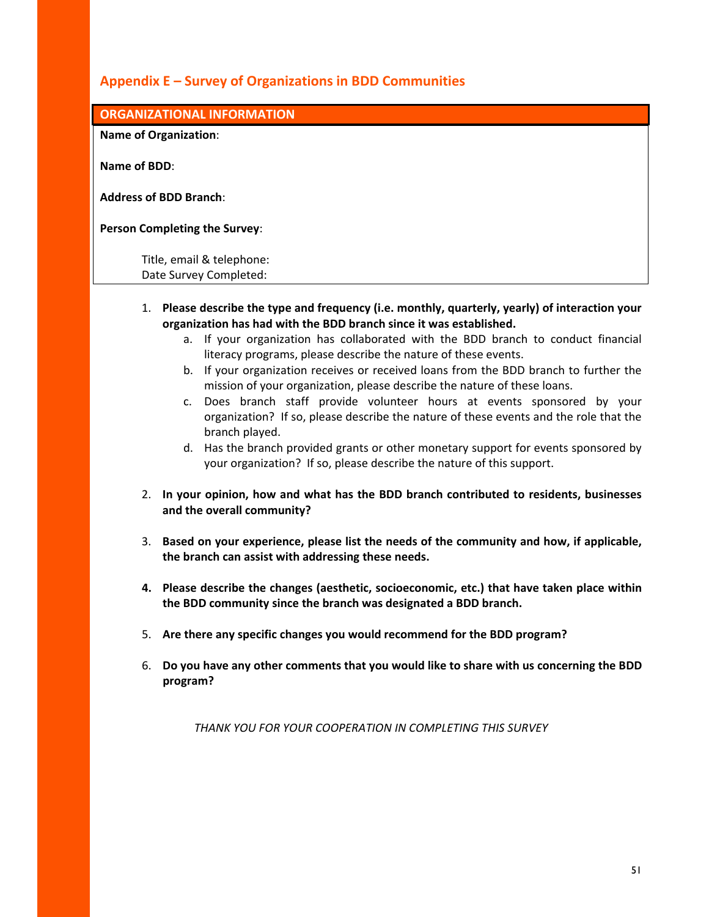# **Appendix E – Survey of Organizations in BDD Communities**

# **ORGANIZATIONAL INFORMATION Name of Organization**: **Name of BDD**: **Address of BDD Branch**: **Person Completing the Survey**: Title, email & telephone: Date Survey Completed:

- 1. **Please describe the type and frequency (i.e. monthly, quarterly, yearly) of interaction your organization has had with the BDD branch since it was established.**
	- a. If your organization has collaborated with the BDD branch to conduct financial literacy programs, please describe the nature of these events.
	- b. If your organization receives or received loans from the BDD branch to further the mission of your organization, please describe the nature of these loans.
	- c. Does branch staff provide volunteer hours at events sponsored by your organization? If so, please describe the nature of these events and the role that the branch played.
	- d. Has the branch provided grants or other monetary support for events sponsored by your organization? If so, please describe the nature of this support.
- 2. **In your opinion, how and what has the BDD branch contributed to residents, businesses and the overall community?**
- 3. **Based on your experience, please list the needs of the community and how, if applicable, the branch can assist with addressing these needs.**
- **4. Please describe the changes (aesthetic, socioeconomic, etc.) that have taken place within the BDD community since the branch was designated a BDD branch.**
- 5. **Are there any specific changes you would recommend for the BDD program?**
- 6. **Do you have any other comments that you would like to share with us concerning the BDD program?**

*THANK YOU FOR YOUR COOPERATION IN COMPLETING THIS SURVEY*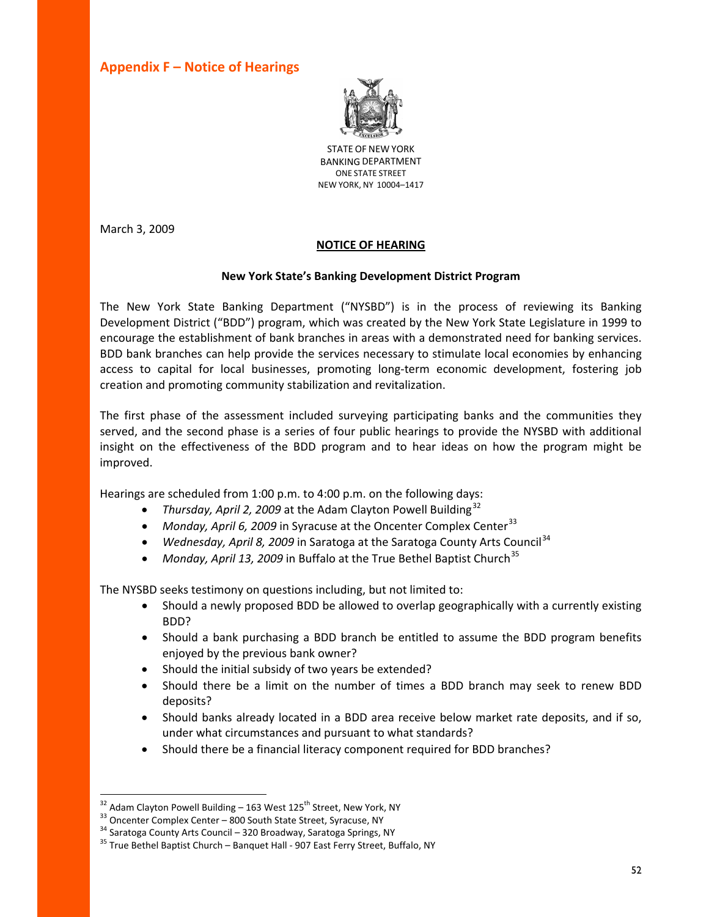# **Appendix F – Notice of Hearings**



STATE OF NEW YORK BANKING DEPARTMENT ONE STATE STREET NEW YORK, NY 10004–1417

March 3, 2009

# **NOTICE OF HEARING**

### **New York State's Banking Development District Program**

The New York State Banking Department ("NYSBD") is in the process of reviewing its Banking Development District ("BDD") program, which was created by the New York State Legislature in 1999 to encourage the establishment of bank branches in areas with a demonstrated need for banking services. BDD bank branches can help provide the services necessary to stimulate local economies by enhancing access to capital for local businesses, promoting long‐term economic development, fostering job creation and promoting community stabilization and revitalization.

The first phase of the assessment included surveying participating banks and the communities they served, and the second phase is a series of four public hearings to provide the NYSBD with additional insight on the effectiveness of the BDD program and to hear ideas on how the program might be improved.

Hearings are scheduled from 1:00 p.m. to 4:00 p.m. on the following days:

- *Thursday, April 2, 2009* at the Adam Clayton Powell Building[32](#page-51-0)
- *Monday, April 6, 2009* in Syracuse at the Oncenter Complex Center<sup>[33](#page-51-1)</sup>
- *Wednesday, April 8, 2009* in Saratoga at the Saratoga County Arts Council[34](#page-51-2)
- *Monday, April 13, 2009* in Buffalo at the True Bethel Baptist Church<sup>[35](#page-51-3)</sup>

The NYSBD seeks testimony on questions including, but not limited to:

- Should a newly proposed BDD be allowed to overlap geographically with a currently existing BDD?
- Should a bank purchasing a BDD branch be entitled to assume the BDD program benefits enjoyed by the previous bank owner?
- Should the initial subsidy of two years be extended?
- Should there be a limit on the number of times a BDD branch may seek to renew BDD deposits?
- Should banks already located in a BDD area receive below market rate deposits, and if so, under what circumstances and pursuant to what standards?
- Should there be a financial literacy component required for BDD branches?

 $\overline{a}$ 

<span id="page-51-0"></span><sup>&</sup>lt;sup>32</sup> Adam Clayton Powell Building – 163 West 125<sup>th</sup> Street, New York, NY<br><sup>33</sup> Oncenter Complex Center – 800 South State Street, Syracuse, NY<br><sup>34</sup> Saratoga County Arts Council – 320 Broadway, Saratoga Springs, NY<br><sup>35</sup> Tru

<span id="page-51-2"></span><span id="page-51-1"></span>

<span id="page-51-3"></span>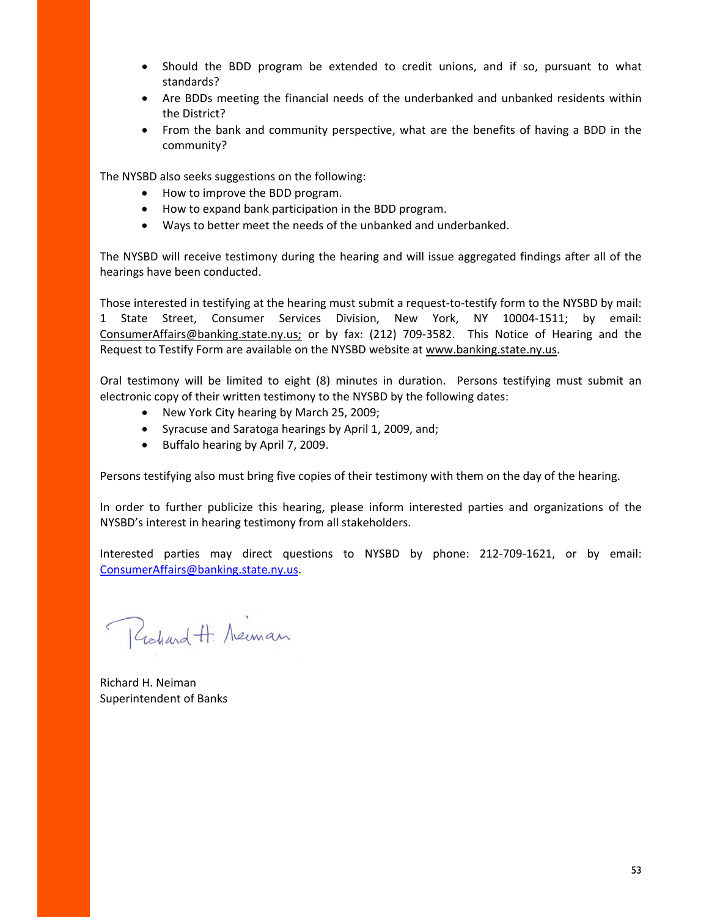- Should the BDD program be extended to credit unions, and if so, pursuant to what standards?
- Are BDDs meeting the financial needs of the underbanked and unbanked residents within the District?
- From the bank and community perspective, what are the benefits of having a BDD in the community?

The NYSBD also seeks suggestions on the following:

- How to improve the BDD program.
- How to expand bank participation in the BDD program.
- Ways to better meet the needs of the unbanked and underbanked.

The NYSBD will receive testimony during the hearing and will issue aggregated findings after all of the hearings have been conducted.

Those interested in testifying at the hearing must submit a request-to-testify form to the NYSBD by mail: 1 State Street, Consumer Services Division, New York, NY 10004‐1511; by email: ConsumerAffairs@banking.state.ny.us; or by fax: (212) 709‐3582. This Notice of Hearing and the Request to Testify Form are available on the NYSBD website at www.banking.state.ny.us.

Oral testimony will be limited to eight (8) minutes in duration. Persons testifying must submit an electronic copy of their written testimony to the NYSBD by the following dates:

- New York City hearing by March 25, 2009;
- Syracuse and Saratoga hearings by April 1, 2009, and;
- Buffalo hearing by April 7, 2009.

Persons testifying also must bring five copies of their testimony with them on the day of the hearing.

In order to further publicize this hearing, please inform interested parties and organizations of the NYSBD's interest in hearing testimony from all stakeholders.

Interested parties may direct questions to NYSBD by phone: 212-709-1621, or by email: [ConsumerAffairs@banking.state.ny.us.](mailto:ConsumerAffairs@banking.state.ny.us)

Richard H. Neiman

Richard H. Neiman Superintendent of Banks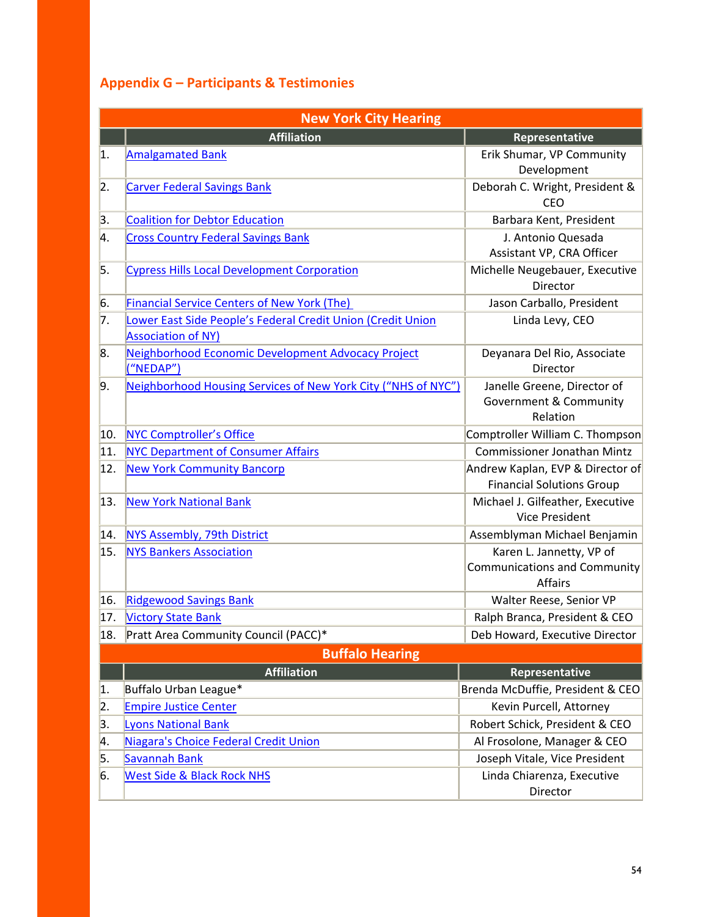# **Appendix G – Participants & Testimonies**

| <b>New York City Hearing</b> |                                                                                          |                                                                            |  |
|------------------------------|------------------------------------------------------------------------------------------|----------------------------------------------------------------------------|--|
|                              | <b>Affiliation</b>                                                                       | Representative                                                             |  |
| 1.                           | <b>Amalgamated Bank</b>                                                                  | Erik Shumar, VP Community<br>Development                                   |  |
| $\overline{2}$ .             | <b>Carver Federal Savings Bank</b>                                                       | Deborah C. Wright, President &<br><b>CEO</b>                               |  |
| 3.                           | <b>Coalition for Debtor Education</b>                                                    | Barbara Kent, President                                                    |  |
| 4.                           | <b>Cross Country Federal Savings Bank</b>                                                | J. Antonio Quesada<br>Assistant VP, CRA Officer                            |  |
| 5.                           | <b>Cypress Hills Local Development Corporation</b>                                       | Michelle Neugebauer, Executive<br>Director                                 |  |
| 6.                           | <b>Financial Service Centers of New York (The)</b>                                       | Jason Carballo, President                                                  |  |
| 7.                           | Lower East Side People's Federal Credit Union (Credit Union<br><b>Association of NY)</b> | Linda Levy, CEO                                                            |  |
| 8.                           | Neighborhood Economic Development Advocacy Project<br>("NEDAP")                          | Deyanara Del Rio, Associate<br>Director                                    |  |
| $\vert 9.$                   | Neighborhood Housing Services of New York City ("NHS of NYC")                            | Janelle Greene, Director of<br>Government & Community<br>Relation          |  |
| 10.                          | <b>NYC Comptroller's Office</b>                                                          | Comptroller William C. Thompson                                            |  |
| 11.                          | <b>NYC Department of Consumer Affairs</b>                                                | <b>Commissioner Jonathan Mintz</b>                                         |  |
| 12.                          | <b>New York Community Bancorp</b>                                                        | Andrew Kaplan, EVP & Director of<br><b>Financial Solutions Group</b>       |  |
| 13.                          | <b>New York National Bank</b>                                                            | Michael J. Gilfeather, Executive<br><b>Vice President</b>                  |  |
| 14.                          | NYS Assembly, 79th District                                                              | Assemblyman Michael Benjamin                                               |  |
| 15.                          | <b>NYS Bankers Association</b>                                                           | Karen L. Jannetty, VP of<br>Communications and Community<br><b>Affairs</b> |  |
| 16.                          | <b>Ridgewood Savings Bank</b>                                                            | Walter Reese, Senior VP                                                    |  |
| 17.                          | <b>Victory State Bank</b>                                                                | Ralph Branca, President & CEO                                              |  |
| 18.                          | Pratt Area Community Council (PACC)*                                                     | Deb Howard, Executive Director                                             |  |
|                              | <b>Buffalo Hearing</b>                                                                   |                                                                            |  |
|                              | <b>Affiliation</b>                                                                       | Representative                                                             |  |
| 1.                           | Buffalo Urban League*                                                                    | Brenda McDuffie, President & CEO                                           |  |
| 2.                           | <b>Empire Justice Center</b>                                                             | Kevin Purcell, Attorney                                                    |  |
| 3.                           | <b>Lyons National Bank</b>                                                               | Robert Schick, President & CEO                                             |  |
| 4.                           | Niagara's Choice Federal Credit Union                                                    | Al Frosolone, Manager & CEO                                                |  |
| 5.                           | Savannah Bank                                                                            | Joseph Vitale, Vice President                                              |  |
| 6.                           | <b>West Side &amp; Black Rock NHS</b>                                                    | Linda Chiarenza, Executive<br>Director                                     |  |